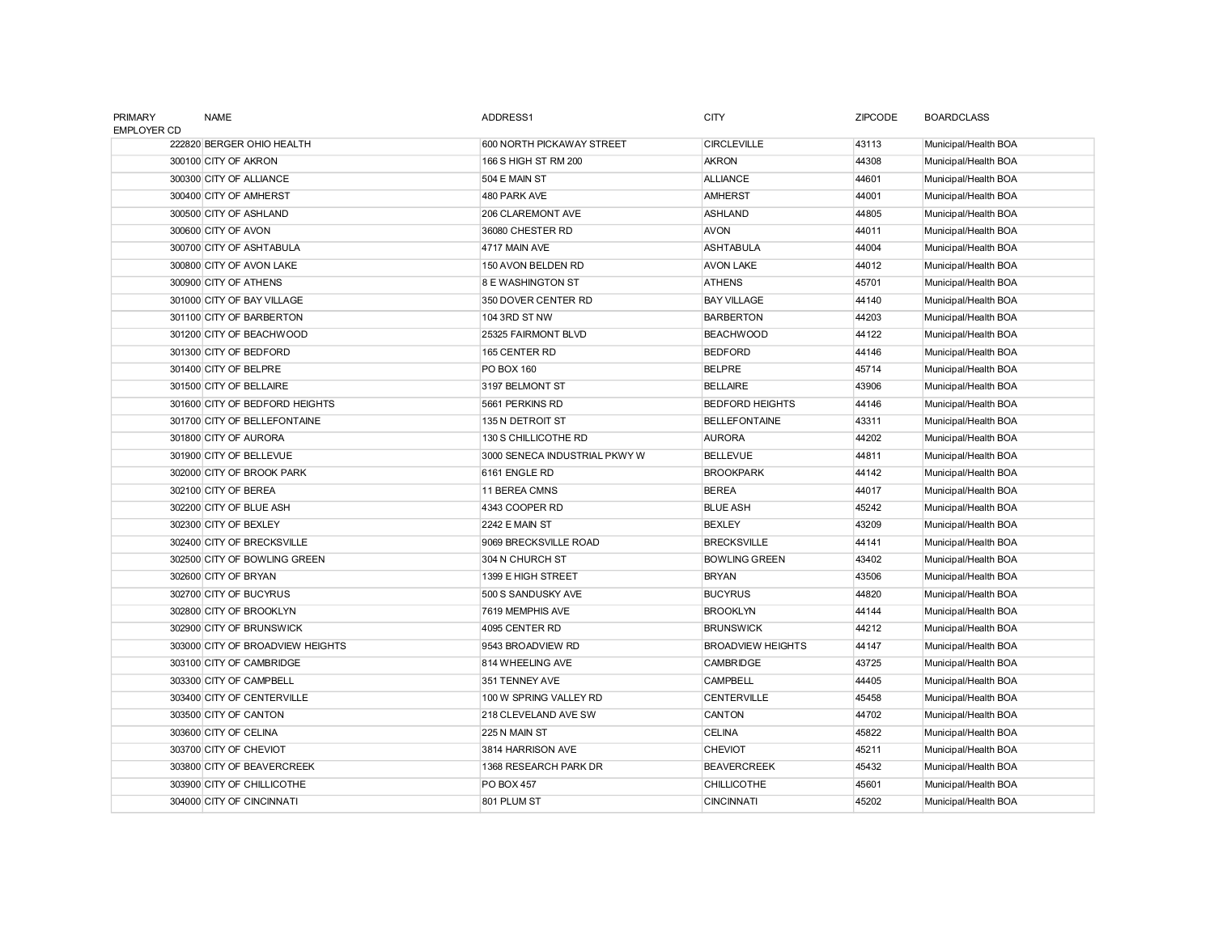| <b>PRIMARY</b><br><b>EMPLOYER CD</b> | <b>NAME</b>                      | ADDRESS1                      | <b>CITY</b>              | <b>ZIPCODE</b> | <b>BOARDCLASS</b>    |
|--------------------------------------|----------------------------------|-------------------------------|--------------------------|----------------|----------------------|
|                                      | 222820 BERGER OHIO HEALTH        | 600 NORTH PICKAWAY STREET     | <b>CIRCLEVILLE</b>       | 43113          | Municipal/Health BOA |
|                                      | 300100 CITY OF AKRON             | 166 S HIGH ST RM 200          | <b>AKRON</b>             | 44308          | Municipal/Health BOA |
|                                      | 300300 CITY OF ALLIANCE          | 504 E MAIN ST                 | <b>ALLIANCE</b>          | 44601          | Municipal/Health BOA |
|                                      | 300400 CITY OF AMHERST           | 480 PARK AVE                  | <b>AMHERST</b>           | 44001          | Municipal/Health BOA |
|                                      | 300500 CITY OF ASHLAND           | 206 CLAREMONT AVE             | <b>ASHLAND</b>           | 44805          | Municipal/Health BOA |
|                                      | 300600 CITY OF AVON              | 36080 CHESTER RD              | <b>AVON</b>              | 44011          | Municipal/Health BOA |
|                                      | 300700 CITY OF ASHTABULA         | 4717 MAIN AVE                 | <b>ASHTABULA</b>         | 44004          | Municipal/Health BOA |
|                                      | 300800 CITY OF AVON LAKE         | 150 AVON BELDEN RD            | <b>AVON LAKE</b>         | 44012          | Municipal/Health BOA |
|                                      | 300900 CITY OF ATHENS            | <b>8 E WASHINGTON ST</b>      | <b>ATHENS</b>            | 45701          | Municipal/Health BOA |
|                                      | 301000 CITY OF BAY VILLAGE       | 350 DOVER CENTER RD           | <b>BAY VILLAGE</b>       | 44140          | Municipal/Health BOA |
|                                      | 301100 CITY OF BARBERTON         | 104 3RD ST NW                 | <b>BARBERTON</b>         | 44203          | Municipal/Health BOA |
|                                      | 301200 CITY OF BEACHWOOD         | 25325 FAIRMONT BLVD           | <b>BEACHWOOD</b>         | 44122          | Municipal/Health BOA |
|                                      | 301300 CITY OF BEDFORD           | 165 CENTER RD                 | <b>BEDFORD</b>           | 44146          | Municipal/Health BOA |
|                                      | 301400 CITY OF BELPRE            | PO BOX 160                    | <b>BELPRE</b>            | 45714          | Municipal/Health BOA |
|                                      | 301500 CITY OF BELLAIRE          | 3197 BELMONT ST               | <b>BELLAIRE</b>          | 43906          | Municipal/Health BOA |
|                                      | 301600 CITY OF BEDFORD HEIGHTS   | 5661 PERKINS RD               | <b>BEDFORD HEIGHTS</b>   | 44146          | Municipal/Health BOA |
|                                      | 301700 CITY OF BELLEFONTAINE     | 135 N DETROIT ST              | <b>BELLEFONTAINE</b>     | 43311          | Municipal/Health BOA |
|                                      | 301800 CITY OF AURORA            | 130 S CHILLICOTHE RD          | <b>AURORA</b>            | 44202          | Municipal/Health BOA |
|                                      | 301900 CITY OF BELLEVUE          | 3000 SENECA INDUSTRIAL PKWY W | <b>BELLEVUE</b>          | 44811          | Municipal/Health BOA |
|                                      | 302000 CITY OF BROOK PARK        | 6161 ENGLE RD                 | <b>BROOKPARK</b>         | 44142          | Municipal/Health BOA |
|                                      | 302100 CITY OF BEREA             | 11 BEREA CMNS                 | <b>BEREA</b>             | 44017          | Municipal/Health BOA |
|                                      | 302200 CITY OF BLUE ASH          | 4343 COOPER RD                | <b>BLUE ASH</b>          | 45242          | Municipal/Health BOA |
|                                      | 302300 CITY OF BEXLEY            | <b>2242 E MAIN ST</b>         | <b>BEXLEY</b>            | 43209          | Municipal/Health BOA |
|                                      | 302400 CITY OF BRECKSVILLE       | 9069 BRECKSVILLE ROAD         | <b>BRECKSVILLE</b>       | 44141          | Municipal/Health BOA |
|                                      | 302500 CITY OF BOWLING GREEN     | 304 N CHURCH ST               | <b>BOWLING GREEN</b>     | 43402          | Municipal/Health BOA |
|                                      | 302600 CITY OF BRYAN             | 1399 E HIGH STREET            | <b>BRYAN</b>             | 43506          | Municipal/Health BOA |
|                                      | 302700 CITY OF BUCYRUS           | 500 S SANDUSKY AVE            | <b>BUCYRUS</b>           | 44820          | Municipal/Health BOA |
|                                      | 302800 CITY OF BROOKLYN          | 7619 MEMPHIS AVE              | <b>BROOKLYN</b>          | 44144          | Municipal/Health BOA |
|                                      | 302900 CITY OF BRUNSWICK         | 4095 CENTER RD                | <b>BRUNSWICK</b>         | 44212          | Municipal/Health BOA |
|                                      | 303000 CITY OF BROADVIEW HEIGHTS | 9543 BROADVIEW RD             | <b>BROADVIEW HEIGHTS</b> | 44147          | Municipal/Health BOA |
|                                      | 303100 CITY OF CAMBRIDGE         | 814 WHEELING AVE              | <b>CAMBRIDGE</b>         | 43725          | Municipal/Health BOA |
|                                      | 303300 CITY OF CAMPBELL          | 351 TENNEY AVE                | <b>CAMPBELL</b>          | 44405          | Municipal/Health BOA |
|                                      | 303400 CITY OF CENTERVILLE       | 100 W SPRING VALLEY RD        | <b>CENTERVILLE</b>       | 45458          | Municipal/Health BOA |
|                                      | 303500 CITY OF CANTON            | 218 CLEVELAND AVE SW          | <b>CANTON</b>            | 44702          | Municipal/Health BOA |
|                                      | 303600 CITY OF CELINA            | 225 N MAIN ST                 | <b>CELINA</b>            | 45822          | Municipal/Health BOA |
|                                      | 303700 CITY OF CHEVIOT           | 3814 HARRISON AVE             | <b>CHEVIOT</b>           | 45211          | Municipal/Health BOA |
|                                      | 303800 CITY OF BEAVERCREEK       | 1368 RESEARCH PARK DR         | <b>BEAVERCREEK</b>       | 45432          | Municipal/Health BOA |
|                                      | 303900 CITY OF CHILLICOTHE       | PO BOX 457                    | <b>CHILLICOTHE</b>       | 45601          | Municipal/Health BOA |
|                                      | 304000 CITY OF CINCINNATI        | 801 PLUM ST                   | <b>CINCINNATI</b>        | 45202          | Municipal/Health BOA |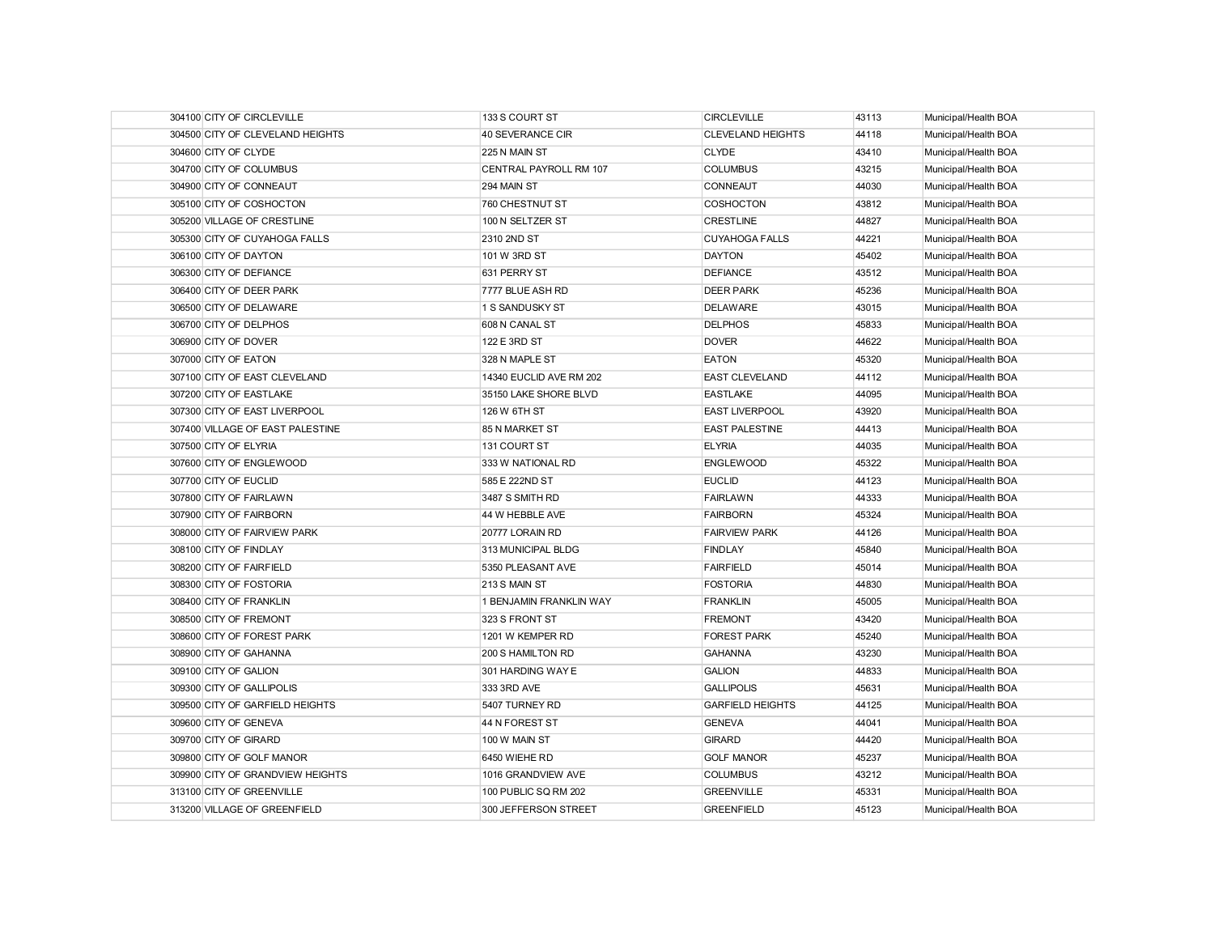| 304100 CITY OF CIRCLEVILLE       | 133 S COURT ST          | <b>CIRCLEVILLE</b>       | 43113 | Municipal/Health BOA |
|----------------------------------|-------------------------|--------------------------|-------|----------------------|
| 304500 CITY OF CLEVELAND HEIGHTS | 40 SEVERANCE CIR        | <b>CLEVELAND HEIGHTS</b> | 44118 | Municipal/Health BOA |
| 304600 CITY OF CLYDE             | 225 N MAIN ST           | <b>CLYDE</b>             | 43410 | Municipal/Health BOA |
| 304700 CITY OF COLUMBUS          | CENTRAL PAYROLL RM 107  | <b>COLUMBUS</b>          | 43215 | Municipal/Health BOA |
| 304900 CITY OF CONNEAUT          | 294 MAIN ST             | CONNEAUT                 | 44030 | Municipal/Health BOA |
| 305100 CITY OF COSHOCTON         | 760 CHESTNUT ST         | COSHOCTON                | 43812 | Municipal/Health BOA |
| 305200 VILLAGE OF CRESTLINE      | 100 N SELTZER ST        | <b>CRESTLINE</b>         | 44827 | Municipal/Health BOA |
| 305300 CITY OF CUYAHOGA FALLS    | 2310 2ND ST             | <b>CUYAHOGA FALLS</b>    | 44221 | Municipal/Health BOA |
| 306100 CITY OF DAYTON            | 101 W 3RD ST            | <b>DAYTON</b>            | 45402 | Municipal/Health BOA |
| 306300 CITY OF DEFIANCE          | 631 PERRY ST            | <b>DEFIANCE</b>          | 43512 | Municipal/Health BOA |
| 306400 CITY OF DEER PARK         | 7777 BLUE ASH RD        | <b>DEER PARK</b>         | 45236 | Municipal/Health BOA |
| 306500 CITY OF DELAWARE          | 1 S SANDUSKY ST         | <b>DELAWARE</b>          | 43015 | Municipal/Health BOA |
| 306700 CITY OF DELPHOS           | 608 N CANAL ST          | <b>DELPHOS</b>           | 45833 | Municipal/Health BOA |
| 306900 CITY OF DOVER             | 122 E 3RD ST            | <b>DOVER</b>             | 44622 | Municipal/Health BOA |
| 307000 CITY OF EATON             | 328 N MAPLE ST          | <b>EATON</b>             | 45320 | Municipal/Health BOA |
| 307100 CITY OF EAST CLEVELAND    | 14340 EUCLID AVE RM 202 | <b>EAST CLEVELAND</b>    | 44112 | Municipal/Health BOA |
| 307200 CITY OF EASTLAKE          | 35150 LAKE SHORE BLVD   | <b>EASTLAKE</b>          | 44095 | Municipal/Health BOA |
| 307300 CITY OF EAST LIVERPOOL    | 126 W 6TH ST            | <b>EAST LIVERPOOL</b>    | 43920 | Municipal/Health BOA |
| 307400 VILLAGE OF EAST PALESTINE | 85 N MARKET ST          | <b>EAST PALESTINE</b>    | 44413 | Municipal/Health BOA |
| 307500 CITY OF ELYRIA            | 131 COURT ST            | <b>ELYRIA</b>            | 44035 | Municipal/Health BOA |
| 307600 CITY OF ENGLEWOOD         | 333 W NATIONAL RD       | <b>ENGLEWOOD</b>         | 45322 | Municipal/Health BOA |
| 307700 CITY OF EUCLID            | 585 E 222ND ST          | <b>EUCLID</b>            | 44123 | Municipal/Health BOA |
| 307800 CITY OF FAIRLAWN          | 3487 S SMITH RD         | <b>FAIRLAWN</b>          | 44333 | Municipal/Health BOA |
| 307900 CITY OF FAIRBORN          | 44 W HEBBLE AVE         | <b>FAIRBORN</b>          | 45324 | Municipal/Health BOA |
| 308000 CITY OF FAIRVIEW PARK     | 20777 LORAIN RD         | <b>FAIRVIEW PARK</b>     | 44126 | Municipal/Health BOA |
| 308100 CITY OF FINDLAY           | 313 MUNICIPAL BLDG      | <b>FINDLAY</b>           | 45840 | Municipal/Health BOA |
| 308200 CITY OF FAIRFIELD         | 5350 PLEASANT AVE       | <b>FAIRFIELD</b>         | 45014 | Municipal/Health BOA |
| 308300 CITY OF FOSTORIA          | 213 S MAIN ST           | <b>FOSTORIA</b>          | 44830 | Municipal/Health BOA |
| 308400 CITY OF FRANKLIN          | 1 BENJAMIN FRANKLIN WAY | <b>FRANKLIN</b>          | 45005 | Municipal/Health BOA |
| 308500 CITY OF FREMONT           | 323 S FRONT ST          | <b>FREMONT</b>           | 43420 | Municipal/Health BOA |
| 308600 CITY OF FOREST PARK       | 1201 W KEMPER RD        | <b>FOREST PARK</b>       | 45240 | Municipal/Health BOA |
| 308900 CITY OF GAHANNA           | 200 S HAMILTON RD       | <b>GAHANNA</b>           | 43230 | Municipal/Health BOA |
| 309100 CITY OF GALION            | 301 HARDING WAY E       | <b>GALION</b>            | 44833 | Municipal/Health BOA |
| 309300 CITY OF GALLIPOLIS        | 333 3RD AVE             | <b>GALLIPOLIS</b>        | 45631 | Municipal/Health BOA |
| 309500 CITY OF GARFIELD HEIGHTS  | 5407 TURNEY RD          | <b>GARFIELD HEIGHTS</b>  | 44125 | Municipal/Health BOA |
| 309600 CITY OF GENEVA            | 44 N FOREST ST          | <b>GENEVA</b>            | 44041 | Municipal/Health BOA |
| 309700 CITY OF GIRARD            | 100 W MAIN ST           | <b>GIRARD</b>            | 44420 | Municipal/Health BOA |
| 309800 CITY OF GOLF MANOR        | 6450 WIEHE RD           | <b>GOLF MANOR</b>        | 45237 | Municipal/Health BOA |
| 309900 CITY OF GRANDVIEW HEIGHTS | 1016 GRANDVIEW AVE      | <b>COLUMBUS</b>          | 43212 | Municipal/Health BOA |
| 313100 CITY OF GREENVILLE        | 100 PUBLIC SQ RM 202    | <b>GREENVILLE</b>        | 45331 | Municipal/Health BOA |
| 313200 VILLAGE OF GREENFIELD     | 300 JEFFERSON STREET    | <b>GREENFIELD</b>        | 45123 | Municipal/Health BOA |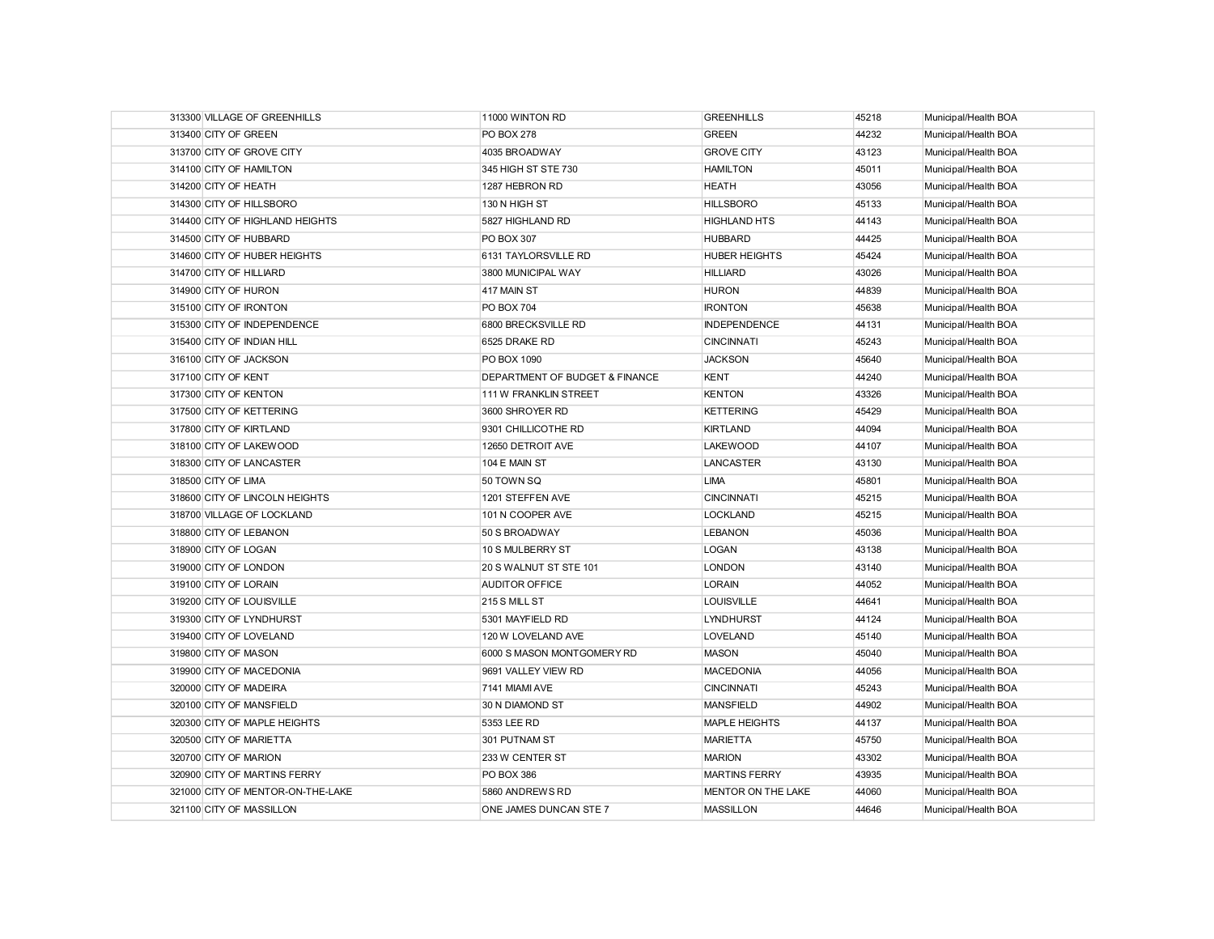| 313300 VILLAGE OF GREENHILLS      | 11000 WINTON RD                | <b>GREENHILLS</b>         | 45218 | Municipal/Health BOA |
|-----------------------------------|--------------------------------|---------------------------|-------|----------------------|
| 313400 CITY OF GREEN              | <b>PO BOX 278</b>              | <b>GREEN</b>              | 44232 | Municipal/Health BOA |
| 313700 CITY OF GROVE CITY         | 4035 BROADWAY                  | <b>GROVE CITY</b>         | 43123 | Municipal/Health BOA |
| 314100 CITY OF HAMILTON           | 345 HIGH ST STE 730            | <b>HAMILTON</b>           | 45011 | Municipal/Health BOA |
| 314200 CITY OF HEATH              | 1287 HEBRON RD                 | <b>HEATH</b>              | 43056 | Municipal/Health BOA |
| 314300 CITY OF HILLSBORO          | 130 N HIGH ST                  | <b>HILLSBORO</b>          | 45133 | Municipal/Health BOA |
| 314400 CITY OF HIGHLAND HEIGHTS   | 5827 HIGHLAND RD               | <b>HIGHLAND HTS</b>       | 44143 | Municipal/Health BOA |
| 314500 CITY OF HUBBARD            | <b>PO BOX 307</b>              | <b>HUBBARD</b>            | 44425 | Municipal/Health BOA |
| 314600 CITY OF HUBER HEIGHTS      | 6131 TAYLORSVILLE RD           | <b>HUBER HEIGHTS</b>      | 45424 | Municipal/Health BOA |
| 314700 CITY OF HILLIARD           | 3800 MUNICIPAL WAY             | <b>HILLIARD</b>           | 43026 | Municipal/Health BOA |
| 314900 CITY OF HURON              | 417 MAIN ST                    | <b>HURON</b>              | 44839 | Municipal/Health BOA |
| 315100 CITY OF IRONTON            | <b>PO BOX 704</b>              | <b>IRONTON</b>            | 45638 | Municipal/Health BOA |
| 315300 CITY OF INDEPENDENCE       | 6800 BRECKSVILLE RD            | <b>INDEPENDENCE</b>       | 44131 | Municipal/Health BOA |
| 315400 CITY OF INDIAN HILL        | 6525 DRAKE RD                  | <b>CINCINNATI</b>         | 45243 | Municipal/Health BOA |
| 316100 CITY OF JACKSON            | PO BOX 1090                    | <b>JACKSON</b>            | 45640 | Municipal/Health BOA |
| 317100 CITY OF KENT               | DEPARTMENT OF BUDGET & FINANCE | <b>KENT</b>               | 44240 | Municipal/Health BOA |
| 317300 CITY OF KENTON             | 111 W FRANKLIN STREET          | <b>KENTON</b>             | 43326 | Municipal/Health BOA |
| 317500 CITY OF KETTERING          | 3600 SHROYER RD                | <b>KETTERING</b>          | 45429 | Municipal/Health BOA |
| 317800 CITY OF KIRTLAND           | 9301 CHILLICOTHE RD            | <b>KIRTLAND</b>           | 44094 | Municipal/Health BOA |
| 318100 CITY OF LAKEWOOD           | 12650 DETROIT AVE              | <b>LAKEWOOD</b>           | 44107 | Municipal/Health BOA |
| 318300 CITY OF LANCASTER          | 104 E MAIN ST                  | <b>LANCASTER</b>          | 43130 | Municipal/Health BOA |
| 318500 CITY OF LIMA               | 50 TOWN SQ                     | <b>LIMA</b>               | 45801 | Municipal/Health BOA |
| 318600 CITY OF LINCOLN HEIGHTS    | 1201 STEFFEN AVE               | <b>CINCINNATI</b>         | 45215 | Municipal/Health BOA |
| 318700 VILLAGE OF LOCKLAND        | 101 N COOPER AVE               | <b>LOCKLAND</b>           | 45215 | Municipal/Health BOA |
| 318800 CITY OF LEBANON            | 50 S BROADWAY                  | <b>LEBANON</b>            | 45036 | Municipal/Health BOA |
| 318900 CITY OF LOGAN              | 10 S MULBERRY ST               | LOGAN                     | 43138 | Municipal/Health BOA |
| 319000 CITY OF LONDON             | 20 S WALNUT ST STE 101         | <b>LONDON</b>             | 43140 | Municipal/Health BOA |
| 319100 CITY OF LORAIN             | <b>AUDITOR OFFICE</b>          | <b>LORAIN</b>             | 44052 | Municipal/Health BOA |
| 319200 CITY OF LOUISVILLE         | 215 S MILL ST                  | <b>LOUISVILLE</b>         | 44641 | Municipal/Health BOA |
| 319300 CITY OF LYNDHURST          | 5301 MAYFIELD RD               | <b>LYNDHURST</b>          | 44124 | Municipal/Health BOA |
| 319400 CITY OF LOVELAND           | 120 W LOVELAND AVE             | <b>LOVELAND</b>           | 45140 | Municipal/Health BOA |
| 319800 CITY OF MASON              | 6000 S MASON MONTGOMERY RD     | <b>MASON</b>              | 45040 | Municipal/Health BOA |
| 319900 CITY OF MACEDONIA          | 9691 VALLEY VIEW RD            | <b>MACEDONIA</b>          | 44056 | Municipal/Health BOA |
| 320000 CITY OF MADEIRA            | 7141 MIAMI AVE                 | <b>CINCINNATI</b>         | 45243 | Municipal/Health BOA |
| 320100 CITY OF MANSFIELD          | 30 N DIAMOND ST                | <b>MANSFIELD</b>          | 44902 | Municipal/Health BOA |
| 320300 CITY OF MAPLE HEIGHTS      | 5353 LEE RD                    | <b>MAPLE HEIGHTS</b>      | 44137 | Municipal/Health BOA |
| 320500 CITY OF MARIETTA           | 301 PUTNAM ST                  | <b>MARIETTA</b>           | 45750 | Municipal/Health BOA |
| 320700 CITY OF MARION             | 233 W CENTER ST                | <b>MARION</b>             | 43302 | Municipal/Health BOA |
| 320900 CITY OF MARTINS FERRY      | <b>PO BOX 386</b>              | <b>MARTINS FERRY</b>      | 43935 | Municipal/Health BOA |
| 321000 CITY OF MENTOR-ON-THE-LAKE | 5860 ANDREWS RD                | <b>MENTOR ON THE LAKE</b> | 44060 | Municipal/Health BOA |
| 321100 CITY OF MASSILLON          | ONE JAMES DUNCAN STE 7         | <b>MASSILLON</b>          | 44646 | Municipal/Health BOA |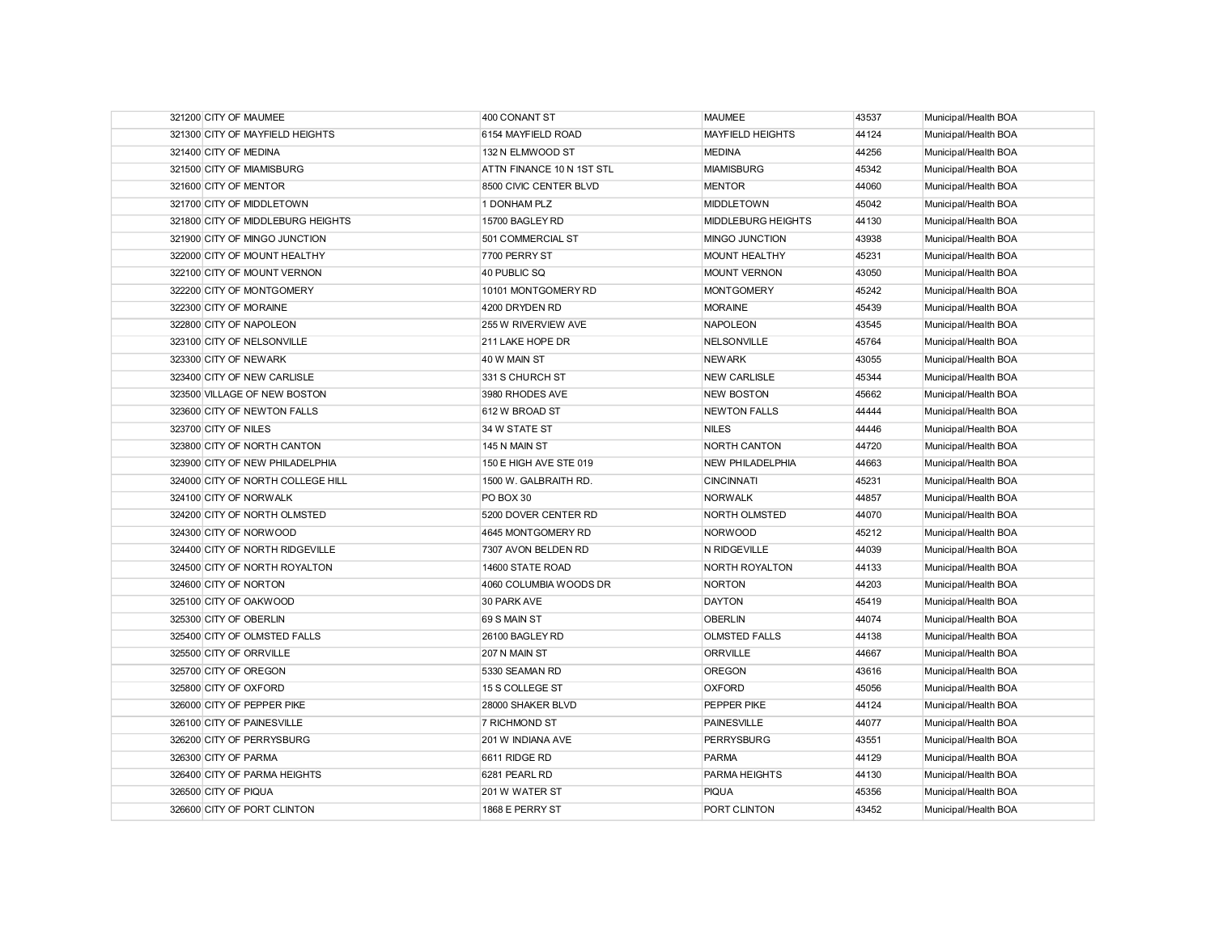| 321200 CITY OF MAUMEE             | 400 CONANT ST             | <b>MAUMEE</b>             | 43537 | Municipal/Health BOA |
|-----------------------------------|---------------------------|---------------------------|-------|----------------------|
| 321300 CITY OF MAYFIELD HEIGHTS   | 6154 MAYFIELD ROAD        | <b>MAYFIELD HEIGHTS</b>   | 44124 | Municipal/Health BOA |
| 321400 CITY OF MEDINA             | 132 N ELMWOOD ST          | <b>MEDINA</b>             | 44256 | Municipal/Health BOA |
| 321500 CITY OF MIAMISBURG         | ATTN FINANCE 10 N 1ST STL | <b>MIAMISBURG</b>         | 45342 | Municipal/Health BOA |
| 321600 CITY OF MENTOR             | 8500 CIVIC CENTER BLVD    | <b>MENTOR</b>             | 44060 | Municipal/Health BOA |
| 321700 CITY OF MIDDLETOWN         | 1 DONHAM PLZ              | <b>MIDDLETOWN</b>         | 45042 | Municipal/Health BOA |
| 321800 CITY OF MIDDLEBURG HEIGHTS | 15700 BAGLEY RD           | <b>MIDDLEBURG HEIGHTS</b> | 44130 | Municipal/Health BOA |
| 321900 CITY OF MINGO JUNCTION     | 501 COMMERCIAL ST         | MINGO JUNCTION            | 43938 | Municipal/Health BOA |
| 322000 CITY OF MOUNT HEALTHY      | 7700 PERRY ST             | <b>MOUNT HEALTHY</b>      | 45231 | Municipal/Health BOA |
| 322100 CITY OF MOUNT VERNON       | 40 PUBLIC SQ              | <b>MOUNT VERNON</b>       | 43050 | Municipal/Health BOA |
| 322200 CITY OF MONTGOMERY         | 10101 MONTGOMERY RD       | <b>MONTGOMERY</b>         | 45242 | Municipal/Health BOA |
| 322300 CITY OF MORAINE            | 4200 DRYDEN RD            | <b>MORAINE</b>            | 45439 | Municipal/Health BOA |
| 322800 CITY OF NAPOLEON           | 255 W RIVERVIEW AVE       | <b>NAPOLEON</b>           | 43545 | Municipal/Health BOA |
| 323100 CITY OF NELSONVILLE        | 211 LAKE HOPE DR          | NELSONVILLE               | 45764 | Municipal/Health BOA |
| 323300 CITY OF NEWARK             | 40 W MAIN ST              | <b>NEWARK</b>             | 43055 | Municipal/Health BOA |
| 323400 CITY OF NEW CARLISLE       | 331 S CHURCH ST           | <b>NEW CARLISLE</b>       | 45344 | Municipal/Health BOA |
| 323500 VILLAGE OF NEW BOSTON      | 3980 RHODES AVE           | <b>NEW BOSTON</b>         | 45662 | Municipal/Health BOA |
| 323600 CITY OF NEWTON FALLS       | 612 W BROAD ST            | <b>NEWTON FALLS</b>       | 44444 | Municipal/Health BOA |
| 323700 CITY OF NILES              | 34 W STATE ST             | <b>NILES</b>              | 44446 | Municipal/Health BOA |
| 323800 CITY OF NORTH CANTON       | 145 N MAIN ST             | <b>NORTH CANTON</b>       | 44720 | Municipal/Health BOA |
| 323900 CITY OF NEW PHILADELPHIA   | 150 E HIGH AVE STE 019    | <b>NEW PHILADELPHIA</b>   | 44663 | Municipal/Health BOA |
| 324000 CITY OF NORTH COLLEGE HILL | 1500 W. GALBRAITH RD.     | <b>CINCINNATI</b>         | 45231 | Municipal/Health BOA |
| 324100 CITY OF NORWALK            | PO BOX 30                 | <b>NORWALK</b>            | 44857 | Municipal/Health BOA |
| 324200 CITY OF NORTH OLMSTED      | 5200 DOVER CENTER RD      | <b>NORTH OLMSTED</b>      | 44070 | Municipal/Health BOA |
| 324300 CITY OF NORWOOD            | 4645 MONTGOMERY RD        | NORWOOD                   | 45212 | Municipal/Health BOA |
| 324400 CITY OF NORTH RIDGEVILLE   | 7307 AVON BELDEN RD       | N RIDGEVILLE              | 44039 | Municipal/Health BOA |
| 324500 CITY OF NORTH ROYALTON     | 14600 STATE ROAD          | NORTH ROYALTON            | 44133 | Municipal/Health BOA |
| 324600 CITY OF NORTON             | 4060 COLUMBIA WOODS DR    | <b>NORTON</b>             | 44203 | Municipal/Health BOA |
| 325100 CITY OF OAKWOOD            | 30 PARK AVE               | <b>DAYTON</b>             | 45419 | Municipal/Health BOA |
| 325300 CITY OF OBERLIN            | 69 S MAIN ST              | <b>OBERLIN</b>            | 44074 | Municipal/Health BOA |
| 325400 CITY OF OLMSTED FALLS      | 26100 BAGLEY RD           | <b>OLMSTED FALLS</b>      | 44138 | Municipal/Health BOA |
| 325500 CITY OF ORRVILLE           | 207 N MAIN ST             | <b>ORRVILLE</b>           | 44667 | Municipal/Health BOA |
| 325700 CITY OF OREGON             | 5330 SEAMAN RD            | <b>OREGON</b>             | 43616 | Municipal/Health BOA |
| 325800 CITY OF OXFORD             | 15 S COLLEGE ST           | <b>OXFORD</b>             | 45056 | Municipal/Health BOA |
| 326000 CITY OF PEPPER PIKE        | 28000 SHAKER BLVD         | PEPPER PIKE               | 44124 | Municipal/Health BOA |
| 326100 CITY OF PAINESVILLE        | <b>7 RICHMOND ST</b>      | <b>PAINESVILLE</b>        | 44077 | Municipal/Health BOA |
| 326200 CITY OF PERRYSBURG         | 201 W INDIANA AVE         | <b>PERRYSBURG</b>         | 43551 | Municipal/Health BOA |
| 326300 CITY OF PARMA              | 6611 RIDGE RD             | <b>PARMA</b>              | 44129 | Municipal/Health BOA |
| 326400 CITY OF PARMA HEIGHTS      | 6281 PEARL RD             | PARMA HEIGHTS             | 44130 | Municipal/Health BOA |
| 326500 CITY OF PIQUA              | 201 W WATER ST            | <b>PIQUA</b>              | 45356 | Municipal/Health BOA |
| 326600 CITY OF PORT CLINTON       | 1868 E PERRY ST           | PORT CLINTON              | 43452 | Municipal/Health BOA |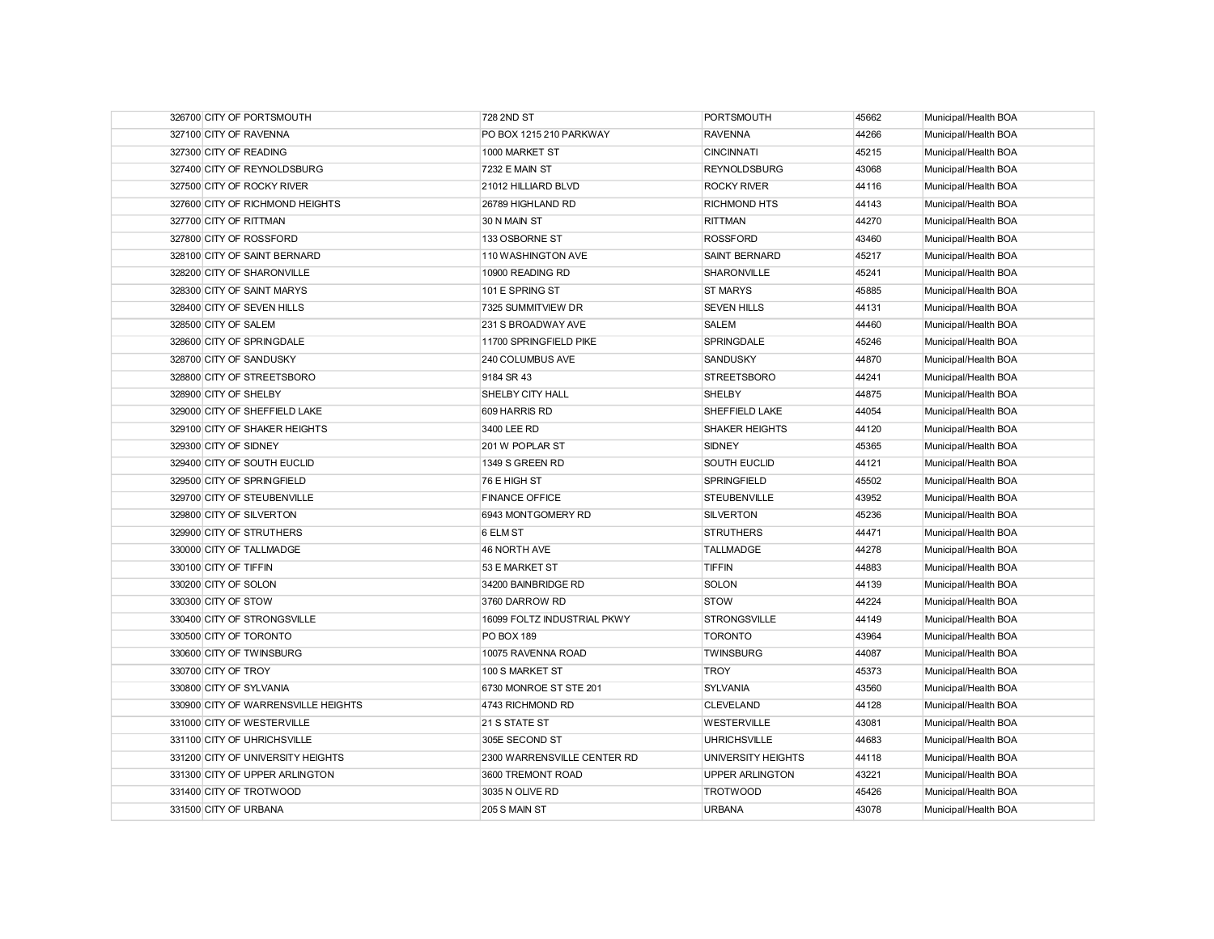| 326700 CITY OF PORTSMOUTH           | 728 2ND ST                  | <b>PORTSMOUTH</b>      | 45662 | Municipal/Health BOA |
|-------------------------------------|-----------------------------|------------------------|-------|----------------------|
| 327100 CITY OF RAVENNA              | PO BOX 1215 210 PARKWAY     | <b>RAVENNA</b>         | 44266 | Municipal/Health BOA |
| 327300 CITY OF READING              | 1000 MARKET ST              | <b>CINCINNATI</b>      | 45215 | Municipal/Health BOA |
| 327400 CITY OF REYNOLDSBURG         | 7232 E MAIN ST              | <b>REYNOLDSBURG</b>    | 43068 | Municipal/Health BOA |
| 327500 CITY OF ROCKY RIVER          | 21012 HILLIARD BLVD         | <b>ROCKY RIVER</b>     | 44116 | Municipal/Health BOA |
| 327600 CITY OF RICHMOND HEIGHTS     | 26789 HIGHLAND RD           | <b>RICHMOND HTS</b>    | 44143 | Municipal/Health BOA |
| 327700 CITY OF RITTMAN              | 30 N MAIN ST                | <b>RITTMAN</b>         | 44270 | Municipal/Health BOA |
| 327800 CITY OF ROSSFORD             | 133 OSBORNE ST              | <b>ROSSFORD</b>        | 43460 | Municipal/Health BOA |
| 328100 CITY OF SAINT BERNARD        | 110 WASHINGTON AVE          | <b>SAINT BERNARD</b>   | 45217 | Municipal/Health BOA |
| 328200 CITY OF SHARONVILLE          | 10900 READING RD            | SHARONVILLE            | 45241 | Municipal/Health BOA |
| 328300 CITY OF SAINT MARYS          | 101 E SPRING ST             | <b>ST MARYS</b>        | 45885 | Municipal/Health BOA |
| 328400 CITY OF SEVEN HILLS          | 7325 SUMMITVIEW DR          | <b>SEVEN HILLS</b>     | 44131 | Municipal/Health BOA |
| 328500 CITY OF SALEM                | 231 S BROADWAY AVE          | SALEM                  | 44460 | Municipal/Health BOA |
| 328600 CITY OF SPRINGDALE           | 11700 SPRINGFIELD PIKE      | <b>SPRINGDALE</b>      | 45246 | Municipal/Health BOA |
| 328700 CITY OF SANDUSKY             | 240 COLUMBUS AVE            | SANDUSKY               | 44870 | Municipal/Health BOA |
| 328800 CITY OF STREETSBORO          | 9184 SR 43                  | <b>STREETSBORO</b>     | 44241 | Municipal/Health BOA |
| 328900 CITY OF SHELBY               | <b>SHELBY CITY HALL</b>     | SHELBY                 | 44875 | Municipal/Health BOA |
| 329000 CITY OF SHEFFIELD LAKE       | 609 HARRIS RD               | SHEFFIELD LAKE         | 44054 | Municipal/Health BOA |
| 329100 CITY OF SHAKER HEIGHTS       | 3400 LEE RD                 | <b>SHAKER HEIGHTS</b>  | 44120 | Municipal/Health BOA |
| 329300 CITY OF SIDNEY               | 201 W POPLAR ST             | <b>SIDNEY</b>          | 45365 | Municipal/Health BOA |
| 329400 CITY OF SOUTH EUCLID         | 1349 S GREEN RD             | SOUTH EUCLID           | 44121 | Municipal/Health BOA |
| 329500 CITY OF SPRINGFIELD          | 76 E HIGH ST                | <b>SPRINGFIELD</b>     | 45502 | Municipal/Health BOA |
| 329700 CITY OF STEUBENVILLE         | <b>FINANCE OFFICE</b>       | <b>STEUBENVILLE</b>    | 43952 | Municipal/Health BOA |
| 329800 CITY OF SILVERTON            | 6943 MONTGOMERY RD          | <b>SILVERTON</b>       | 45236 | Municipal/Health BOA |
| 329900 CITY OF STRUTHERS            | 6 ELM ST                    | <b>STRUTHERS</b>       | 44471 | Municipal/Health BOA |
| 330000 CITY OF TALLMADGE            | 46 NORTH AVE                | <b>TALLMADGE</b>       | 44278 | Municipal/Health BOA |
| 330100 CITY OF TIFFIN               | 53 E MARKET ST              | <b>TIFFIN</b>          | 44883 | Municipal/Health BOA |
| 330200 CITY OF SOLON                | 34200 BAINBRIDGE RD         | <b>SOLON</b>           | 44139 | Municipal/Health BOA |
| 330300 CITY OF STOW                 | 3760 DARROW RD              | <b>STOW</b>            | 44224 | Municipal/Health BOA |
| 330400 CITY OF STRONGSVILLE         | 16099 FOLTZ INDUSTRIAL PKWY | <b>STRONGSVILLE</b>    | 44149 | Municipal/Health BOA |
| 330500 CITY OF TORONTO              | <b>PO BOX 189</b>           | <b>TORONTO</b>         | 43964 | Municipal/Health BOA |
| 330600 CITY OF TWINSBURG            | 10075 RAVENNA ROAD          | <b>TWINSBURG</b>       | 44087 | Municipal/Health BOA |
| 330700 CITY OF TROY                 | 100 S MARKET ST             | <b>TROY</b>            | 45373 | Municipal/Health BOA |
| 330800 CITY OF SYLVANIA             | 6730 MONROE ST STE 201      | <b>SYLVANIA</b>        | 43560 | Municipal/Health BOA |
| 330900 CITY OF WARRENSVILLE HEIGHTS | 4743 RICHMOND RD            | <b>CLEVELAND</b>       | 44128 | Municipal/Health BOA |
| 331000 CITY OF WESTERVILLE          | 21 S STATE ST               | <b>WESTERVILLE</b>     | 43081 | Municipal/Health BOA |
| 331100 CITY OF UHRICHSVILLE         | 305E SECOND ST              | <b>UHRICHSVILLE</b>    | 44683 | Municipal/Health BOA |
| 331200 CITY OF UNIVERSITY HEIGHTS   | 2300 WARRENSVILLE CENTER RD | UNIVERSITY HEIGHTS     | 44118 | Municipal/Health BOA |
| 331300 CITY OF UPPER ARLINGTON      | 3600 TREMONT ROAD           | <b>UPPER ARLINGTON</b> | 43221 | Municipal/Health BOA |
| 331400 CITY OF TROTWOOD             | 3035 N OLIVE RD             | <b>TROTWOOD</b>        | 45426 | Municipal/Health BOA |
| 331500 CITY OF URBANA               | 205 S MAIN ST               | <b>URBANA</b>          | 43078 | Municipal/Health BOA |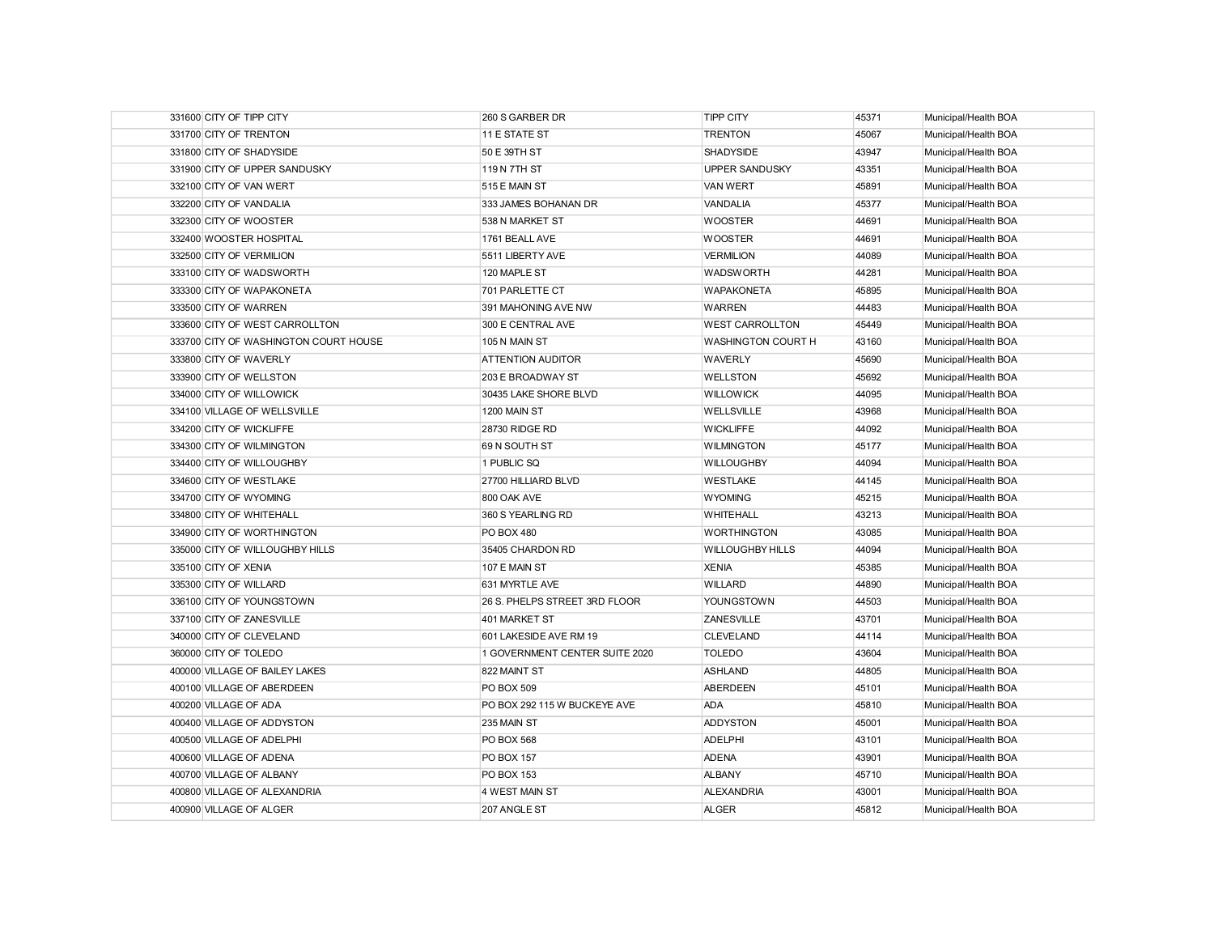| 331600 CITY OF TIPP CITY              | 260 S GARBER DR                | <b>TIPP CITY</b>          | 45371 | Municipal/Health BOA |
|---------------------------------------|--------------------------------|---------------------------|-------|----------------------|
| 331700 CITY OF TRENTON                | 11 E STATE ST                  | <b>TRENTON</b>            | 45067 | Municipal/Health BOA |
| 331800 CITY OF SHADYSIDE              | 50 E 39TH ST                   | <b>SHADYSIDE</b>          | 43947 | Municipal/Health BOA |
| 331900 CITY OF UPPER SANDUSKY         | 119 N 7TH ST                   | <b>UPPER SANDUSKY</b>     | 43351 | Municipal/Health BOA |
| 332100 CITY OF VAN WERT               | 515 E MAIN ST                  | <b>VAN WERT</b>           | 45891 | Municipal/Health BOA |
| 332200 CITY OF VANDALIA               | 333 JAMES BOHANAN DR           | VANDALIA                  | 45377 | Municipal/Health BOA |
| 332300 CITY OF WOOSTER                | 538 N MARKET ST                | <b>WOOSTER</b>            | 44691 | Municipal/Health BOA |
| 332400 WOOSTER HOSPITAL               | 1761 BEALL AVE                 | <b>WOOSTER</b>            | 44691 | Municipal/Health BOA |
| 332500 CITY OF VERMILION              | 5511 LIBERTY AVE               | <b>VERMILION</b>          | 44089 | Municipal/Health BOA |
| 333100 CITY OF WADSWORTH              | 120 MAPLE ST                   | <b>WADSWORTH</b>          | 44281 | Municipal/Health BOA |
| 333300 CITY OF WAPAKONETA             | 701 PARLETTE CT                | <b>WAPAKONETA</b>         | 45895 | Municipal/Health BOA |
| 333500 CITY OF WARREN                 | 391 MAHONING AVE NW            | <b>WARREN</b>             | 44483 | Municipal/Health BOA |
| 333600 CITY OF WEST CARROLLTON        | 300 E CENTRAL AVE              | <b>WEST CARROLLTON</b>    | 45449 | Municipal/Health BOA |
| 333700 CITY OF WASHINGTON COURT HOUSE | 105 N MAIN ST                  | <b>WASHINGTON COURT H</b> | 43160 | Municipal/Health BOA |
| 333800 CITY OF WAVERLY                | <b>ATTENTION AUDITOR</b>       | <b>WAVERLY</b>            | 45690 | Municipal/Health BOA |
| 333900 CITY OF WELLSTON               | 203 E BROADWAY ST              | <b>WELLSTON</b>           | 45692 | Municipal/Health BOA |
| 334000 CITY OF WILLOWICK              | 30435 LAKE SHORE BLVD          | <b>WILLOWICK</b>          | 44095 | Municipal/Health BOA |
| 334100 VILLAGE OF WELLSVILLE          | 1200 MAIN ST                   | <b>WELLSVILLE</b>         | 43968 | Municipal/Health BOA |
| 334200 CITY OF WICKLIFFE              | 28730 RIDGE RD                 | <b>WICKLIFFE</b>          | 44092 | Municipal/Health BOA |
| 334300 CITY OF WILMINGTON             | 69 N SOUTH ST                  | <b>WILMINGTON</b>         | 45177 | Municipal/Health BOA |
| 334400 CITY OF WILLOUGHBY             | 1 PUBLIC SQ                    | <b>WILLOUGHBY</b>         | 44094 | Municipal/Health BOA |
| 334600 CITY OF WESTLAKE               | 27700 HILLIARD BLVD            | <b>WESTLAKE</b>           | 44145 | Municipal/Health BOA |
| 334700 CITY OF WYOMING                | 800 OAK AVE                    | <b>WYOMING</b>            | 45215 | Municipal/Health BOA |
| 334800 CITY OF WHITEHALL              | 360 S YEARLING RD              | WHITEHALL                 | 43213 | Municipal/Health BOA |
| 334900 CITY OF WORTHINGTON            | <b>PO BOX 480</b>              | <b>WORTHINGTON</b>        | 43085 | Municipal/Health BOA |
| 335000 CITY OF WILLOUGHBY HILLS       | 35405 CHARDON RD               | <b>WILLOUGHBY HILLS</b>   | 44094 | Municipal/Health BOA |
| 335100 CITY OF XENIA                  | 107 E MAIN ST                  | <b>XENIA</b>              | 45385 | Municipal/Health BOA |
| 335300 CITY OF WILLARD                | 631 MYRTLE AVE                 | <b>WILLARD</b>            | 44890 | Municipal/Health BOA |
| 336100 CITY OF YOUNGSTOWN             | 26 S. PHELPS STREET 3RD FLOOR  | YOUNGSTOWN                | 44503 | Municipal/Health BOA |
| 337100 CITY OF ZANESVILLE             | 401 MARKET ST                  | ZANESVILLE                | 43701 | Municipal/Health BOA |
| 340000 CITY OF CLEVELAND              | 601 LAKESIDE AVE RM 19         | <b>CLEVELAND</b>          | 44114 | Municipal/Health BOA |
| 360000 CITY OF TOLEDO                 | 1 GOVERNMENT CENTER SUITE 2020 | <b>TOLEDO</b>             | 43604 | Municipal/Health BOA |
| 400000 VILLAGE OF BAILEY LAKES        | 822 MAINT ST                   | <b>ASHLAND</b>            | 44805 | Municipal/Health BOA |
| 400100 VILLAGE OF ABERDEEN            | <b>PO BOX 509</b>              | <b>ABERDEEN</b>           | 45101 | Municipal/Health BOA |
| 400200 VILLAGE OF ADA                 | PO BOX 292 115 W BUCKEYE AVE   | <b>ADA</b>                | 45810 | Municipal/Health BOA |
| 400400 VILLAGE OF ADDYSTON            | 235 MAIN ST                    | <b>ADDYSTON</b>           | 45001 | Municipal/Health BOA |
| 400500 VILLAGE OF ADELPHI             | <b>PO BOX 568</b>              | <b>ADELPHI</b>            | 43101 | Municipal/Health BOA |
| 400600 VILLAGE OF ADENA               | <b>PO BOX 157</b>              | <b>ADENA</b>              | 43901 | Municipal/Health BOA |
| 400700 VILLAGE OF ALBANY              | <b>PO BOX 153</b>              | <b>ALBANY</b>             | 45710 | Municipal/Health BOA |
| 400800 VILLAGE OF ALEXANDRIA          | 4 WEST MAIN ST                 | <b>ALEXANDRIA</b>         | 43001 | Municipal/Health BOA |
| 400900 VILLAGE OF ALGER               | 207 ANGLE ST                   | <b>ALGER</b>              | 45812 | Municipal/Health BOA |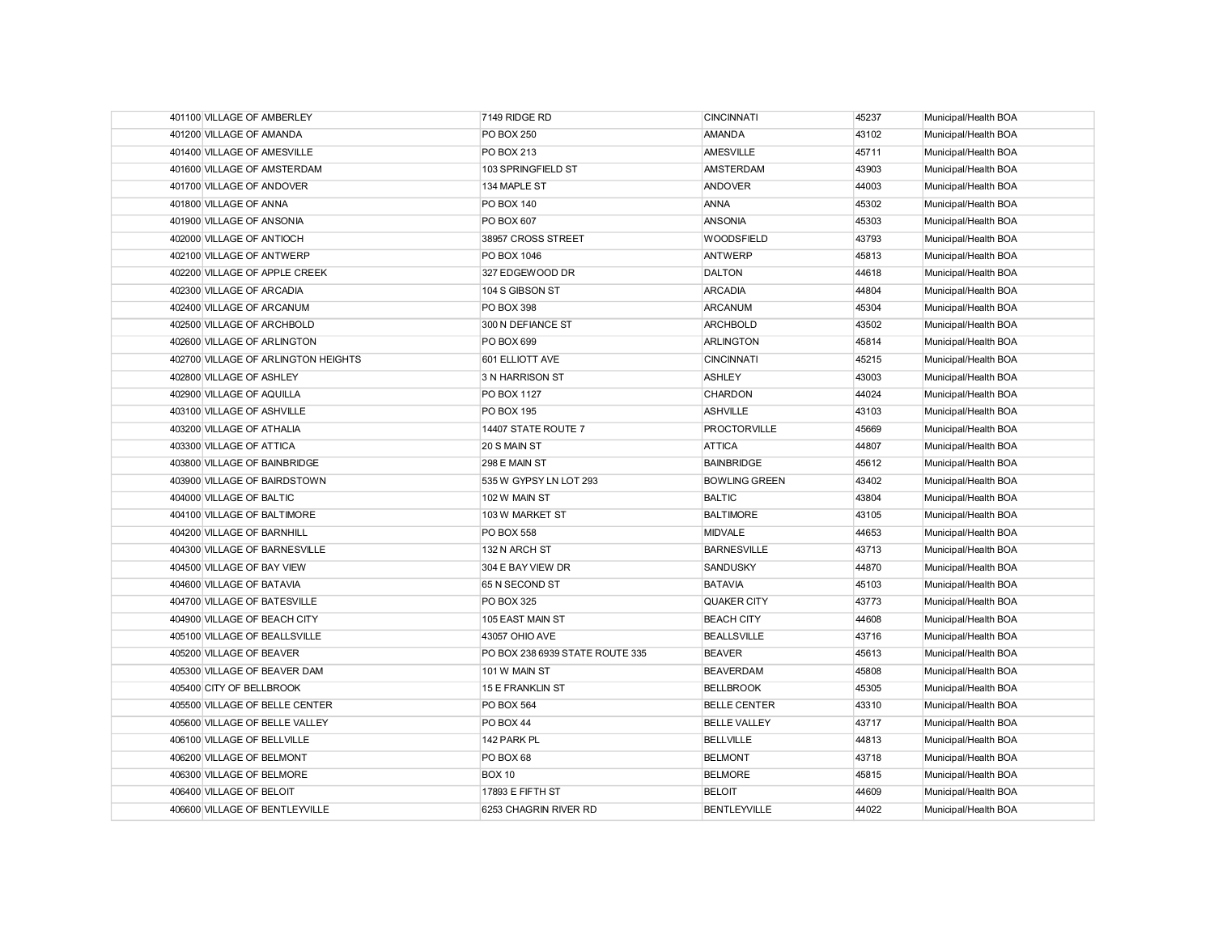| 401100 VILLAGE OF AMBERLEY          | 7149 RIDGE RD                   | <b>CINCINNATI</b>    | 45237 | Municipal/Health BOA |
|-------------------------------------|---------------------------------|----------------------|-------|----------------------|
| 401200 VILLAGE OF AMANDA            | <b>PO BOX 250</b>               | <b>AMANDA</b>        | 43102 | Municipal/Health BOA |
| 401400 VILLAGE OF AMESVILLE         | PO BOX 213                      | <b>AMESVILLE</b>     | 45711 | Municipal/Health BOA |
| 401600 VILLAGE OF AMSTERDAM         | 103 SPRINGFIELD ST              | <b>AMSTERDAM</b>     | 43903 | Municipal/Health BOA |
| 401700 VILLAGE OF ANDOVER           | 134 MAPLE ST                    | <b>ANDOVER</b>       | 44003 | Municipal/Health BOA |
| 401800 VILLAGE OF ANNA              | PO BOX 140                      | <b>ANNA</b>          | 45302 | Municipal/Health BOA |
| 401900 VILLAGE OF ANSONIA           | PO BOX 607                      | <b>ANSONIA</b>       | 45303 | Municipal/Health BOA |
| 402000 VILLAGE OF ANTIOCH           | 38957 CROSS STREET              | <b>WOODSFIELD</b>    | 43793 | Municipal/Health BOA |
| 402100 VILLAGE OF ANTWERP           | PO BOX 1046                     | <b>ANTWERP</b>       | 45813 | Municipal/Health BOA |
| 402200 VILLAGE OF APPLE CREEK       | 327 EDGEWOOD DR                 | <b>DALTON</b>        | 44618 | Municipal/Health BOA |
| 402300 VILLAGE OF ARCADIA           | 104 S GIBSON ST                 | <b>ARCADIA</b>       | 44804 | Municipal/Health BOA |
| 402400 VILLAGE OF ARCANUM           | <b>PO BOX 398</b>               | <b>ARCANUM</b>       | 45304 | Municipal/Health BOA |
| 402500 VILLAGE OF ARCHBOLD          | 300 N DEFIANCE ST               | <b>ARCHBOLD</b>      | 43502 | Municipal/Health BOA |
| 402600 VILLAGE OF ARLINGTON         | <b>PO BOX 699</b>               | <b>ARLINGTON</b>     | 45814 | Municipal/Health BOA |
| 402700 VILLAGE OF ARLINGTON HEIGHTS | 601 ELLIOTT AVE                 | <b>CINCINNATI</b>    | 45215 | Municipal/Health BOA |
| 402800 VILLAGE OF ASHLEY            | 3 N HARRISON ST                 | <b>ASHLEY</b>        | 43003 | Municipal/Health BOA |
| 402900 VILLAGE OF AQUILLA           | PO BOX 1127                     | <b>CHARDON</b>       | 44024 | Municipal/Health BOA |
| 403100 VILLAGE OF ASHVILLE          | PO BOX 195                      | <b>ASHVILLE</b>      | 43103 | Municipal/Health BOA |
| 403200 VILLAGE OF ATHALIA           | 14407 STATE ROUTE 7             | <b>PROCTORVILLE</b>  | 45669 | Municipal/Health BOA |
| 403300 VILLAGE OF ATTICA            | 20 S MAIN ST                    | <b>ATTICA</b>        | 44807 | Municipal/Health BOA |
| 403800 VILLAGE OF BAINBRIDGE        | 298 E MAIN ST                   | <b>BAINBRIDGE</b>    | 45612 | Municipal/Health BOA |
| 403900 VILLAGE OF BAIRDSTOWN        | 535 W GYPSY LN LOT 293          | <b>BOWLING GREEN</b> | 43402 | Municipal/Health BOA |
| 404000 VILLAGE OF BALTIC            | 102 W MAIN ST                   | <b>BALTIC</b>        | 43804 | Municipal/Health BOA |
| 404100 VILLAGE OF BALTIMORE         | 103 W MARKET ST                 | <b>BALTIMORE</b>     | 43105 | Municipal/Health BOA |
| 404200 VILLAGE OF BARNHILL          | <b>PO BOX 558</b>               | <b>MIDVALE</b>       | 44653 | Municipal/Health BOA |
| 404300 VILLAGE OF BARNESVILLE       | 132 N ARCH ST                   | <b>BARNESVILLE</b>   | 43713 | Municipal/Health BOA |
| 404500 VILLAGE OF BAY VIEW          | 304 E BAY VIEW DR               | SANDUSKY             | 44870 | Municipal/Health BOA |
| 404600 VILLAGE OF BATAVIA           | 65 N SECOND ST                  | <b>BATAVIA</b>       | 45103 | Municipal/Health BOA |
| 404700 VILLAGE OF BATESVILLE        | PO BOX 325                      | QUAKER CITY          | 43773 | Municipal/Health BOA |
| 404900 VILLAGE OF BEACH CITY        | 105 EAST MAIN ST                | <b>BEACH CITY</b>    | 44608 | Municipal/Health BOA |
| 405100 VILLAGE OF BEALLSVILLE       | 43057 OHIO AVE                  | <b>BEALLSVILLE</b>   | 43716 | Municipal/Health BOA |
| 405200 VILLAGE OF BEAVER            | PO BOX 238 6939 STATE ROUTE 335 | <b>BEAVER</b>        | 45613 | Municipal/Health BOA |
| 405300 VILLAGE OF BEAVER DAM        | 101 W MAIN ST                   | <b>BEAVERDAM</b>     | 45808 | Municipal/Health BOA |
| 405400 CITY OF BELLBROOK            | 15 E FRANKLIN ST                | <b>BELLBROOK</b>     | 45305 | Municipal/Health BOA |
| 405500 VILLAGE OF BELLE CENTER      | PO BOX 564                      | <b>BELLE CENTER</b>  | 43310 | Municipal/Health BOA |
| 405600 VILLAGE OF BELLE VALLEY      | PO BOX 44                       | <b>BELLE VALLEY</b>  | 43717 | Municipal/Health BOA |
| 406100 VILLAGE OF BELLVILLE         | 142 PARK PL                     | <b>BELLVILLE</b>     | 44813 | Municipal/Health BOA |
| 406200 VILLAGE OF BELMONT           | PO BOX 68                       | <b>BELMONT</b>       | 43718 | Municipal/Health BOA |
| 406300 VILLAGE OF BELMORE           | <b>BOX 10</b>                   | <b>BELMORE</b>       | 45815 | Municipal/Health BOA |
| 406400 VILLAGE OF BELOIT            | 17893 E FIFTH ST                | <b>BELOIT</b>        | 44609 | Municipal/Health BOA |
| 406600 VILLAGE OF BENTLEYVILLE      | 6253 CHAGRIN RIVER RD           | <b>BENTLEYVILLE</b>  | 44022 | Municipal/Health BOA |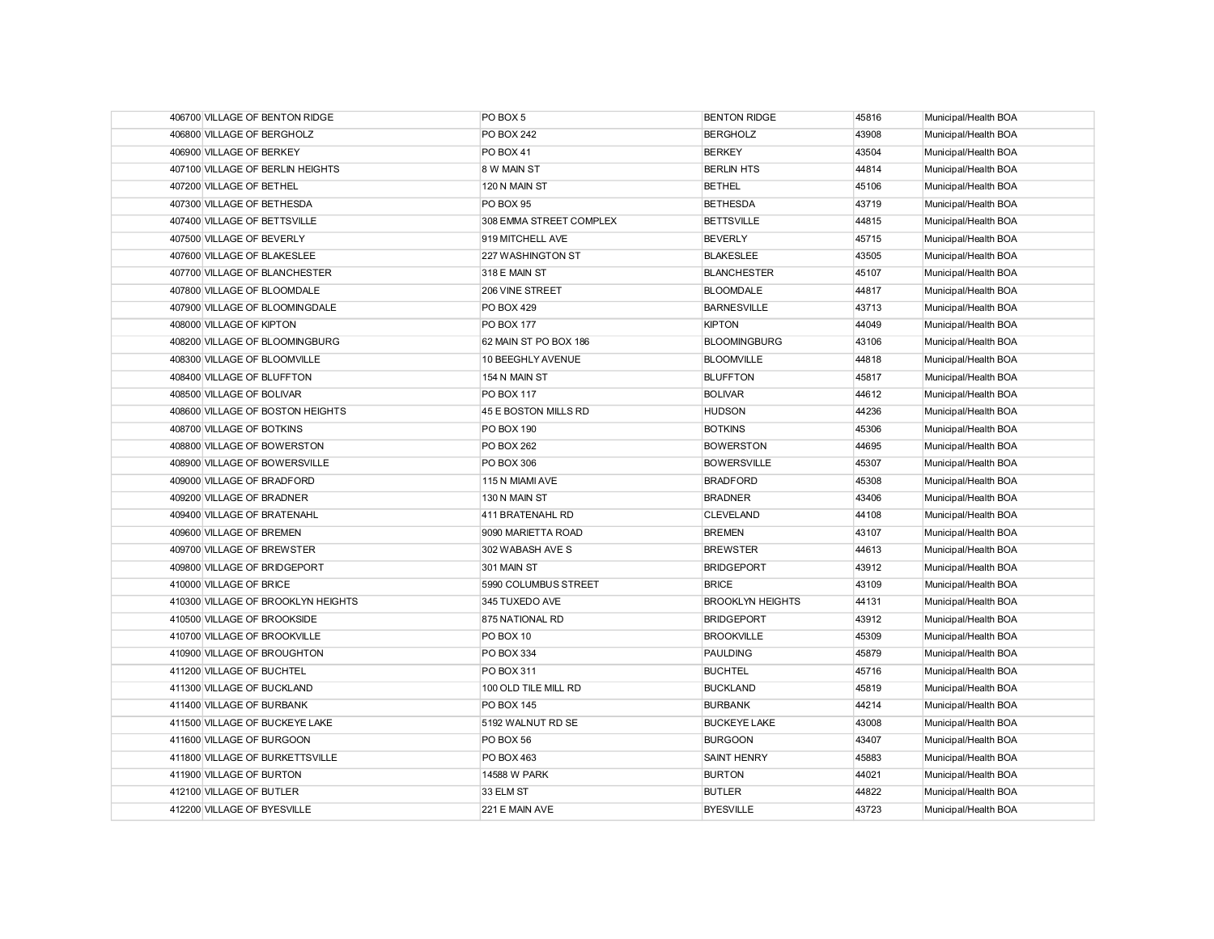| 406700 VILLAGE OF BENTON RIDGE     | PO BOX 5                | <b>BENTON RIDGE</b>     | 45816 | Municipal/Health BOA |
|------------------------------------|-------------------------|-------------------------|-------|----------------------|
| 406800 VILLAGE OF BERGHOLZ         | <b>PO BOX 242</b>       | <b>BERGHOLZ</b>         | 43908 | Municipal/Health BOA |
| 406900 VILLAGE OF BERKEY           | PO BOX 41               | <b>BERKEY</b>           | 43504 | Municipal/Health BOA |
| 407100 VILLAGE OF BERLIN HEIGHTS   | 8 W MAIN ST             | <b>BERLIN HTS</b>       | 44814 | Municipal/Health BOA |
| 407200 VILLAGE OF BETHEL           | 120 N MAIN ST           | <b>BETHEL</b>           | 45106 | Municipal/Health BOA |
| 407300 VILLAGE OF BETHESDA         | PO BOX 95               | <b>BETHESDA</b>         | 43719 | Municipal/Health BOA |
| 407400 VILLAGE OF BETTSVILLE       | 308 EMMA STREET COMPLEX | <b>BETTSVILLE</b>       | 44815 | Municipal/Health BOA |
| 407500 VILLAGE OF BEVERLY          | 919 MITCHELL AVE        | <b>BEVERLY</b>          | 45715 | Municipal/Health BOA |
| 407600 VILLAGE OF BLAKESLEE        | 227 WASHINGTON ST       | <b>BLAKESLEE</b>        | 43505 | Municipal/Health BOA |
| 407700 VILLAGE OF BLANCHESTER      | 318 E MAIN ST           | <b>BLANCHESTER</b>      | 45107 | Municipal/Health BOA |
| 407800 VILLAGE OF BLOOMDALE        | 206 VINE STREET         | <b>BLOOMDALE</b>        | 44817 | Municipal/Health BOA |
| 407900 VILLAGE OF BLOOMINGDALE     | <b>PO BOX 429</b>       | <b>BARNESVILLE</b>      | 43713 | Municipal/Health BOA |
| 408000 VILLAGE OF KIPTON           | <b>PO BOX 177</b>       | <b>KIPTON</b>           | 44049 | Municipal/Health BOA |
| 408200 VILLAGE OF BLOOMINGBURG     | 62 MAIN ST PO BOX 186   | <b>BLOOMINGBURG</b>     | 43106 | Municipal/Health BOA |
| 408300 VILLAGE OF BLOOMVILLE       | 10 BEEGHLY AVENUE       | <b>BLOOMVILLE</b>       | 44818 | Municipal/Health BOA |
| 408400 VILLAGE OF BLUFFTON         | 154 N MAIN ST           | <b>BLUFFTON</b>         | 45817 | Municipal/Health BOA |
| 408500 VILLAGE OF BOLIVAR          | <b>PO BOX 117</b>       | <b>BOLIVAR</b>          | 44612 | Municipal/Health BOA |
| 408600 VILLAGE OF BOSTON HEIGHTS   | 45 E BOSTON MILLS RD    | <b>HUDSON</b>           | 44236 | Municipal/Health BOA |
| 408700 VILLAGE OF BOTKINS          | PO BOX 190              | <b>BOTKINS</b>          | 45306 | Municipal/Health BOA |
| 408800 VILLAGE OF BOWERSTON        | <b>PO BOX 262</b>       | <b>BOWERSTON</b>        | 44695 | Municipal/Health BOA |
| 408900 VILLAGE OF BOWERSVILLE      | <b>PO BOX 306</b>       | <b>BOWERSVILLE</b>      | 45307 | Municipal/Health BOA |
| 409000 VILLAGE OF BRADFORD         | 115 N MIAMI AVE         | <b>BRADFORD</b>         | 45308 | Municipal/Health BOA |
| 409200 VILLAGE OF BRADNER          | 130 N MAIN ST           | <b>BRADNER</b>          | 43406 | Municipal/Health BOA |
| 409400 VILLAGE OF BRATENAHL        | 411 BRATENAHL RD        | <b>CLEVELAND</b>        | 44108 | Municipal/Health BOA |
| 409600 VILLAGE OF BREMEN           | 9090 MARIETTA ROAD      | <b>BREMEN</b>           | 43107 | Municipal/Health BOA |
| 409700 VILLAGE OF BREWSTER         | 302 WABASH AVE S        | <b>BREWSTER</b>         | 44613 | Municipal/Health BOA |
| 409800 VILLAGE OF BRIDGEPORT       | 301 MAIN ST             | <b>BRIDGEPORT</b>       | 43912 | Municipal/Health BOA |
| 410000 VILLAGE OF BRICE            | 5990 COLUMBUS STREET    | <b>BRICE</b>            | 43109 | Municipal/Health BOA |
| 410300 VILLAGE OF BROOKLYN HEIGHTS | 345 TUXEDO AVE          | <b>BROOKLYN HEIGHTS</b> | 44131 | Municipal/Health BOA |
| 410500 VILLAGE OF BROOKSIDE        | 875 NATIONAL RD         | <b>BRIDGEPORT</b>       | 43912 | Municipal/Health BOA |
| 410700 VILLAGE OF BROOKVILLE       | PO BOX 10               | <b>BROOKVILLE</b>       | 45309 | Municipal/Health BOA |
| 410900 VILLAGE OF BROUGHTON        | PO BOX 334              | <b>PAULDING</b>         | 45879 | Municipal/Health BOA |
| 411200 VILLAGE OF BUCHTEL          | <b>PO BOX 311</b>       | <b>BUCHTEL</b>          | 45716 | Municipal/Health BOA |
| 411300 VILLAGE OF BUCKLAND         | 100 OLD TILE MILL RD    | <b>BUCKLAND</b>         | 45819 | Municipal/Health BOA |
| 411400 VILLAGE OF BURBANK          | <b>PO BOX 145</b>       | <b>BURBANK</b>          | 44214 | Municipal/Health BOA |
| 411500 VILLAGE OF BUCKEYE LAKE     | 5192 WALNUT RD SE       | <b>BUCKEYE LAKE</b>     | 43008 | Municipal/Health BOA |
| 411600 VILLAGE OF BURGOON          | PO BOX 56               | <b>BURGOON</b>          | 43407 | Municipal/Health BOA |
| 411800 VILLAGE OF BURKETTSVILLE    | PO BOX 463              | <b>SAINT HENRY</b>      | 45883 | Municipal/Health BOA |
| 411900 VILLAGE OF BURTON           | 14588 W PARK            | <b>BURTON</b>           | 44021 | Municipal/Health BOA |
| 412100 VILLAGE OF BUTLER           | 33 ELM ST               | <b>BUTLER</b>           | 44822 | Municipal/Health BOA |
| 412200 VILLAGE OF BYESVILLE        | 221 E MAIN AVE          | <b>BYESVILLE</b>        | 43723 | Municipal/Health BOA |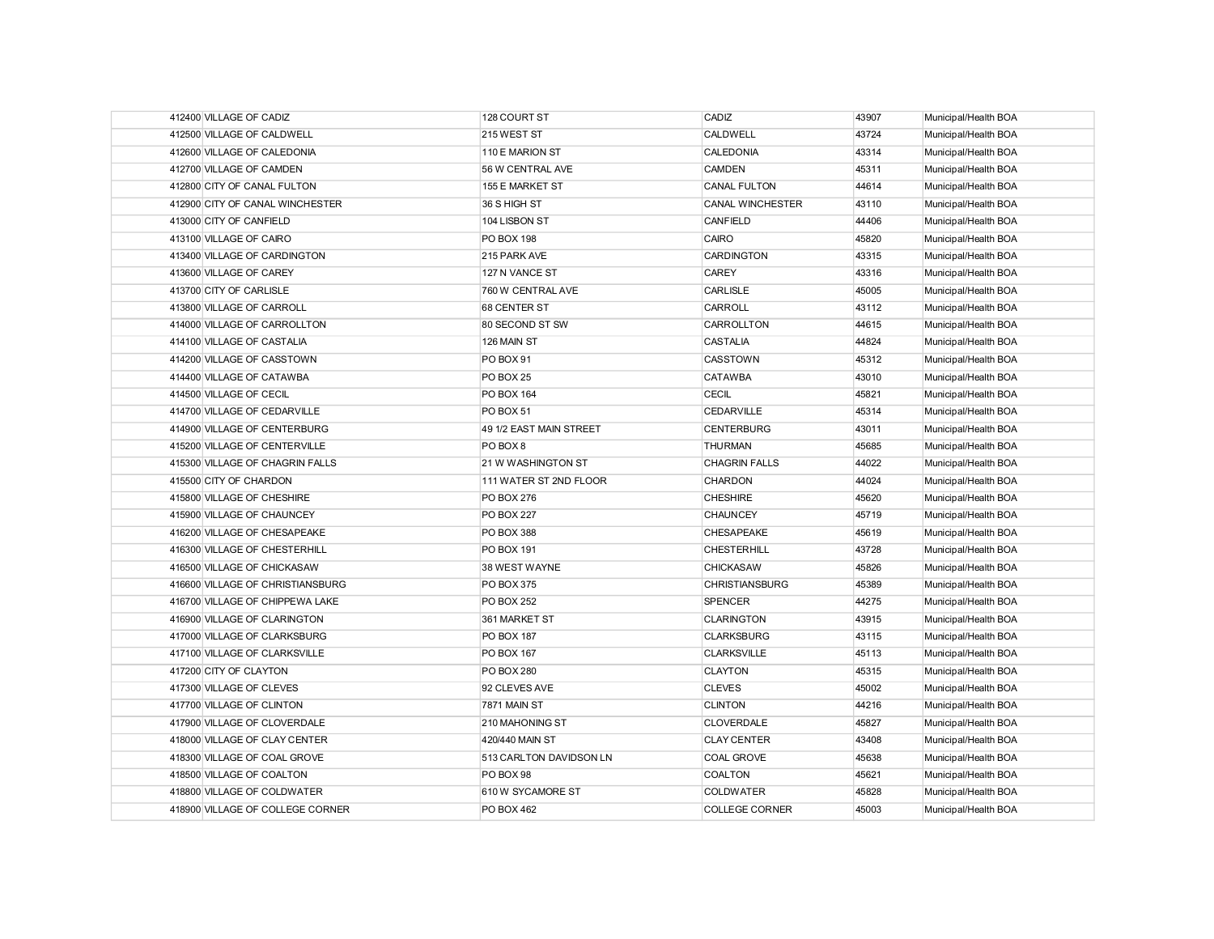| 412400 VILLAGE OF CADIZ          | 128 COURT ST            | CADIZ                 | 43907 | Municipal/Health BOA |
|----------------------------------|-------------------------|-----------------------|-------|----------------------|
| 412500 VILLAGE OF CALDWELL       | 215 WEST ST             | CALDWELL              | 43724 | Municipal/Health BOA |
| 412600 VILLAGE OF CALEDONIA      | 110 E MARION ST         | CALEDONIA             | 43314 | Municipal/Health BOA |
| 412700 VILLAGE OF CAMDEN         | 56 W CENTRAL AVE        | CAMDEN                | 45311 | Municipal/Health BOA |
| 412800 CITY OF CANAL FULTON      | 155 E MARKET ST         | <b>CANAL FULTON</b>   | 44614 | Municipal/Health BOA |
| 412900 CITY OF CANAL WINCHESTER  | 36 S HIGH ST            | CANAL WINCHESTER      | 43110 | Municipal/Health BOA |
| 413000 CITY OF CANFIELD          | 104 LISBON ST           | <b>CANFIELD</b>       | 44406 | Municipal/Health BOA |
| 413100 VILLAGE OF CAIRO          | <b>PO BOX 198</b>       | CAIRO                 | 45820 | Municipal/Health BOA |
| 413400 VILLAGE OF CARDINGTON     | 215 PARK AVE            | <b>CARDINGTON</b>     | 43315 | Municipal/Health BOA |
| 413600 VILLAGE OF CAREY          | 127 N VANCE ST          | CAREY                 | 43316 | Municipal/Health BOA |
| 413700 CITY OF CARLISLE          | 760 W CENTRAL AVE       | <b>CARLISLE</b>       | 45005 | Municipal/Health BOA |
| 413800 VILLAGE OF CARROLL        | 68 CENTER ST            | CARROLL               | 43112 | Municipal/Health BOA |
| 414000 VILLAGE OF CARROLLTON     | 80 SECOND ST SW         | CARROLLTON            | 44615 | Municipal/Health BOA |
| 414100 VILLAGE OF CASTALIA       | 126 MAIN ST             | CASTALIA              | 44824 | Municipal/Health BOA |
| 414200 VILLAGE OF CASSTOWN       | PO BOX 91               | <b>CASSTOWN</b>       | 45312 | Municipal/Health BOA |
| 414400 VILLAGE OF CATAWBA        | PO BOX 25               | <b>CATAWBA</b>        | 43010 | Municipal/Health BOA |
| 414500 VILLAGE OF CECIL          | PO BOX 164              | <b>CECIL</b>          | 45821 | Municipal/Health BOA |
| 414700 VILLAGE OF CEDARVILLE     | PO BOX 51               | <b>CEDARVILLE</b>     | 45314 | Municipal/Health BOA |
| 414900 VILLAGE OF CENTERBURG     | 49 1/2 EAST MAIN STREET | <b>CENTERBURG</b>     | 43011 | Municipal/Health BOA |
| 415200 VILLAGE OF CENTERVILLE    | PO BOX 8                | <b>THURMAN</b>        | 45685 | Municipal/Health BOA |
| 415300 VILLAGE OF CHAGRIN FALLS  | 21 W WASHINGTON ST      | <b>CHAGRIN FALLS</b>  | 44022 | Municipal/Health BOA |
| 415500 CITY OF CHARDON           | 111 WATER ST 2ND FLOOR  | CHARDON               | 44024 | Municipal/Health BOA |
| 415800 VILLAGE OF CHESHIRE       | <b>PO BOX 276</b>       | <b>CHESHIRE</b>       | 45620 | Municipal/Health BOA |
| 415900 VILLAGE OF CHAUNCEY       | <b>PO BOX 227</b>       | <b>CHAUNCEY</b>       | 45719 | Municipal/Health BOA |
| 416200 VILLAGE OF CHESAPEAKE     | <b>PO BOX 388</b>       | CHESAPEAKE            | 45619 | Municipal/Health BOA |
| 416300 VILLAGE OF CHESTERHILL    | <b>PO BOX 191</b>       | <b>CHESTERHILL</b>    | 43728 | Municipal/Health BOA |
| 416500 VILLAGE OF CHICKASAW      | 38 WEST WAYNE           | <b>CHICKASAW</b>      | 45826 | Municipal/Health BOA |
| 416600 VILLAGE OF CHRISTIANSBURG | <b>PO BOX 375</b>       | <b>CHRISTIANSBURG</b> | 45389 | Municipal/Health BOA |
| 416700 VILLAGE OF CHIPPEWA LAKE  | <b>PO BOX 252</b>       | <b>SPENCER</b>        | 44275 | Municipal/Health BOA |
| 416900 VILLAGE OF CLARINGTON     | 361 MARKET ST           | <b>CLARINGTON</b>     | 43915 | Municipal/Health BOA |
| 417000 VILLAGE OF CLARKSBURG     | <b>PO BOX 187</b>       | <b>CLARKSBURG</b>     | 43115 | Municipal/Health BOA |
| 417100 VILLAGE OF CLARKSVILLE    | <b>PO BOX 167</b>       | <b>CLARKSVILLE</b>    | 45113 | Municipal/Health BOA |
| 417200 CITY OF CLAYTON           | <b>PO BOX 280</b>       | <b>CLAYTON</b>        | 45315 | Municipal/Health BOA |
| 417300 VILLAGE OF CLEVES         | 92 CLEVES AVE           | <b>CLEVES</b>         | 45002 | Municipal/Health BOA |
| 417700 VILLAGE OF CLINTON        | 7871 MAIN ST            | <b>CLINTON</b>        | 44216 | Municipal/Health BOA |
| 417900 VILLAGE OF CLOVERDALE     | 210 MAHONING ST         | CLOVERDALE            | 45827 | Municipal/Health BOA |
| 418000 VILLAGE OF CLAY CENTER    | 420/440 MAIN ST         | <b>CLAY CENTER</b>    | 43408 | Municipal/Health BOA |
| 418300 VILLAGE OF COAL GROVE     | 513 CARLTON DAVIDSON LN | COAL GROVE            | 45638 | Municipal/Health BOA |
| 418500 VILLAGE OF COALTON        | PO BOX 98               | COALTON               | 45621 | Municipal/Health BOA |
| 418800 VILLAGE OF COLDWATER      | 610 W SYCAMORE ST       | <b>COLDWATER</b>      | 45828 | Municipal/Health BOA |
| 418900 VILLAGE OF COLLEGE CORNER | <b>PO BOX 462</b>       | <b>COLLEGE CORNER</b> | 45003 | Municipal/Health BOA |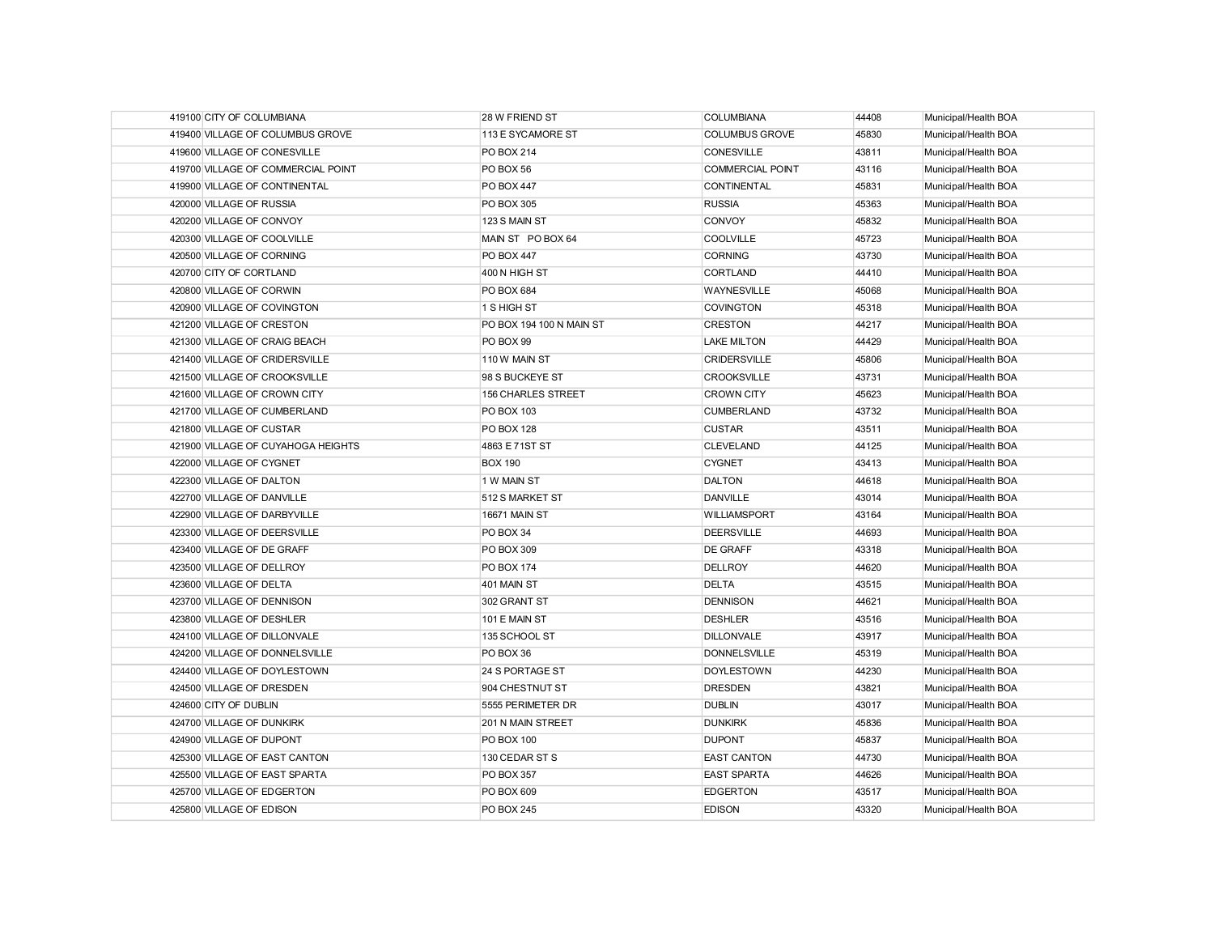| 419100 CITY OF COLUMBIANA          | 28 W FRIEND ST           | <b>COLUMBIANA</b>       | 44408 | Municipal/Health BOA |
|------------------------------------|--------------------------|-------------------------|-------|----------------------|
| 419400 VILLAGE OF COLUMBUS GROVE   | 113 E SYCAMORE ST        | <b>COLUMBUS GROVE</b>   | 45830 | Municipal/Health BOA |
| 419600 VILLAGE OF CONESVILLE       | <b>PO BOX 214</b>        | <b>CONESVILLE</b>       | 43811 | Municipal/Health BOA |
| 419700 VILLAGE OF COMMERCIAL POINT | PO BOX 56                | <b>COMMERCIAL POINT</b> | 43116 | Municipal/Health BOA |
| 419900 VILLAGE OF CONTINENTAL      | <b>PO BOX 447</b>        | CONTINENTAL             | 45831 | Municipal/Health BOA |
| 420000 VILLAGE OF RUSSIA           | <b>PO BOX 305</b>        | <b>RUSSIA</b>           | 45363 | Municipal/Health BOA |
| 420200 VILLAGE OF CONVOY           | 123 S MAIN ST            | CONVOY                  | 45832 | Municipal/Health BOA |
| 420300 VILLAGE OF COOLVILLE        | MAIN ST PO BOX 64        | <b>COOLVILLE</b>        | 45723 | Municipal/Health BOA |
| 420500 VILLAGE OF CORNING          | <b>PO BOX 447</b>        | <b>CORNING</b>          | 43730 | Municipal/Health BOA |
| 420700 CITY OF CORTLAND            | 400 N HIGH ST            | <b>CORTLAND</b>         | 44410 | Municipal/Health BOA |
| 420800 VILLAGE OF CORWIN           | PO BOX 684               | <b>WAYNESVILLE</b>      | 45068 | Municipal/Health BOA |
| 420900 VILLAGE OF COVINGTON        | 1 S HIGH ST              | <b>COVINGTON</b>        | 45318 | Municipal/Health BOA |
| 421200 VILLAGE OF CRESTON          | PO BOX 194 100 N MAIN ST | <b>CRESTON</b>          | 44217 | Municipal/Health BOA |
| 421300 VILLAGE OF CRAIG BEACH      | PO BOX 99                | <b>LAKE MILTON</b>      | 44429 | Municipal/Health BOA |
| 421400 VILLAGE OF CRIDERSVILLE     | 110 W MAIN ST            | <b>CRIDERSVILLE</b>     | 45806 | Municipal/Health BOA |
| 421500 VILLAGE OF CROOKSVILLE      | 98 S BUCKEYE ST          | <b>CROOKSVILLE</b>      | 43731 | Municipal/Health BOA |
| 421600 VILLAGE OF CROWN CITY       | 156 CHARLES STREET       | <b>CROWN CITY</b>       | 45623 | Municipal/Health BOA |
| 421700 VILLAGE OF CUMBERLAND       | PO BOX 103               | <b>CUMBERLAND</b>       | 43732 | Municipal/Health BOA |
| 421800 VILLAGE OF CUSTAR           | <b>PO BOX 128</b>        | <b>CUSTAR</b>           | 43511 | Municipal/Health BOA |
| 421900 VILLAGE OF CUYAHOGA HEIGHTS | 4863 E 71ST ST           | <b>CLEVELAND</b>        | 44125 | Municipal/Health BOA |
| 422000 VILLAGE OF CYGNET           | <b>BOX 190</b>           | <b>CYGNET</b>           | 43413 | Municipal/Health BOA |
| 422300 VILLAGE OF DALTON           | 1 W MAIN ST              | <b>DALTON</b>           | 44618 | Municipal/Health BOA |
| 422700 VILLAGE OF DANVILLE         | 512 S MARKET ST          | <b>DANVILLE</b>         | 43014 | Municipal/Health BOA |
| 422900 VILLAGE OF DARBYVILLE       | <b>16671 MAIN ST</b>     | <b>WILLIAMSPORT</b>     | 43164 | Municipal/Health BOA |
| 423300 VILLAGE OF DEERSVILLE       | PO BOX 34                | <b>DEERSVILLE</b>       | 44693 | Municipal/Health BOA |
| 423400 VILLAGE OF DE GRAFF         | PO BOX 309               | <b>DE GRAFF</b>         | 43318 | Municipal/Health BOA |
| 423500 VILLAGE OF DELLROY          | <b>PO BOX 174</b>        | <b>DELLROY</b>          | 44620 | Municipal/Health BOA |
| 423600 VILLAGE OF DELTA            | 401 MAIN ST              | <b>DELTA</b>            | 43515 | Municipal/Health BOA |
| 423700 VILLAGE OF DENNISON         | 302 GRANT ST             | <b>DENNISON</b>         | 44621 | Municipal/Health BOA |
| 423800 VILLAGE OF DESHLER          | 101 E MAIN ST            | <b>DESHLER</b>          | 43516 | Municipal/Health BOA |
| 424100 VILLAGE OF DILLONVALE       | 135 SCHOOL ST            | <b>DILLONVALE</b>       | 43917 | Municipal/Health BOA |
| 424200 VILLAGE OF DONNELSVILLE     | PO BOX 36                | <b>DONNELSVILLE</b>     | 45319 | Municipal/Health BOA |
| 424400 VILLAGE OF DOYLESTOWN       | 24 S PORTAGE ST          | <b>DOYLESTOWN</b>       | 44230 | Municipal/Health BOA |
| 424500 VILLAGE OF DRESDEN          | 904 CHESTNUT ST          | <b>DRESDEN</b>          | 43821 | Municipal/Health BOA |
| 424600 CITY OF DUBLIN              | 5555 PERIMETER DR        | <b>DUBLIN</b>           | 43017 | Municipal/Health BOA |
| 424700 VILLAGE OF DUNKIRK          | 201 N MAIN STREET        | <b>DUNKIRK</b>          | 45836 | Municipal/Health BOA |
| 424900 VILLAGE OF DUPONT           | <b>PO BOX 100</b>        | <b>DUPONT</b>           | 45837 | Municipal/Health BOA |
| 425300 VILLAGE OF EAST CANTON      | 130 CEDAR ST S           | <b>EAST CANTON</b>      | 44730 | Municipal/Health BOA |
| 425500 VILLAGE OF EAST SPARTA      | PO BOX 357               | <b>EAST SPARTA</b>      | 44626 | Municipal/Health BOA |
| 425700 VILLAGE OF EDGERTON         | <b>PO BOX 609</b>        | <b>EDGERTON</b>         | 43517 | Municipal/Health BOA |
| 425800 VILLAGE OF EDISON           | <b>PO BOX 245</b>        | <b>EDISON</b>           | 43320 | Municipal/Health BOA |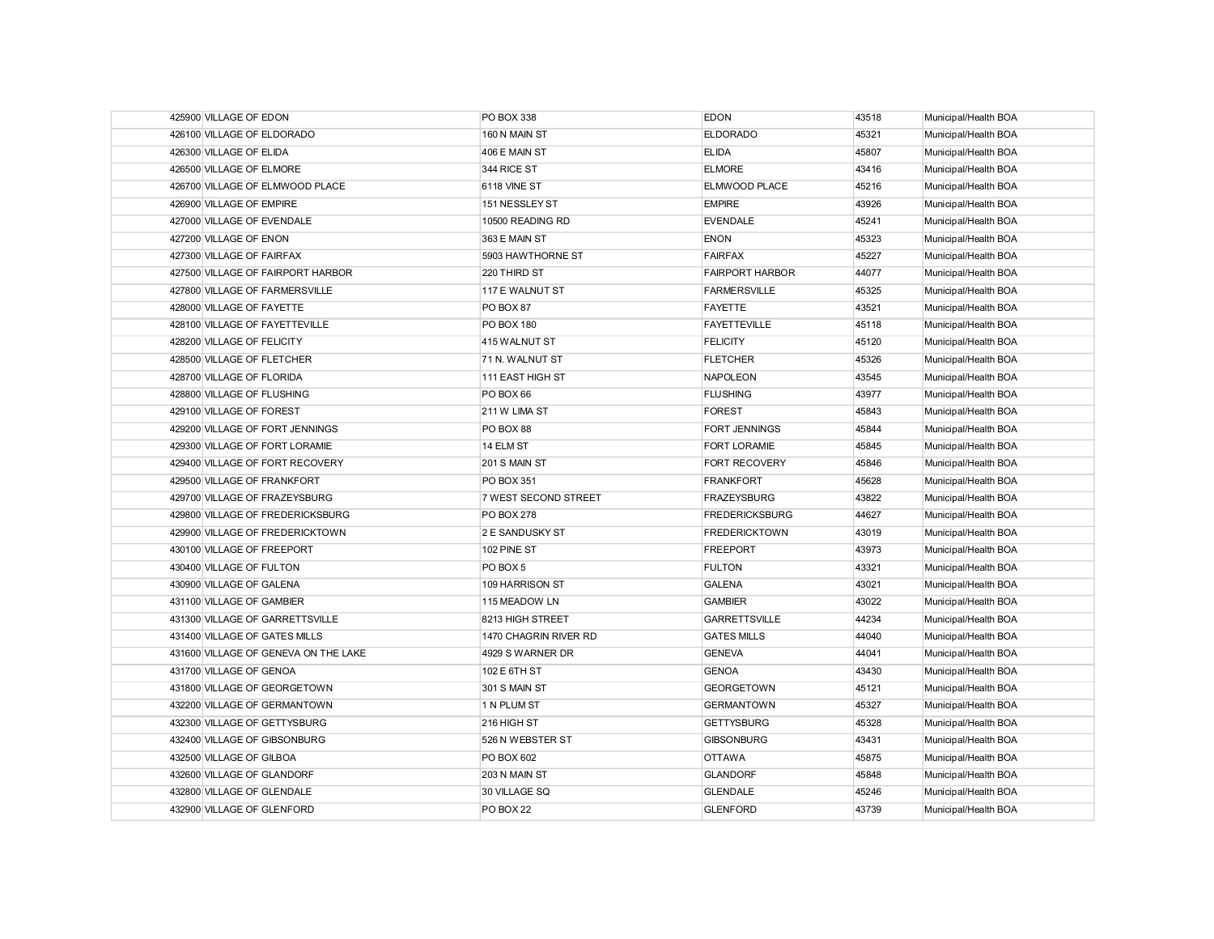| 425900 VILLAGE OF EDON               | <b>PO BOX 338</b>     | <b>EDON</b>            | 43518 | Municipal/Health BOA |
|--------------------------------------|-----------------------|------------------------|-------|----------------------|
| 426100 VILLAGE OF ELDORADO           | 160 N MAIN ST         | <b>ELDORADO</b>        | 45321 | Municipal/Health BOA |
| 426300 VILLAGE OF ELIDA              | 406 E MAIN ST         | <b>ELIDA</b>           | 45807 | Municipal/Health BOA |
| 426500 VILLAGE OF ELMORE             | 344 RICE ST           | <b>ELMORE</b>          | 43416 | Municipal/Health BOA |
| 426700 VILLAGE OF ELMWOOD PLACE      | 6118 VINE ST          | ELMWOOD PLACE          | 45216 | Municipal/Health BOA |
| 426900 VILLAGE OF EMPIRE             | 151 NESSLEY ST        | <b>EMPIRE</b>          | 43926 | Municipal/Health BOA |
| 427000 VILLAGE OF EVENDALE           | 10500 READING RD      | <b>EVENDALE</b>        | 45241 | Municipal/Health BOA |
| 427200 VILLAGE OF ENON               | 363 E MAIN ST         | <b>ENON</b>            | 45323 | Municipal/Health BOA |
| 427300 VILLAGE OF FAIRFAX            | 5903 HAWTHORNE ST     | <b>FAIRFAX</b>         | 45227 | Municipal/Health BOA |
| 427500 VILLAGE OF FAIRPORT HARBOR    | 220 THIRD ST          | <b>FAIRPORT HARBOR</b> | 44077 | Municipal/Health BOA |
| 427800 VILLAGE OF FARMERSVILLE       | 117 E WALNUT ST       | <b>FARMERSVILLE</b>    | 45325 | Municipal/Health BOA |
| 428000 VILLAGE OF FAYETTE            | PO BOX 87             | <b>FAYETTE</b>         | 43521 | Municipal/Health BOA |
| 428100 VILLAGE OF FAYETTEVILLE       | <b>PO BOX 180</b>     | <b>FAYETTEVILLE</b>    | 45118 | Municipal/Health BOA |
| 428200 VILLAGE OF FELICITY           | 415 WALNUT ST         | <b>FELICITY</b>        | 45120 | Municipal/Health BOA |
| 428500 VILLAGE OF FLETCHER           | 71 N. WALNUT ST       | <b>FLETCHER</b>        | 45326 | Municipal/Health BOA |
| 428700 VILLAGE OF FLORIDA            | 111 EAST HIGH ST      | <b>NAPOLEON</b>        | 43545 | Municipal/Health BOA |
| 428800 VILLAGE OF FLUSHING           | PO BOX 66             | <b>FLUSHING</b>        | 43977 | Municipal/Health BOA |
| 429100 VILLAGE OF FOREST             | 211 W LIMA ST         | <b>FOREST</b>          | 45843 | Municipal/Health BOA |
| 429200 VILLAGE OF FORT JENNINGS      | PO BOX 88             | <b>FORT JENNINGS</b>   | 45844 | Municipal/Health BOA |
| 429300 VILLAGE OF FORT LORAMIE       | 14 ELM ST             | FORT LORAMIE           | 45845 | Municipal/Health BOA |
| 429400 VILLAGE OF FORT RECOVERY      | 201 S MAIN ST         | <b>FORT RECOVERY</b>   | 45846 | Municipal/Health BOA |
| 429500 VILLAGE OF FRANKFORT          | PO BOX 351            | <b>FRANKFORT</b>       | 45628 | Municipal/Health BOA |
| 429700 VILLAGE OF FRAZEYSBURG        | 7 WEST SECOND STREET  | <b>FRAZEYSBURG</b>     | 43822 | Municipal/Health BOA |
| 429800 VILLAGE OF FREDERICKSBURG     | <b>PO BOX 278</b>     | <b>FREDERICKSBURG</b>  | 44627 | Municipal/Health BOA |
| 429900 VILLAGE OF FREDERICKTOWN      | 2 E SANDUSKY ST       | <b>FREDERICKTOWN</b>   | 43019 | Municipal/Health BOA |
| 430100 VILLAGE OF FREEPORT           | 102 PINE ST           | <b>FREEPORT</b>        | 43973 | Municipal/Health BOA |
| 430400 VILLAGE OF FULTON             | PO BOX 5              | <b>FULTON</b>          | 43321 | Municipal/Health BOA |
| 430900 VILLAGE OF GALENA             | 109 HARRISON ST       | <b>GALENA</b>          | 43021 | Municipal/Health BOA |
| 431100 VILLAGE OF GAMBIER            | 115 MEADOW LN         | <b>GAMBIER</b>         | 43022 | Municipal/Health BOA |
| 431300 VILLAGE OF GARRETTSVILLE      | 8213 HIGH STREET      | <b>GARRETTSVILLE</b>   | 44234 | Municipal/Health BOA |
| 431400 VILLAGE OF GATES MILLS        | 1470 CHAGRIN RIVER RD | <b>GATES MILLS</b>     | 44040 | Municipal/Health BOA |
| 431600 VILLAGE OF GENEVA ON THE LAKE | 4929 S WARNER DR      | <b>GENEVA</b>          | 44041 | Municipal/Health BOA |
| 431700 VILLAGE OF GENOA              | 102 E 6TH ST          | <b>GENOA</b>           | 43430 | Municipal/Health BOA |
| 431800 VILLAGE OF GEORGETOWN         | 301 S MAIN ST         | <b>GEORGETOWN</b>      | 45121 | Municipal/Health BOA |
| 432200 VILLAGE OF GERMANTOWN         | 1 N PLUM ST           | <b>GERMANTOWN</b>      | 45327 | Municipal/Health BOA |
| 432300 VILLAGE OF GETTYSBURG         | 216 HIGH ST           | <b>GETTYSBURG</b>      | 45328 | Municipal/Health BOA |
| 432400 VILLAGE OF GIBSONBURG         | 526 N WEBSTER ST      | <b>GIBSONBURG</b>      | 43431 | Municipal/Health BOA |
| 432500 VILLAGE OF GILBOA             | PO BOX 602            | <b>OTTAWA</b>          | 45875 | Municipal/Health BOA |
| 432600 VILLAGE OF GLANDORF           | 203 N MAIN ST         | <b>GLANDORF</b>        | 45848 | Municipal/Health BOA |
| 432800 VILLAGE OF GLENDALE           | 30 VILLAGE SQ         | <b>GLENDALE</b>        | 45246 | Municipal/Health BOA |
| 432900 VILLAGE OF GLENFORD           | PO BOX 22             | <b>GLENFORD</b>        | 43739 | Municipal/Health BOA |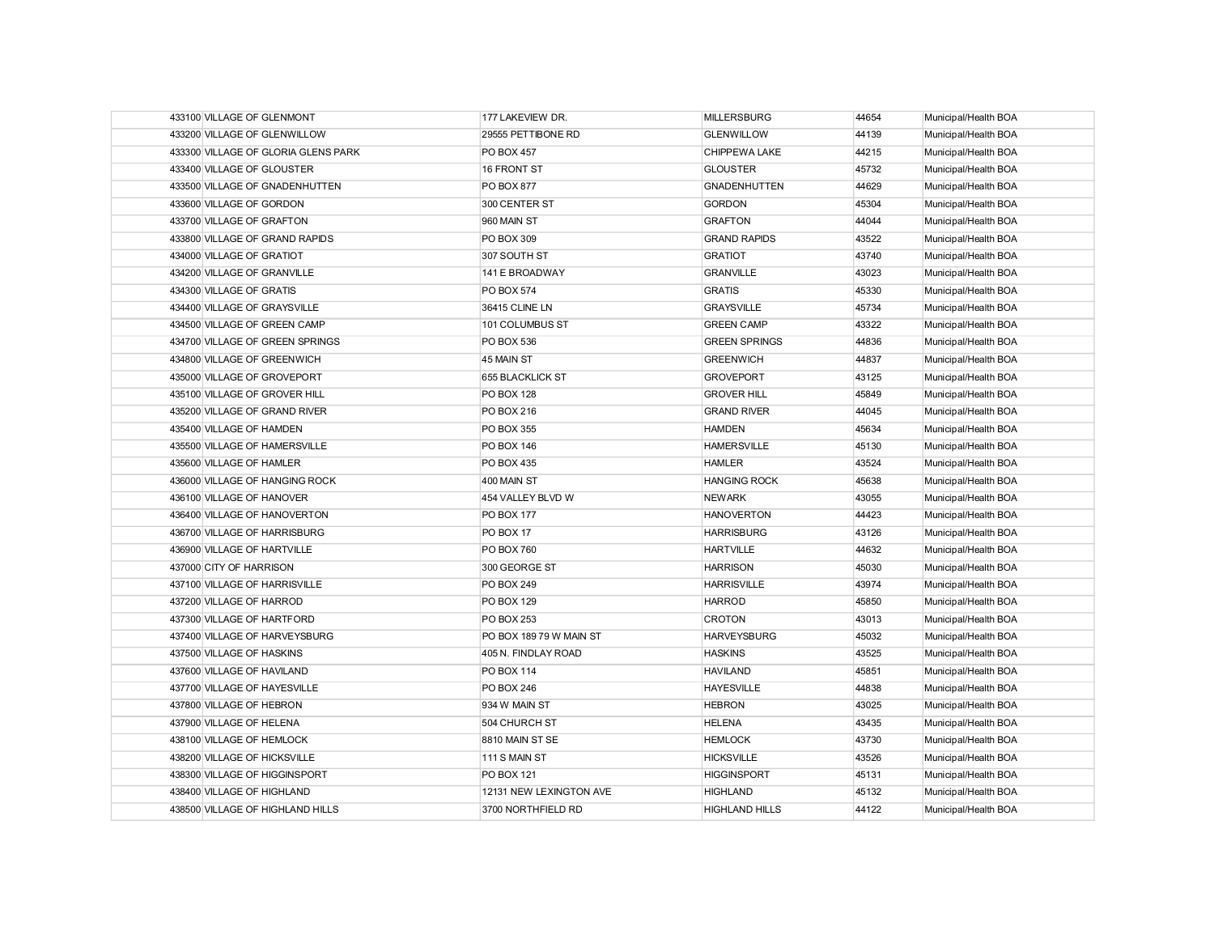| 433100 VILLAGE OF GLENMONT          | 177 LAKEVIEW DR.        | <b>MILLERSBURG</b>    | 44654 | Municipal/Health BOA |
|-------------------------------------|-------------------------|-----------------------|-------|----------------------|
| 433200 VILLAGE OF GLENWILLOW        | 29555 PETTIBONE RD      | <b>GLENWILLOW</b>     | 44139 | Municipal/Health BOA |
| 433300 VILLAGE OF GLORIA GLENS PARK | <b>PO BOX 457</b>       | CHIPPEWA LAKE         | 44215 | Municipal/Health BOA |
| 433400 VILLAGE OF GLOUSTER          | 16 FRONT ST             | <b>GLOUSTER</b>       | 45732 | Municipal/Health BOA |
| 433500 VILLAGE OF GNADENHUTTEN      | <b>PO BOX 877</b>       | <b>GNADENHUTTEN</b>   | 44629 | Municipal/Health BOA |
| 433600 VILLAGE OF GORDON            | 300 CENTER ST           | <b>GORDON</b>         | 45304 | Municipal/Health BOA |
| 433700 VILLAGE OF GRAFTON           | 960 MAIN ST             | <b>GRAFTON</b>        | 44044 | Municipal/Health BOA |
| 433800 VILLAGE OF GRAND RAPIDS      | <b>PO BOX 309</b>       | <b>GRAND RAPIDS</b>   | 43522 | Municipal/Health BOA |
| 434000 VILLAGE OF GRATIOT           | 307 SOUTH ST            | <b>GRATIOT</b>        | 43740 | Municipal/Health BOA |
| 434200 VILLAGE OF GRANVILLE         | 141 E BROADWAY          | <b>GRANVILLE</b>      | 43023 | Municipal/Health BOA |
| 434300 VILLAGE OF GRATIS            | <b>PO BOX 574</b>       | <b>GRATIS</b>         | 45330 | Municipal/Health BOA |
| 434400 VILLAGE OF GRAYSVILLE        | 36415 CLINE LN          | <b>GRAYSVILLE</b>     | 45734 | Municipal/Health BOA |
| 434500 VILLAGE OF GREEN CAMP        | 101 COLUMBUS ST         | <b>GREEN CAMP</b>     | 43322 | Municipal/Health BOA |
| 434700 VILLAGE OF GREEN SPRINGS     | <b>PO BOX 536</b>       | <b>GREEN SPRINGS</b>  | 44836 | Municipal/Health BOA |
| 434800 VILLAGE OF GREENWICH         | 45 MAIN ST              | <b>GREENWICH</b>      | 44837 | Municipal/Health BOA |
| 435000 VILLAGE OF GROVEPORT         | 655 BLACKLICK ST        | <b>GROVEPORT</b>      | 43125 | Municipal/Health BOA |
| 435100 VILLAGE OF GROVER HILL       | <b>PO BOX 128</b>       | <b>GROVER HILL</b>    | 45849 | Municipal/Health BOA |
| 435200 VILLAGE OF GRAND RIVER       | PO BOX 216              | <b>GRAND RIVER</b>    | 44045 | Municipal/Health BOA |
| 435400 VILLAGE OF HAMDEN            | PO BOX 355              | <b>HAMDEN</b>         | 45634 | Municipal/Health BOA |
| 435500 VILLAGE OF HAMERSVILLE       | <b>PO BOX 146</b>       | <b>HAMERSVILLE</b>    | 45130 | Municipal/Health BOA |
| 435600 VILLAGE OF HAMLER            | <b>PO BOX 435</b>       | <b>HAMLER</b>         | 43524 | Municipal/Health BOA |
| 436000 VILLAGE OF HANGING ROCK      | 400 MAIN ST             | <b>HANGING ROCK</b>   | 45638 | Municipal/Health BOA |
| 436100 VILLAGE OF HANOVER           | 454 VALLEY BLVD W       | <b>NEWARK</b>         | 43055 | Municipal/Health BOA |
| 436400 VILLAGE OF HANOVERTON        | <b>PO BOX 177</b>       | <b>HANOVERTON</b>     | 44423 | Municipal/Health BOA |
| 436700 VILLAGE OF HARRISBURG        | PO BOX 17               | <b>HARRISBURG</b>     | 43126 | Municipal/Health BOA |
| 436900 VILLAGE OF HARTVILLE         | <b>PO BOX 760</b>       | <b>HARTVILLE</b>      | 44632 | Municipal/Health BOA |
| 437000 CITY OF HARRISON             | 300 GEORGE ST           | <b>HARRISON</b>       | 45030 | Municipal/Health BOA |
| 437100 VILLAGE OF HARRISVILLE       | <b>PO BOX 249</b>       | <b>HARRISVILLE</b>    | 43974 | Municipal/Health BOA |
| 437200 VILLAGE OF HARROD            | PO BOX 129              | <b>HARROD</b>         | 45850 | Municipal/Health BOA |
| 437300 VILLAGE OF HARTFORD          | PO BOX 253              | <b>CROTON</b>         | 43013 | Municipal/Health BOA |
| 437400 VILLAGE OF HARVEYSBURG       | PO BOX 189 79 W MAIN ST | <b>HARVEYSBURG</b>    | 45032 | Municipal/Health BOA |
| 437500 VILLAGE OF HASKINS           | 405 N. FINDLAY ROAD     | <b>HASKINS</b>        | 43525 | Municipal/Health BOA |
| 437600 VILLAGE OF HAVILAND          | <b>PO BOX 114</b>       | <b>HAVILAND</b>       | 45851 | Municipal/Health BOA |
| 437700 VILLAGE OF HAYESVILLE        | <b>PO BOX 246</b>       | <b>HAYESVILLE</b>     | 44838 | Municipal/Health BOA |
| 437800 VILLAGE OF HEBRON            | 934 W MAIN ST           | <b>HEBRON</b>         | 43025 | Municipal/Health BOA |
| 437900 VILLAGE OF HELENA            | 504 CHURCH ST           | <b>HELENA</b>         | 43435 | Municipal/Health BOA |
| 438100 VILLAGE OF HEMLOCK           | 8810 MAIN ST SE         | <b>HEMLOCK</b>        | 43730 | Municipal/Health BOA |
| 438200 VILLAGE OF HICKSVILLE        | 111 S MAIN ST           | <b>HICKSVILLE</b>     | 43526 | Municipal/Health BOA |
| 438300 VILLAGE OF HIGGINSPORT       | <b>PO BOX 121</b>       | <b>HIGGINSPORT</b>    | 45131 | Municipal/Health BOA |
| 438400 VILLAGE OF HIGHLAND          | 12131 NEW LEXINGTON AVE | <b>HIGHLAND</b>       | 45132 | Municipal/Health BOA |
| 438500 VILLAGE OF HIGHLAND HILLS    | 3700 NORTHFIELD RD      | <b>HIGHLAND HILLS</b> | 44122 | Municipal/Health BOA |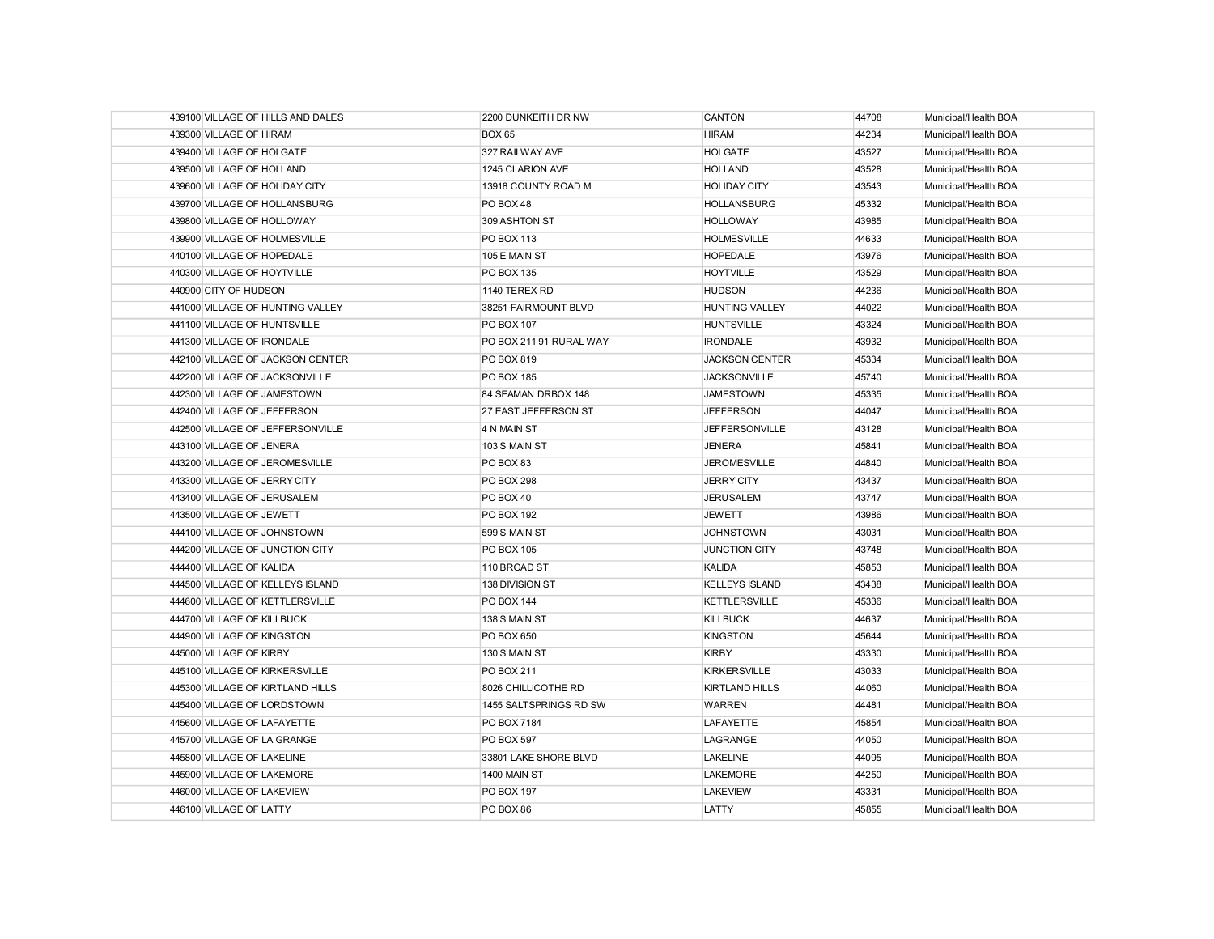| 439100 VILLAGE OF HILLS AND DALES | 2200 DUNKEITH DR NW     | CANTON                | 44708 | Municipal/Health BOA |
|-----------------------------------|-------------------------|-----------------------|-------|----------------------|
| 439300 VILLAGE OF HIRAM           | <b>BOX 65</b>           | <b>HIRAM</b>          | 44234 | Municipal/Health BOA |
| 439400 VILLAGE OF HOLGATE         | 327 RAILWAY AVE         | <b>HOLGATE</b>        | 43527 | Municipal/Health BOA |
| 439500 VILLAGE OF HOLLAND         | 1245 CLARION AVE        | <b>HOLLAND</b>        | 43528 | Municipal/Health BOA |
| 439600 VILLAGE OF HOLIDAY CITY    | 13918 COUNTY ROAD M     | <b>HOLIDAY CITY</b>   | 43543 | Municipal/Health BOA |
| 439700 VILLAGE OF HOLLANSBURG     | PO BOX 48               | <b>HOLLANSBURG</b>    | 45332 | Municipal/Health BOA |
| 439800 VILLAGE OF HOLLOWAY        | 309 ASHTON ST           | <b>HOLLOWAY</b>       | 43985 | Municipal/Health BOA |
| 439900 VILLAGE OF HOLMESVILLE     | <b>PO BOX 113</b>       | <b>HOLMESVILLE</b>    | 44633 | Municipal/Health BOA |
| 440100 VILLAGE OF HOPEDALE        | 105 E MAIN ST           | <b>HOPEDALE</b>       | 43976 | Municipal/Health BOA |
| 440300 VILLAGE OF HOYTVILLE       | PO BOX 135              | <b>HOYTVILLE</b>      | 43529 | Municipal/Health BOA |
| 440900 CITY OF HUDSON             | 1140 TEREX RD           | <b>HUDSON</b>         | 44236 | Municipal/Health BOA |
| 441000 VILLAGE OF HUNTING VALLEY  | 38251 FAIRMOUNT BLVD    | <b>HUNTING VALLEY</b> | 44022 | Municipal/Health BOA |
| 441100 VILLAGE OF HUNTSVILLE      | <b>PO BOX 107</b>       | <b>HUNTSVILLE</b>     | 43324 | Municipal/Health BOA |
| 441300 VILLAGE OF IRONDALE        | PO BOX 211 91 RURAL WAY | <b>IRONDALE</b>       | 43932 | Municipal/Health BOA |
| 442100 VILLAGE OF JACKSON CENTER  | PO BOX 819              | <b>JACKSON CENTER</b> | 45334 | Municipal/Health BOA |
| 442200 VILLAGE OF JACKSONVILLE    | <b>PO BOX 185</b>       | <b>JACKSONVILLE</b>   | 45740 | Municipal/Health BOA |
| 442300 VILLAGE OF JAMESTOWN       | 84 SEAMAN DRBOX 148     | <b>JAMESTOWN</b>      | 45335 | Municipal/Health BOA |
| 442400 VILLAGE OF JEFFERSON       | 27 EAST JEFFERSON ST    | <b>JEFFERSON</b>      | 44047 | Municipal/Health BOA |
| 442500 VILLAGE OF JEFFERSONVILLE  | 4 N MAIN ST             | <b>JEFFERSONVILLE</b> | 43128 | Municipal/Health BOA |
| 443100 VILLAGE OF JENERA          | 103 S MAIN ST           | <b>JENERA</b>         | 45841 | Municipal/Health BOA |
| 443200 VILLAGE OF JEROMESVILLE    | PO BOX 83               | <b>JEROMESVILLE</b>   | 44840 | Municipal/Health BOA |
| 443300 VILLAGE OF JERRY CITY      | PO BOX 298              | <b>JERRY CITY</b>     | 43437 | Municipal/Health BOA |
| 443400 VILLAGE OF JERUSALEM       | PO BOX 40               | <b>JERUSALEM</b>      | 43747 | Municipal/Health BOA |
| 443500 VILLAGE OF JEWETT          | <b>PO BOX 192</b>       | <b>JEWETT</b>         | 43986 | Municipal/Health BOA |
| 444100 VILLAGE OF JOHNSTOWN       | 599 S MAIN ST           | <b>JOHNSTOWN</b>      | 43031 | Municipal/Health BOA |
| 444200 VILLAGE OF JUNCTION CITY   | <b>PO BOX 105</b>       | <b>JUNCTION CITY</b>  | 43748 | Municipal/Health BOA |
| 444400 VILLAGE OF KALIDA          | 110 BROAD ST            | KALIDA                | 45853 | Municipal/Health BOA |
| 444500 VILLAGE OF KELLEYS ISLAND  | 138 DIVISION ST         | <b>KELLEYS ISLAND</b> | 43438 | Municipal/Health BOA |
| 444600 VILLAGE OF KETTLERSVILLE   | <b>PO BOX 144</b>       | <b>KETTLERSVILLE</b>  | 45336 | Municipal/Health BOA |
| 444700 VILLAGE OF KILLBUCK        | 138 S MAIN ST           | <b>KILLBUCK</b>       | 44637 | Municipal/Health BOA |
| 444900 VILLAGE OF KINGSTON        | PO BOX 650              | <b>KINGSTON</b>       | 45644 | Municipal/Health BOA |
| 445000 VILLAGE OF KIRBY           | 130 S MAIN ST           | <b>KIRBY</b>          | 43330 | Municipal/Health BOA |
| 445100 VILLAGE OF KIRKERSVILLE    | PO BOX 211              | <b>KIRKERSVILLE</b>   | 43033 | Municipal/Health BOA |
| 445300 VILLAGE OF KIRTLAND HILLS  | 8026 CHILLICOTHE RD     | <b>KIRTLAND HILLS</b> | 44060 | Municipal/Health BOA |
| 445400 VILLAGE OF LORDSTOWN       | 1455 SALTSPRINGS RD SW  | <b>WARREN</b>         | 44481 | Municipal/Health BOA |
| 445600 VILLAGE OF LAFAYETTE       | PO BOX 7184             | <b>LAFAYETTE</b>      | 45854 | Municipal/Health BOA |
| 445700 VILLAGE OF LA GRANGE       | <b>PO BOX 597</b>       | LAGRANGE              | 44050 | Municipal/Health BOA |
| 445800 VILLAGE OF LAKELINE        | 33801 LAKE SHORE BLVD   | <b>LAKELINE</b>       | 44095 | Municipal/Health BOA |
| 445900 VILLAGE OF LAKEMORE        | 1400 MAIN ST            | <b>LAKEMORE</b>       | 44250 | Municipal/Health BOA |
| 446000 VILLAGE OF LAKEVIEW        | <b>PO BOX 197</b>       | <b>LAKEVIEW</b>       | 43331 | Municipal/Health BOA |
| 446100 VILLAGE OF LATTY           | PO BOX 86               | LATTY                 | 45855 | Municipal/Health BOA |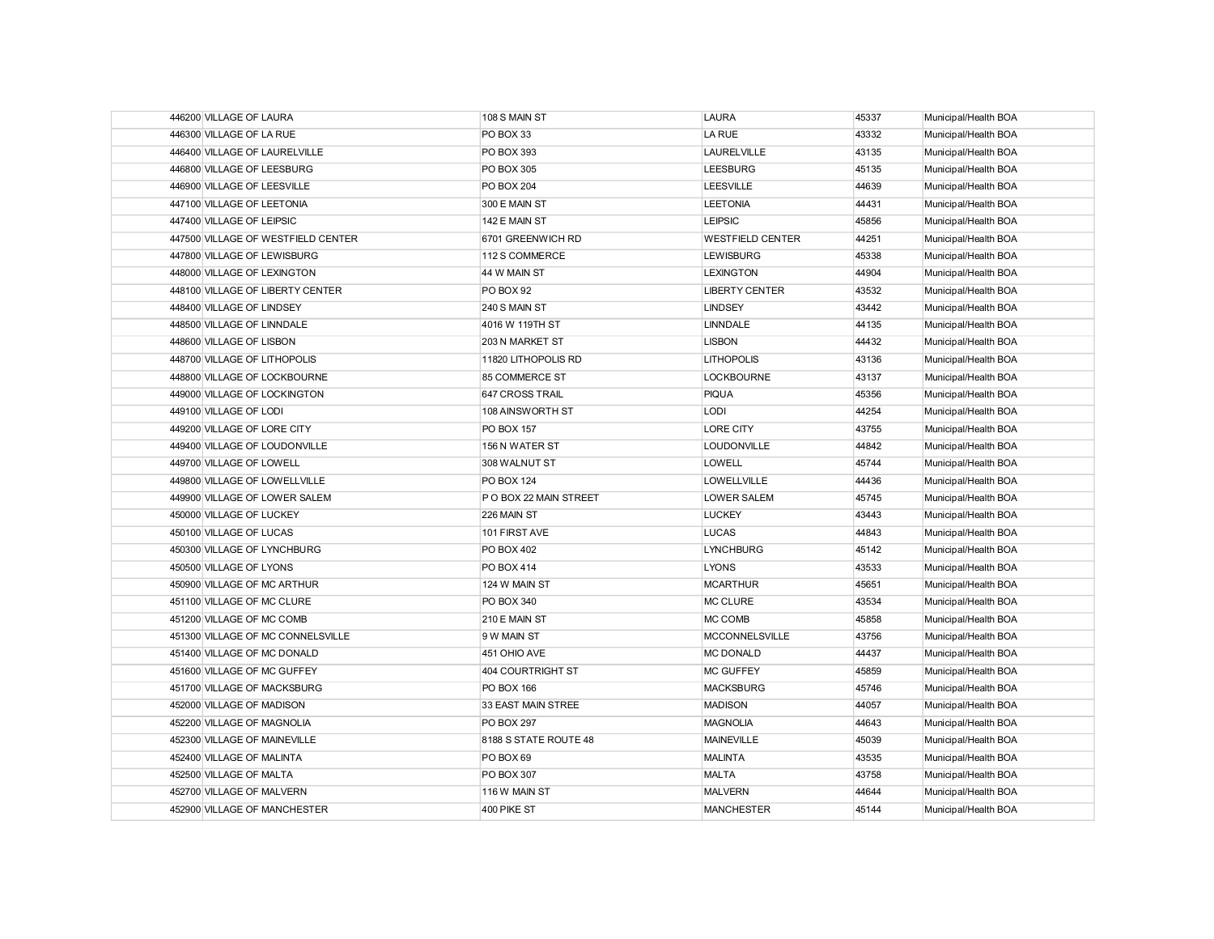| 446200 VILLAGE OF LAURA            | 108 S MAIN ST         | <b>LAURA</b>            | 45337 | Municipal/Health BOA |
|------------------------------------|-----------------------|-------------------------|-------|----------------------|
| 446300 VILLAGE OF LA RUE           | PO BOX 33             | LA RUE                  | 43332 | Municipal/Health BOA |
| 446400 VILLAGE OF LAURELVILLE      | PO BOX 393            | <b>LAURELVILLE</b>      | 43135 | Municipal/Health BOA |
| 446800 VILLAGE OF LEESBURG         | PO BOX 305            | <b>LEESBURG</b>         | 45135 | Municipal/Health BOA |
| 446900 VILLAGE OF LEESVILLE        | <b>PO BOX 204</b>     | <b>LEESVILLE</b>        | 44639 | Municipal/Health BOA |
| 447100 VILLAGE OF LEETONIA         | 300 E MAIN ST         | <b>LEETONIA</b>         | 44431 | Municipal/Health BOA |
| 447400 VILLAGE OF LEIPSIC          | 142 E MAIN ST         | <b>LEIPSIC</b>          | 45856 | Municipal/Health BOA |
| 447500 VILLAGE OF WESTFIELD CENTER | 6701 GREENWICH RD     | <b>WESTFIELD CENTER</b> | 44251 | Municipal/Health BOA |
| 447800 VILLAGE OF LEWISBURG        | 112 S COMMERCE        | <b>LEWISBURG</b>        | 45338 | Municipal/Health BOA |
| 448000 VILLAGE OF LEXINGTON        | 44 W MAIN ST          | <b>LEXINGTON</b>        | 44904 | Municipal/Health BOA |
| 448100 VILLAGE OF LIBERTY CENTER   | PO BOX 92             | <b>LIBERTY CENTER</b>   | 43532 | Municipal/Health BOA |
| 448400 VILLAGE OF LINDSEY          | 240 S MAIN ST         | <b>LINDSEY</b>          | 43442 | Municipal/Health BOA |
| 448500 VILLAGE OF LINNDALE         | 4016 W 119TH ST       | <b>LINNDALE</b>         | 44135 | Municipal/Health BOA |
| 448600 VILLAGE OF LISBON           | 203 N MARKET ST       | <b>LISBON</b>           | 44432 | Municipal/Health BOA |
| 448700 VILLAGE OF LITHOPOLIS       | 11820 LITHOPOLIS RD   | <b>LITHOPOLIS</b>       | 43136 | Municipal/Health BOA |
| 448800 VILLAGE OF LOCKBOURNE       | 85 COMMERCE ST        | <b>LOCKBOURNE</b>       | 43137 | Municipal/Health BOA |
| 449000 VILLAGE OF LOCKINGTON       | 647 CROSS TRAIL       | <b>PIQUA</b>            | 45356 | Municipal/Health BOA |
| 449100 VILLAGE OF LODI             | 108 AINSWORTH ST      | <b>LODI</b>             | 44254 | Municipal/Health BOA |
| 449200 VILLAGE OF LORE CITY        | <b>PO BOX 157</b>     | <b>LORE CITY</b>        | 43755 | Municipal/Health BOA |
| 449400 VILLAGE OF LOUDONVILLE      | 156 N WATER ST        | <b>LOUDONVILLE</b>      | 44842 | Municipal/Health BOA |
| 449700 VILLAGE OF LOWELL           | 308 WALNUT ST         | <b>LOWELL</b>           | 45744 | Municipal/Health BOA |
| 449800 VILLAGE OF LOWELLVILLE      | <b>PO BOX 124</b>     | <b>LOWELLVILLE</b>      | 44436 | Municipal/Health BOA |
| 449900 VILLAGE OF LOWER SALEM      | PO BOX 22 MAIN STREET | <b>LOWER SALEM</b>      | 45745 | Municipal/Health BOA |
| 450000 VILLAGE OF LUCKEY           | 226 MAIN ST           | <b>LUCKEY</b>           | 43443 | Municipal/Health BOA |
| 450100 VILLAGE OF LUCAS            | 101 FIRST AVE         | <b>LUCAS</b>            | 44843 | Municipal/Health BOA |
| 450300 VILLAGE OF LYNCHBURG        | <b>PO BOX 402</b>     | <b>LYNCHBURG</b>        | 45142 | Municipal/Health BOA |
| 450500 VILLAGE OF LYONS            | <b>PO BOX 414</b>     | LYONS                   | 43533 | Municipal/Health BOA |
| 450900 VILLAGE OF MC ARTHUR        | 124 W MAIN ST         | <b>MCARTHUR</b>         | 45651 | Municipal/Health BOA |
| 451100 VILLAGE OF MC CLURE         | PO BOX 340            | MC CLURE                | 43534 | Municipal/Health BOA |
| 451200 VILLAGE OF MC COMB          | 210 E MAIN ST         | MC COMB                 | 45858 | Municipal/Health BOA |
| 451300 VILLAGE OF MC CONNELSVILLE  | 9 W MAIN ST           | <b>MCCONNELSVILLE</b>   | 43756 | Municipal/Health BOA |
| 451400 VILLAGE OF MC DONALD        | 451 OHIO AVE          | <b>MC DONALD</b>        | 44437 | Municipal/Health BOA |
| 451600 VILLAGE OF MC GUFFEY        | 404 COURTRIGHT ST     | <b>MC GUFFEY</b>        | 45859 | Municipal/Health BOA |
| 451700 VILLAGE OF MACKSBURG        | PO BOX 166            | <b>MACKSBURG</b>        | 45746 | Municipal/Health BOA |
| 452000 VILLAGE OF MADISON          | 33 EAST MAIN STREE    | <b>MADISON</b>          | 44057 | Municipal/Health BOA |
| 452200 VILLAGE OF MAGNOLIA         | <b>PO BOX 297</b>     | <b>MAGNOLIA</b>         | 44643 | Municipal/Health BOA |
| 452300 VILLAGE OF MAINEVILLE       | 8188 S STATE ROUTE 48 | <b>MAINEVILLE</b>       | 45039 | Municipal/Health BOA |
| 452400 VILLAGE OF MALINTA          | PO BOX 69             | <b>MALINTA</b>          | 43535 | Municipal/Health BOA |
| 452500 VILLAGE OF MALTA            | <b>PO BOX 307</b>     | <b>MALTA</b>            | 43758 | Municipal/Health BOA |
| 452700 VILLAGE OF MALVERN          | 116 W MAIN ST         | <b>MALVERN</b>          | 44644 | Municipal/Health BOA |
| 452900 VILLAGE OF MANCHESTER       | 400 PIKE ST           | <b>MANCHESTER</b>       | 45144 | Municipal/Health BOA |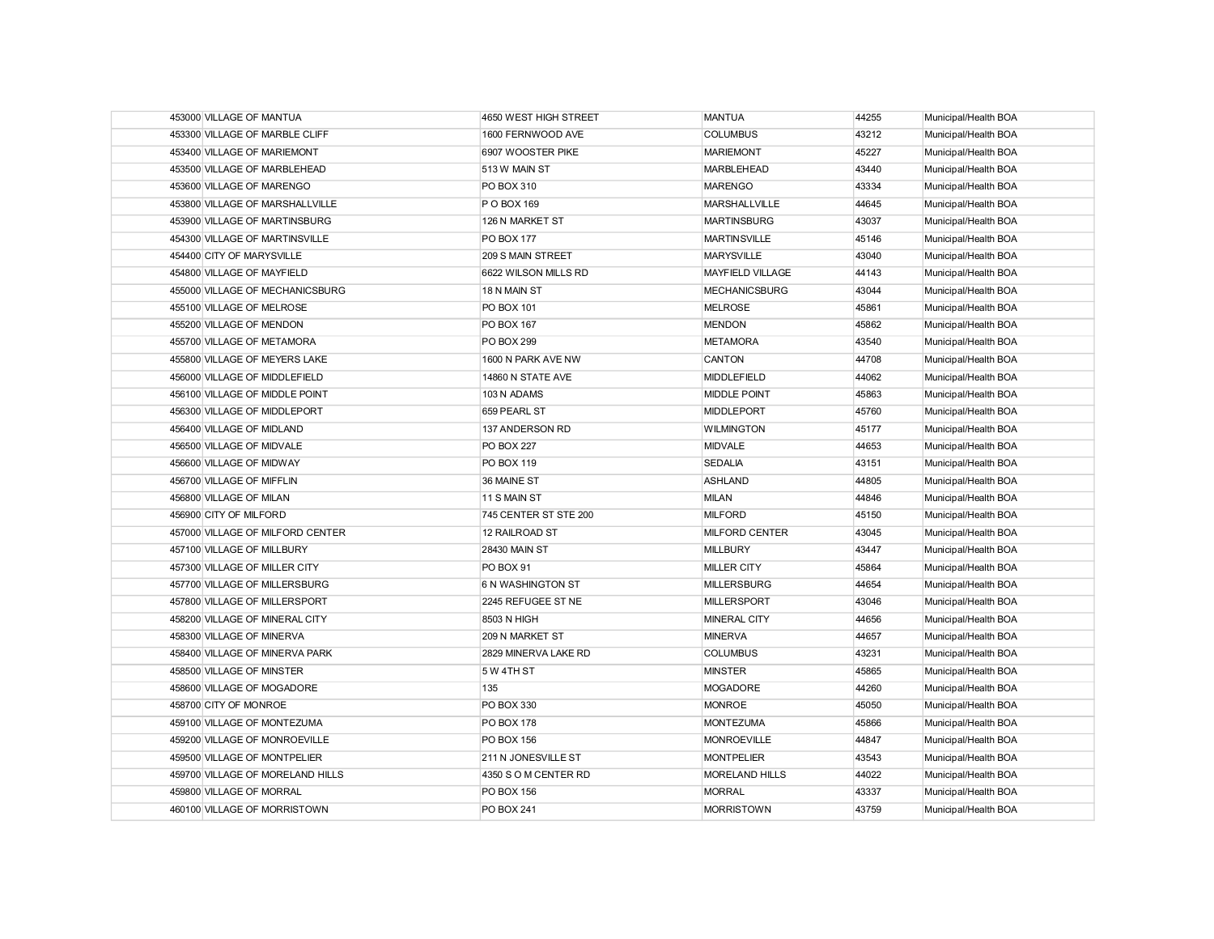| 453000 VILLAGE OF MANTUA         | 4650 WEST HIGH STREET | <b>MANTUA</b>           | 44255 | Municipal/Health BOA |
|----------------------------------|-----------------------|-------------------------|-------|----------------------|
| 453300 VILLAGE OF MARBLE CLIFF   | 1600 FERNWOOD AVE     | <b>COLUMBUS</b>         | 43212 | Municipal/Health BOA |
| 453400 VILLAGE OF MARIEMONT      | 6907 WOOSTER PIKE     | <b>MARIEMONT</b>        | 45227 | Municipal/Health BOA |
| 453500 VILLAGE OF MARBLEHEAD     | 513 W MAIN ST         | <b>MARBLEHEAD</b>       | 43440 | Municipal/Health BOA |
| 453600 VILLAGE OF MARENGO        | PO BOX 310            | <b>MARENGO</b>          | 43334 | Municipal/Health BOA |
| 453800 VILLAGE OF MARSHALLVILLE  | P O BOX 169           | <b>MARSHALLVILLE</b>    | 44645 | Municipal/Health BOA |
| 453900 VILLAGE OF MARTINSBURG    | 126 N MARKET ST       | <b>MARTINSBURG</b>      | 43037 | Municipal/Health BOA |
| 454300 VILLAGE OF MARTINSVILLE   | <b>PO BOX 177</b>     | <b>MARTINSVILLE</b>     | 45146 | Municipal/Health BOA |
| 454400 CITY OF MARYSVILLE        | 209 S MAIN STREET     | <b>MARYSVILLE</b>       | 43040 | Municipal/Health BOA |
| 454800 VILLAGE OF MAYFIELD       | 6622 WILSON MILLS RD  | <b>MAYFIELD VILLAGE</b> | 44143 | Municipal/Health BOA |
| 455000 VILLAGE OF MECHANICSBURG  | 18 N MAIN ST          | <b>MECHANICSBURG</b>    | 43044 | Municipal/Health BOA |
| 455100 VILLAGE OF MELROSE        | PO BOX 101            | <b>MELROSE</b>          | 45861 | Municipal/Health BOA |
| 455200 VILLAGE OF MENDON         | <b>PO BOX 167</b>     | <b>MENDON</b>           | 45862 | Municipal/Health BOA |
| 455700 VILLAGE OF METAMORA       | <b>PO BOX 299</b>     | <b>METAMORA</b>         | 43540 | Municipal/Health BOA |
| 455800 VILLAGE OF MEYERS LAKE    | 1600 N PARK AVE NW    | CANTON                  | 44708 | Municipal/Health BOA |
| 456000 VILLAGE OF MIDDLEFIELD    | 14860 N STATE AVE     | <b>MIDDLEFIELD</b>      | 44062 | Municipal/Health BOA |
| 456100 VILLAGE OF MIDDLE POINT   | 103 N ADAMS           | <b>MIDDLE POINT</b>     | 45863 | Municipal/Health BOA |
| 456300 VILLAGE OF MIDDLEPORT     | 659 PEARL ST          | <b>MIDDLEPORT</b>       | 45760 | Municipal/Health BOA |
| 456400 VILLAGE OF MIDLAND        | 137 ANDERSON RD       | <b>WILMINGTON</b>       | 45177 | Municipal/Health BOA |
| 456500 VILLAGE OF MIDVALE        | <b>PO BOX 227</b>     | <b>MIDVALE</b>          | 44653 | Municipal/Health BOA |
| 456600 VILLAGE OF MIDWAY         | PO BOX 119            | <b>SEDALIA</b>          | 43151 | Municipal/Health BOA |
| 456700 VILLAGE OF MIFFLIN        | 36 MAINE ST           | <b>ASHLAND</b>          | 44805 | Municipal/Health BOA |
| 456800 VILLAGE OF MILAN          | 11 S MAIN ST          | <b>MILAN</b>            | 44846 | Municipal/Health BOA |
| 456900 CITY OF MILFORD           | 745 CENTER ST STE 200 | <b>MILFORD</b>          | 45150 | Municipal/Health BOA |
| 457000 VILLAGE OF MILFORD CENTER | 12 RAILROAD ST        | MILFORD CENTER          | 43045 | Municipal/Health BOA |
| 457100 VILLAGE OF MILLBURY       | <b>28430 MAIN ST</b>  | <b>MILLBURY</b>         | 43447 | Municipal/Health BOA |
| 457300 VILLAGE OF MILLER CITY    | PO BOX 91             | <b>MILLER CITY</b>      | 45864 | Municipal/Health BOA |
| 457700 VILLAGE OF MILLERSBURG    | 6 N WASHINGTON ST     | <b>MILLERSBURG</b>      | 44654 | Municipal/Health BOA |
| 457800 VILLAGE OF MILLERSPORT    | 2245 REFUGEE ST NE    | <b>MILLERSPORT</b>      | 43046 | Municipal/Health BOA |
| 458200 VILLAGE OF MINERAL CITY   | 8503 N HIGH           | <b>MINERAL CITY</b>     | 44656 | Municipal/Health BOA |
| 458300 VILLAGE OF MINERVA        | 209 N MARKET ST       | <b>MINERVA</b>          | 44657 | Municipal/Health BOA |
| 458400 VILLAGE OF MINERVA PARK   | 2829 MINERVA LAKE RD  | <b>COLUMBUS</b>         | 43231 | Municipal/Health BOA |
| 458500 VILLAGE OF MINSTER        | 5 W 4TH ST            | <b>MINSTER</b>          | 45865 | Municipal/Health BOA |
| 458600 VILLAGE OF MOGADORE       | 135                   | <b>MOGADORE</b>         | 44260 | Municipal/Health BOA |
| 458700 CITY OF MONROE            | PO BOX 330            | <b>MONROE</b>           | 45050 | Municipal/Health BOA |
| 459100 VILLAGE OF MONTEZUMA      | <b>PO BOX 178</b>     | <b>MONTEZUMA</b>        | 45866 | Municipal/Health BOA |
| 459200 VILLAGE OF MONROEVILLE    | <b>PO BOX 156</b>     | <b>MONROEVILLE</b>      | 44847 | Municipal/Health BOA |
| 459500 VILLAGE OF MONTPELIER     | 211 N JONESVILLE ST   | <b>MONTPELIER</b>       | 43543 | Municipal/Health BOA |
| 459700 VILLAGE OF MORELAND HILLS | 4350 S O M CENTER RD  | <b>MORELAND HILLS</b>   | 44022 | Municipal/Health BOA |
| 459800 VILLAGE OF MORRAL         | <b>PO BOX 156</b>     | <b>MORRAL</b>           | 43337 | Municipal/Health BOA |
| 460100 VILLAGE OF MORRISTOWN     | <b>PO BOX 241</b>     | <b>MORRISTOWN</b>       | 43759 | Municipal/Health BOA |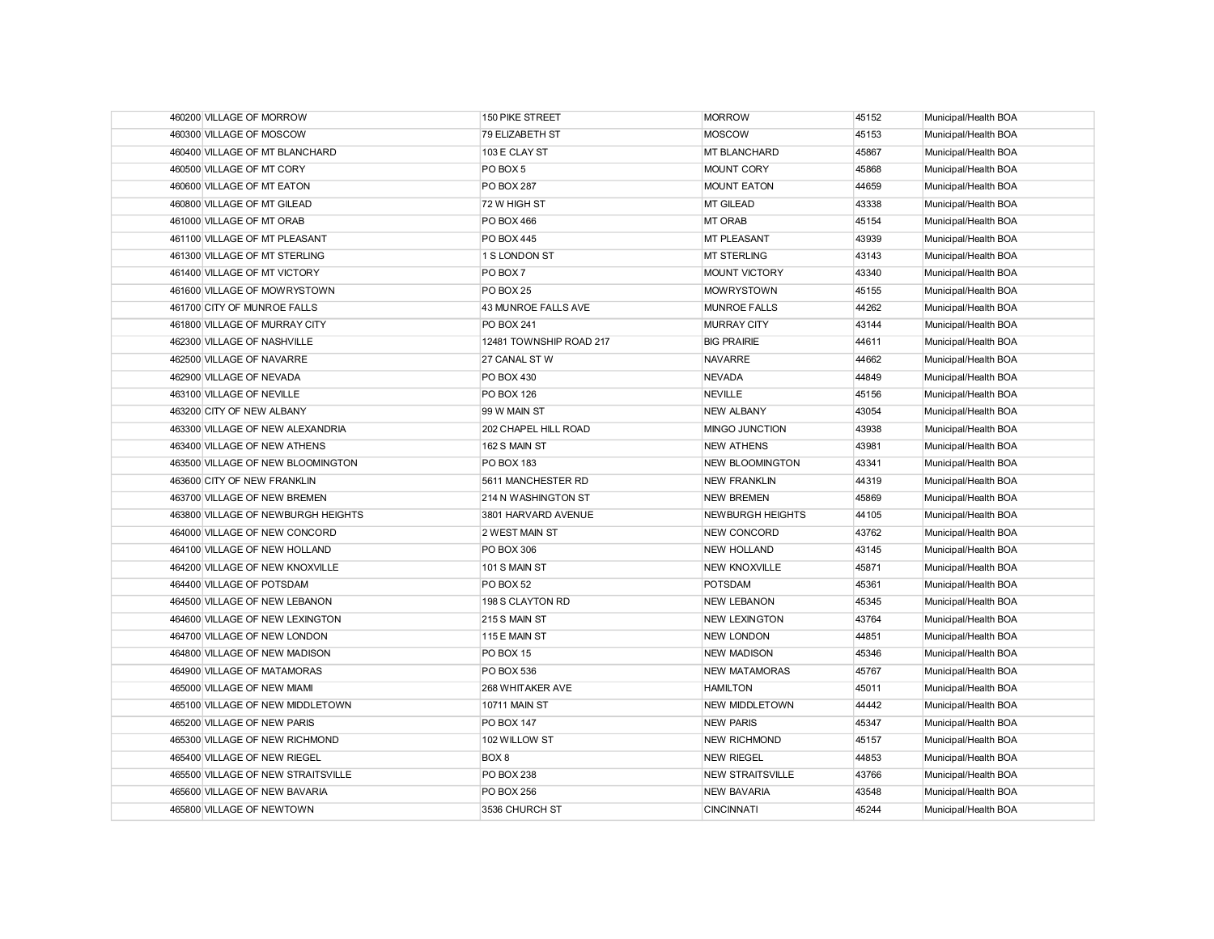| 460200 VILLAGE OF MORROW           | 150 PIKE STREET         | <b>MORROW</b>           | 45152 | Municipal/Health BOA |
|------------------------------------|-------------------------|-------------------------|-------|----------------------|
| 460300 VILLAGE OF MOSCOW           | 79 ELIZABETH ST         | <b>MOSCOW</b>           | 45153 | Municipal/Health BOA |
| 460400 VILLAGE OF MT BLANCHARD     | 103 E CLAY ST           | <b>MT BLANCHARD</b>     | 45867 | Municipal/Health BOA |
| 460500 VILLAGE OF MT CORY          | PO BOX 5                | <b>MOUNT CORY</b>       | 45868 | Municipal/Health BOA |
| 460600 VILLAGE OF MT EATON         | PO BOX 287              | <b>MOUNT EATON</b>      | 44659 | Municipal/Health BOA |
| 460800 VILLAGE OF MT GILEAD        | 72 W HIGH ST            | MT GILEAD               | 43338 | Municipal/Health BOA |
| 461000 VILLAGE OF MT ORAB          | PO BOX 466              | <b>MT ORAB</b>          | 45154 | Municipal/Health BOA |
| 461100 VILLAGE OF MT PLEASANT      | PO BOX 445              | <b>MT PLEASANT</b>      | 43939 | Municipal/Health BOA |
| 461300 VILLAGE OF MT STERLING      | 1 S LONDON ST           | <b>MT STERLING</b>      | 43143 | Municipal/Health BOA |
| 461400 VILLAGE OF MT VICTORY       | PO BOX 7                | <b>MOUNT VICTORY</b>    | 43340 | Municipal/Health BOA |
| 461600 VILLAGE OF MOWRYSTOWN       | PO BOX 25               | <b>MOWRYSTOWN</b>       | 45155 | Municipal/Health BOA |
| 461700 CITY OF MUNROE FALLS        | 43 MUNROE FALLS AVE     | <b>MUNROE FALLS</b>     | 44262 | Municipal/Health BOA |
| 461800 VILLAGE OF MURRAY CITY      | PO BOX 241              | <b>MURRAY CITY</b>      | 43144 | Municipal/Health BOA |
| 462300 VILLAGE OF NASHVILLE        | 12481 TOWNSHIP ROAD 217 | <b>BIG PRAIRIE</b>      | 44611 | Municipal/Health BOA |
| 462500 VILLAGE OF NAVARRE          | 27 CANAL ST W           | <b>NAVARRE</b>          | 44662 | Municipal/Health BOA |
| 462900 VILLAGE OF NEVADA           | PO BOX 430              | <b>NEVADA</b>           | 44849 | Municipal/Health BOA |
| 463100 VILLAGE OF NEVILLE          | PO BOX 126              | <b>NEVILLE</b>          | 45156 | Municipal/Health BOA |
| 463200 CITY OF NEW ALBANY          | 99 W MAIN ST            | <b>NEW ALBANY</b>       | 43054 | Municipal/Health BOA |
| 463300 VILLAGE OF NEW ALEXANDRIA   | 202 CHAPEL HILL ROAD    | MINGO JUNCTION          | 43938 | Municipal/Health BOA |
| 463400 VILLAGE OF NEW ATHENS       | 162 S MAIN ST           | <b>NEW ATHENS</b>       | 43981 | Municipal/Health BOA |
| 463500 VILLAGE OF NEW BLOOMINGTON  | PO BOX 183              | <b>NEW BLOOMINGTON</b>  | 43341 | Municipal/Health BOA |
| 463600 CITY OF NEW FRANKLIN        | 5611 MANCHESTER RD      | <b>NEW FRANKLIN</b>     | 44319 | Municipal/Health BOA |
| 463700 VILLAGE OF NEW BREMEN       | 214 N WASHINGTON ST     | <b>NEW BREMEN</b>       | 45869 | Municipal/Health BOA |
| 463800 VILLAGE OF NEWBURGH HEIGHTS | 3801 HARVARD AVENUE     | <b>NEWBURGH HEIGHTS</b> | 44105 | Municipal/Health BOA |
| 464000 VILLAGE OF NEW CONCORD      | 2 WEST MAIN ST          | <b>NEW CONCORD</b>      | 43762 | Municipal/Health BOA |
| 464100 VILLAGE OF NEW HOLLAND      | PO BOX 306              | <b>NEW HOLLAND</b>      | 43145 | Municipal/Health BOA |
| 464200 VILLAGE OF NEW KNOXVILLE    | 101 S MAIN ST           | <b>NEW KNOXVILLE</b>    | 45871 | Municipal/Health BOA |
| 464400 VILLAGE OF POTSDAM          | PO BOX 52               | POTSDAM                 | 45361 | Municipal/Health BOA |
| 464500 VILLAGE OF NEW LEBANON      | 198 S CLAYTON RD        | <b>NEW LEBANON</b>      | 45345 | Municipal/Health BOA |
| 464600 VILLAGE OF NEW LEXINGTON    | 215 S MAIN ST           | <b>NEW LEXINGTON</b>    | 43764 | Municipal/Health BOA |
| 464700 VILLAGE OF NEW LONDON       | 115 E MAIN ST           | <b>NEW LONDON</b>       | 44851 | Municipal/Health BOA |
| 464800 VILLAGE OF NEW MADISON      | PO BOX 15               | <b>NEW MADISON</b>      | 45346 | Municipal/Health BOA |
| 464900 VILLAGE OF MATAMORAS        | PO BOX 536              | <b>NEW MATAMORAS</b>    | 45767 | Municipal/Health BOA |
| 465000 VILLAGE OF NEW MIAMI        | 268 WHITAKER AVE        | <b>HAMILTON</b>         | 45011 | Municipal/Health BOA |
| 465100 VILLAGE OF NEW MIDDLETOWN   | <b>10711 MAIN ST</b>    | <b>NEW MIDDLETOWN</b>   | 44442 | Municipal/Health BOA |
| 465200 VILLAGE OF NEW PARIS        | PO BOX 147              | <b>NEW PARIS</b>        | 45347 | Municipal/Health BOA |
| 465300 VILLAGE OF NEW RICHMOND     | 102 WILLOW ST           | <b>NEW RICHMOND</b>     | 45157 | Municipal/Health BOA |
| 465400 VILLAGE OF NEW RIEGEL       | BOX <sub>8</sub>        | <b>NEW RIEGEL</b>       | 44853 | Municipal/Health BOA |
| 465500 VILLAGE OF NEW STRAITSVILLE | PO BOX 238              | <b>NEW STRAITSVILLE</b> | 43766 | Municipal/Health BOA |
| 465600 VILLAGE OF NEW BAVARIA      | <b>PO BOX 256</b>       | <b>NEW BAVARIA</b>      | 43548 | Municipal/Health BOA |
| 465800 VILLAGE OF NEWTOWN          | 3536 CHURCH ST          | <b>CINCINNATI</b>       | 45244 | Municipal/Health BOA |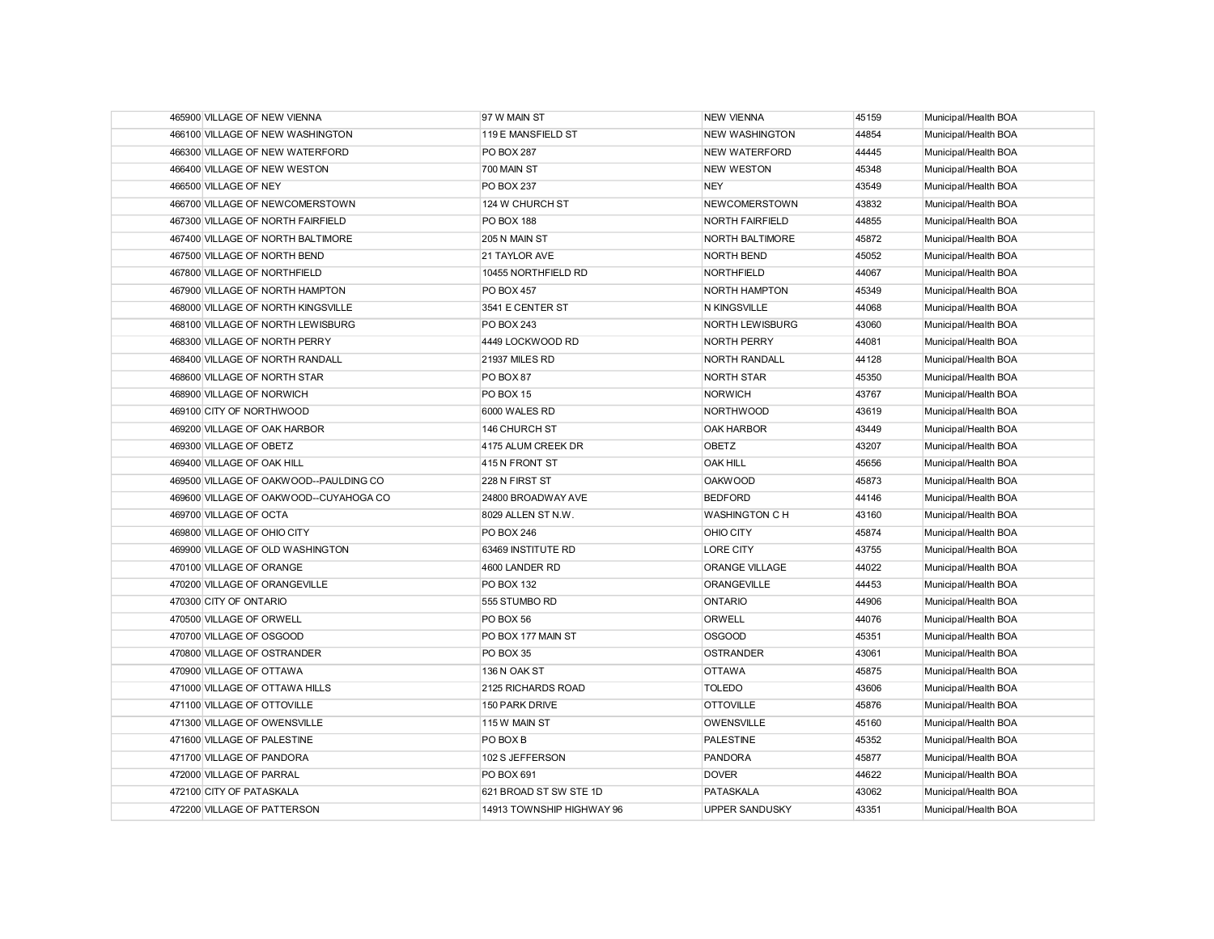| 465900 VILLAGE OF NEW VIENNA           | 97 W MAIN ST              | <b>NEW VIENNA</b>      | 45159 | Municipal/Health BOA |
|----------------------------------------|---------------------------|------------------------|-------|----------------------|
| 466100 VILLAGE OF NEW WASHINGTON       | 119 E MANSFIELD ST        | <b>NEW WASHINGTON</b>  | 44854 | Municipal/Health BOA |
| 466300 VILLAGE OF NEW WATERFORD        | <b>PO BOX 287</b>         | <b>NEW WATERFORD</b>   | 44445 | Municipal/Health BOA |
| 466400 VILLAGE OF NEW WESTON           | 700 MAIN ST               | <b>NEW WESTON</b>      | 45348 | Municipal/Health BOA |
| 466500 VILLAGE OF NEY                  | <b>PO BOX 237</b>         | <b>NEY</b>             | 43549 | Municipal/Health BOA |
| 466700 VILLAGE OF NEWCOMERSTOWN        | 124 W CHURCH ST           | <b>NEWCOMERSTOWN</b>   | 43832 | Municipal/Health BOA |
| 467300 VILLAGE OF NORTH FAIRFIELD      | <b>PO BOX 188</b>         | <b>NORTH FAIRFIELD</b> | 44855 | Municipal/Health BOA |
| 467400 VILLAGE OF NORTH BALTIMORE      | 205 N MAIN ST             | <b>NORTH BALTIMORE</b> | 45872 | Municipal/Health BOA |
| 467500 VILLAGE OF NORTH BEND           | 21 TAYLOR AVE             | <b>NORTH BEND</b>      | 45052 | Municipal/Health BOA |
| 467800 VILLAGE OF NORTHFIELD           | 10455 NORTHFIELD RD       | <b>NORTHFIELD</b>      | 44067 | Municipal/Health BOA |
| 467900 VILLAGE OF NORTH HAMPTON        | <b>PO BOX 457</b>         | NORTH HAMPTON          | 45349 | Municipal/Health BOA |
| 468000 VILLAGE OF NORTH KINGSVILLE     | 3541 E CENTER ST          | N KINGSVILLE           | 44068 | Municipal/Health BOA |
| 468100 VILLAGE OF NORTH LEWISBURG      | <b>PO BOX 243</b>         | <b>NORTH LEWISBURG</b> | 43060 | Municipal/Health BOA |
| 468300 VILLAGE OF NORTH PERRY          | 4449 LOCKWOOD RD          | <b>NORTH PERRY</b>     | 44081 | Municipal/Health BOA |
| 468400 VILLAGE OF NORTH RANDALL        | 21937 MILES RD            | <b>NORTH RANDALL</b>   | 44128 | Municipal/Health BOA |
| 468600 VILLAGE OF NORTH STAR           | PO BOX 87                 | <b>NORTH STAR</b>      | 45350 | Municipal/Health BOA |
| 468900 VILLAGE OF NORWICH              | PO BOX 15                 | <b>NORWICH</b>         | 43767 | Municipal/Health BOA |
| 469100 CITY OF NORTHWOOD               | 6000 WALES RD             | <b>NORTHWOOD</b>       | 43619 | Municipal/Health BOA |
| 469200 VILLAGE OF OAK HARBOR           | 146 CHURCH ST             | <b>OAK HARBOR</b>      | 43449 | Municipal/Health BOA |
| 469300 VILLAGE OF OBETZ                | 4175 ALUM CREEK DR        | <b>OBETZ</b>           | 43207 | Municipal/Health BOA |
| 469400 VILLAGE OF OAK HILL             | 415 N FRONT ST            | <b>OAK HILL</b>        | 45656 | Municipal/Health BOA |
| 469500 VILLAGE OF OAKWOOD--PAULDING CO | 228 N FIRST ST            | <b>OAKWOOD</b>         | 45873 | Municipal/Health BOA |
| 469600 VILLAGE OF OAKWOOD--CUYAHOGA CO | 24800 BROADWAY AVE        | <b>BEDFORD</b>         | 44146 | Municipal/Health BOA |
| 469700 VILLAGE OF OCTA                 | 8029 ALLEN ST N.W.        | <b>WASHINGTON C H</b>  | 43160 | Municipal/Health BOA |
| 469800 VILLAGE OF OHIO CITY            | <b>PO BOX 246</b>         | OHIO CITY              | 45874 | Municipal/Health BOA |
| 469900 VILLAGE OF OLD WASHINGTON       | 63469 INSTITUTE RD        | <b>LORE CITY</b>       | 43755 | Municipal/Health BOA |
| 470100 VILLAGE OF ORANGE               | 4600 LANDER RD            | <b>ORANGE VILLAGE</b>  | 44022 | Municipal/Health BOA |
| 470200 VILLAGE OF ORANGEVILLE          | PO BOX 132                | ORANGEVILLE            | 44453 | Municipal/Health BOA |
| 470300 CITY OF ONTARIO                 | 555 STUMBO RD             | <b>ONTARIO</b>         | 44906 | Municipal/Health BOA |
| 470500 VILLAGE OF ORWELL               | PO BOX 56                 | ORWELL                 | 44076 | Municipal/Health BOA |
| 470700 VILLAGE OF OSGOOD               | PO BOX 177 MAIN ST        | <b>OSGOOD</b>          | 45351 | Municipal/Health BOA |
| 470800 VILLAGE OF OSTRANDER            | PO BOX 35                 | <b>OSTRANDER</b>       | 43061 | Municipal/Health BOA |
| 470900 VILLAGE OF OTTAWA               | 136 N OAK ST              | <b>OTTAWA</b>          | 45875 | Municipal/Health BOA |
| 471000 VILLAGE OF OTTAWA HILLS         | 2125 RICHARDS ROAD        | <b>TOLEDO</b>          | 43606 | Municipal/Health BOA |
| 471100 VILLAGE OF OTTOVILLE            | 150 PARK DRIVE            | <b>OTTOVILLE</b>       | 45876 | Municipal/Health BOA |
| 471300 VILLAGE OF OWENSVILLE           | 115 W MAIN ST             | <b>OWENSVILLE</b>      | 45160 | Municipal/Health BOA |
| 471600 VILLAGE OF PALESTINE            | PO BOX B                  | <b>PALESTINE</b>       | 45352 | Municipal/Health BOA |
| 471700 VILLAGE OF PANDORA              | 102 S JEFFERSON           | <b>PANDORA</b>         | 45877 | Municipal/Health BOA |
| 472000 VILLAGE OF PARRAL               | PO BOX 691                | <b>DOVER</b>           | 44622 | Municipal/Health BOA |
| 472100 CITY OF PATASKALA               | 621 BROAD ST SW STE 1D    | <b>PATASKALA</b>       | 43062 | Municipal/Health BOA |
| 472200 VILLAGE OF PATTERSON            | 14913 TOWNSHIP HIGHWAY 96 | <b>UPPER SANDUSKY</b>  | 43351 | Municipal/Health BOA |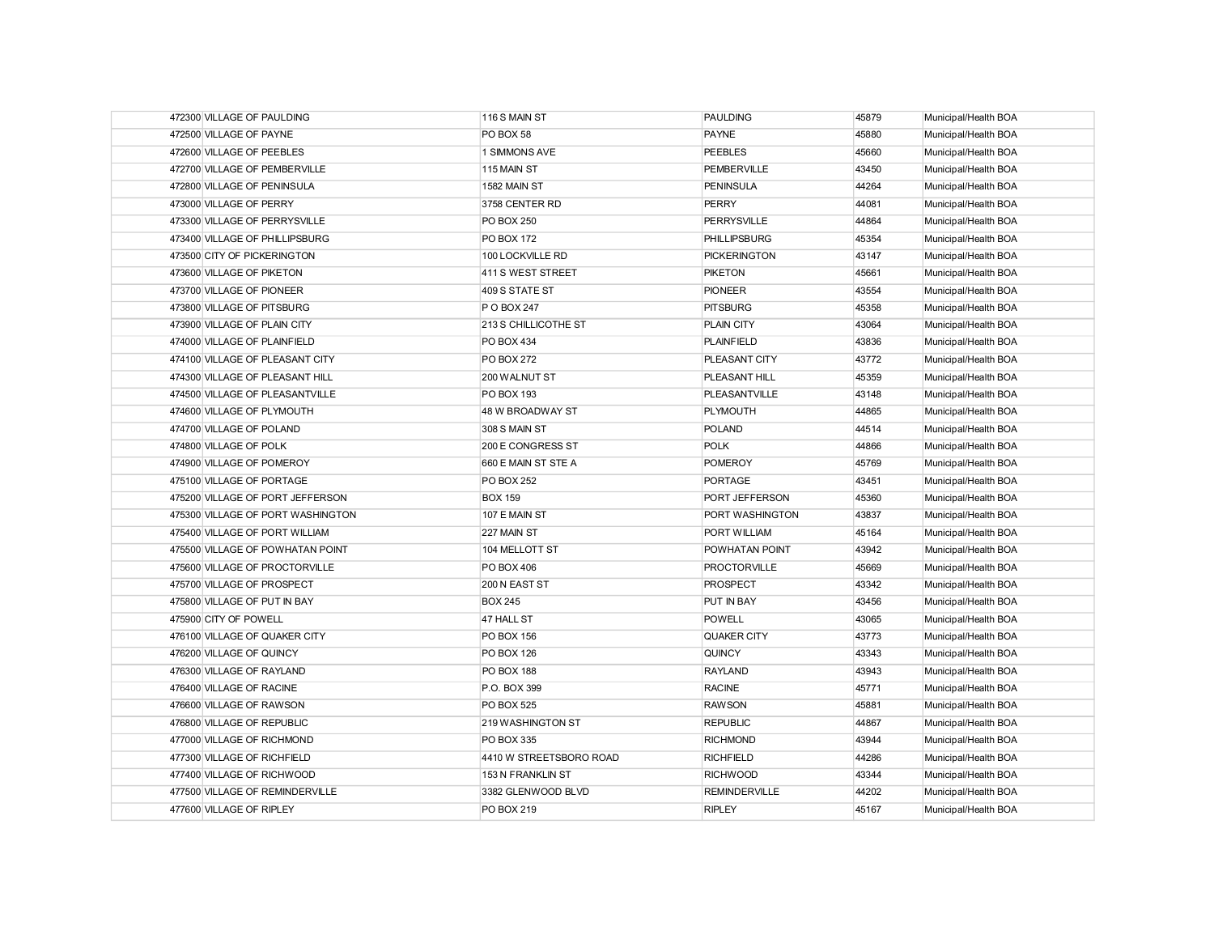| 472300 VILLAGE OF PAULDING        | 116 S MAIN ST           | <b>PAULDING</b>      | 45879 | Municipal/Health BOA |
|-----------------------------------|-------------------------|----------------------|-------|----------------------|
| 472500 VILLAGE OF PAYNE           | PO BOX 58               | <b>PAYNE</b>         | 45880 | Municipal/Health BOA |
| 472600 VILLAGE OF PEEBLES         | 1 SIMMONS AVE           | <b>PEEBLES</b>       | 45660 | Municipal/Health BOA |
| 472700 VILLAGE OF PEMBERVILLE     | 115 MAIN ST             | <b>PEMBERVILLE</b>   | 43450 | Municipal/Health BOA |
| 472800 VILLAGE OF PENINSULA       | 1582 MAIN ST            | <b>PENINSULA</b>     | 44264 | Municipal/Health BOA |
| 473000 VILLAGE OF PERRY           | 3758 CENTER RD          | <b>PERRY</b>         | 44081 | Municipal/Health BOA |
| 473300 VILLAGE OF PERRYSVILLE     | <b>PO BOX 250</b>       | <b>PERRYSVILLE</b>   | 44864 | Municipal/Health BOA |
| 473400 VILLAGE OF PHILLIPSBURG    | <b>PO BOX 172</b>       | <b>PHILLIPSBURG</b>  | 45354 | Municipal/Health BOA |
| 473500 CITY OF PICKERINGTON       | 100 LOCKVILLE RD        | <b>PICKERINGTON</b>  | 43147 | Municipal/Health BOA |
| 473600 VILLAGE OF PIKETON         | 411 S WEST STREET       | <b>PIKETON</b>       | 45661 | Municipal/Health BOA |
| 473700 VILLAGE OF PIONEER         | 409 S STATE ST          | <b>PIONEER</b>       | 43554 | Municipal/Health BOA |
| 473800 VILLAGE OF PITSBURG        | P O BOX 247             | <b>PITSBURG</b>      | 45358 | Municipal/Health BOA |
| 473900 VILLAGE OF PLAIN CITY      | 213 S CHILLICOTHE ST    | PLAIN CITY           | 43064 | Municipal/Health BOA |
| 474000 VILLAGE OF PLAINFIELD      | <b>PO BOX 434</b>       | <b>PLAINFIELD</b>    | 43836 | Municipal/Health BOA |
| 474100 VILLAGE OF PLEASANT CITY   | <b>PO BOX 272</b>       | PLEASANT CITY        | 43772 | Municipal/Health BOA |
| 474300 VILLAGE OF PLEASANT HILL   | 200 WALNUT ST           | PLEASANT HILL        | 45359 | Municipal/Health BOA |
| 474500 VILLAGE OF PLEASANTVILLE   | <b>PO BOX 193</b>       | <b>PLEASANTVILLE</b> | 43148 | Municipal/Health BOA |
| 474600 VILLAGE OF PLYMOUTH        | 48 W BROADWAY ST        | <b>PLYMOUTH</b>      | 44865 | Municipal/Health BOA |
| 474700 VILLAGE OF POLAND          | 308 S MAIN ST           | <b>POLAND</b>        | 44514 | Municipal/Health BOA |
| 474800 VILLAGE OF POLK            | 200 E CONGRESS ST       | <b>POLK</b>          | 44866 | Municipal/Health BOA |
| 474900 VILLAGE OF POMEROY         | 660 E MAIN ST STE A     | <b>POMEROY</b>       | 45769 | Municipal/Health BOA |
| 475100 VILLAGE OF PORTAGE         | PO BOX 252              | <b>PORTAGE</b>       | 43451 | Municipal/Health BOA |
| 475200 VILLAGE OF PORT JEFFERSON  | <b>BOX 159</b>          | PORT JEFFERSON       | 45360 | Municipal/Health BOA |
| 475300 VILLAGE OF PORT WASHINGTON | 107 E MAIN ST           | PORT WASHINGTON      | 43837 | Municipal/Health BOA |
| 475400 VILLAGE OF PORT WILLIAM    | 227 MAIN ST             | PORT WILLIAM         | 45164 | Municipal/Health BOA |
| 475500 VILLAGE OF POWHATAN POINT  | 104 MELLOTT ST          | POWHATAN POINT       | 43942 | Municipal/Health BOA |
| 475600 VILLAGE OF PROCTORVILLE    | PO BOX 406              | <b>PROCTORVILLE</b>  | 45669 | Municipal/Health BOA |
| 475700 VILLAGE OF PROSPECT        | 200 N EAST ST           | <b>PROSPECT</b>      | 43342 | Municipal/Health BOA |
| 475800 VILLAGE OF PUT IN BAY      | <b>BOX 245</b>          | PUT IN BAY           | 43456 | Municipal/Health BOA |
| 475900 CITY OF POWELL             | 47 HALL ST              | <b>POWELL</b>        | 43065 | Municipal/Health BOA |
| 476100 VILLAGE OF QUAKER CITY     | <b>PO BOX 156</b>       | QUAKER CITY          | 43773 | Municipal/Health BOA |
| 476200 VILLAGE OF QUINCY          | PO BOX 126              | <b>QUINCY</b>        | 43343 | Municipal/Health BOA |
| 476300 VILLAGE OF RAYLAND         | <b>PO BOX 188</b>       | RAYLAND              | 43943 | Municipal/Health BOA |
| 476400 VILLAGE OF RACINE          | P.O. BOX 399            | <b>RACINE</b>        | 45771 | Municipal/Health BOA |
| 476600 VILLAGE OF RAWSON          | <b>PO BOX 525</b>       | <b>RAWSON</b>        | 45881 | Municipal/Health BOA |
| 476800 VILLAGE OF REPUBLIC        | 219 WASHINGTON ST       | <b>REPUBLIC</b>      | 44867 | Municipal/Health BOA |
| 477000 VILLAGE OF RICHMOND        | <b>PO BOX 335</b>       | <b>RICHMOND</b>      | 43944 | Municipal/Health BOA |
| 477300 VILLAGE OF RICHFIELD       | 4410 W STREETSBORO ROAD | <b>RICHFIELD</b>     | 44286 | Municipal/Health BOA |
| 477400 VILLAGE OF RICHWOOD        | 153 N FRANKLIN ST       | <b>RICHWOOD</b>      | 43344 | Municipal/Health BOA |
| 477500 VILLAGE OF REMINDERVILLE   | 3382 GLENWOOD BLVD      | <b>REMINDERVILLE</b> | 44202 | Municipal/Health BOA |
| 477600 VILLAGE OF RIPLEY          | <b>PO BOX 219</b>       | <b>RIPLEY</b>        | 45167 | Municipal/Health BOA |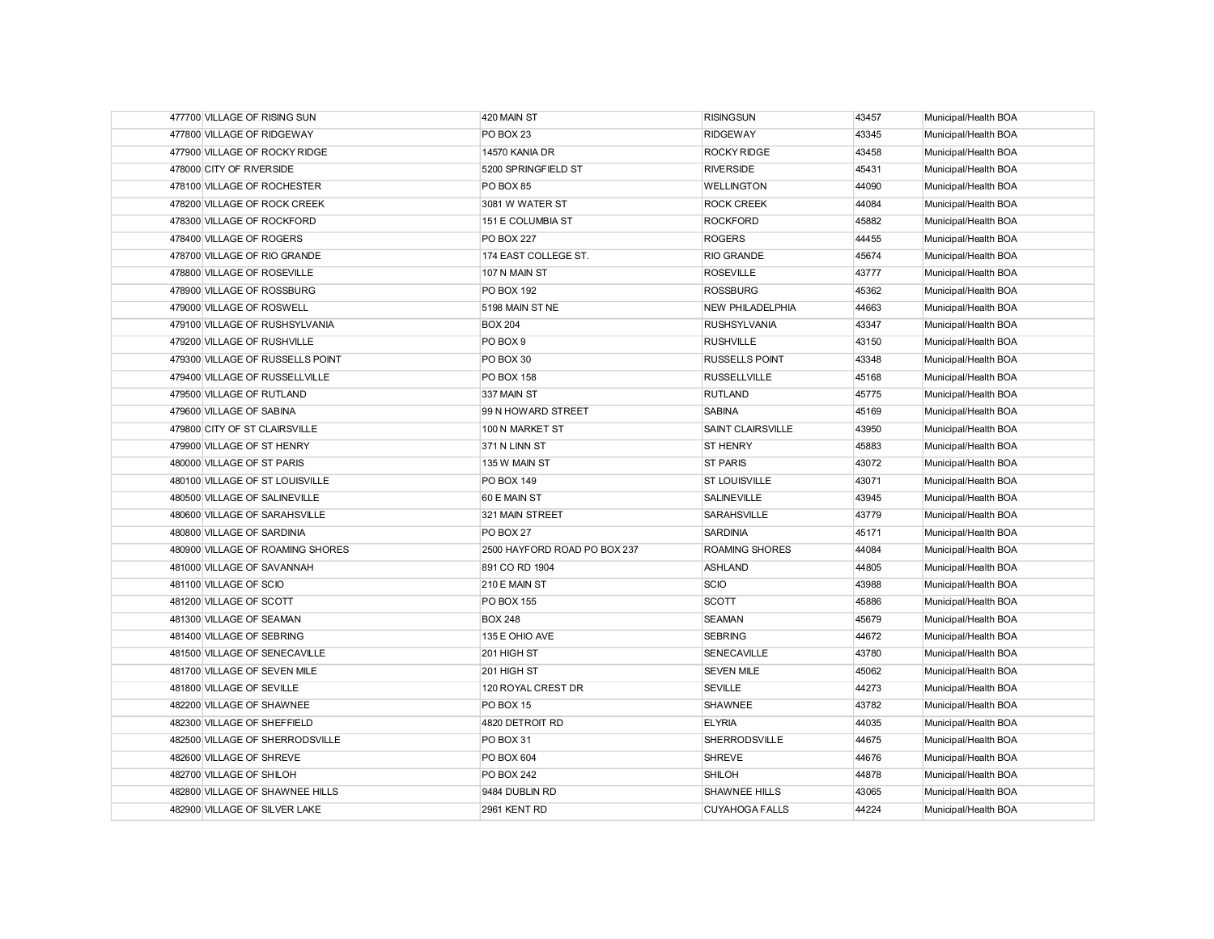| 477700 VILLAGE OF RISING SUN     | 420 MAIN ST                  | <b>RISINGSUN</b>        | 43457 | Municipal/Health BOA |
|----------------------------------|------------------------------|-------------------------|-------|----------------------|
| 477800 VILLAGE OF RIDGEWAY       | PO BOX 23                    | <b>RIDGEWAY</b>         | 43345 | Municipal/Health BOA |
| 477900 VILLAGE OF ROCKY RIDGE    | 14570 KANIA DR               | ROCKY RIDGE             | 43458 | Municipal/Health BOA |
| 478000 CITY OF RIVERSIDE         | 5200 SPRINGFIELD ST          | <b>RIVERSIDE</b>        | 45431 | Municipal/Health BOA |
| 478100 VILLAGE OF ROCHESTER      | PO BOX 85                    | <b>WELLINGTON</b>       | 44090 | Municipal/Health BOA |
| 478200 VILLAGE OF ROCK CREEK     | 3081 W WATER ST              | <b>ROCK CREEK</b>       | 44084 | Municipal/Health BOA |
| 478300 VILLAGE OF ROCKFORD       | 151 E COLUMBIA ST            | <b>ROCKFORD</b>         | 45882 | Municipal/Health BOA |
| 478400 VILLAGE OF ROGERS         | <b>PO BOX 227</b>            | <b>ROGERS</b>           | 44455 | Municipal/Health BOA |
| 478700 VILLAGE OF RIO GRANDE     | 174 EAST COLLEGE ST.         | <b>RIO GRANDE</b>       | 45674 | Municipal/Health BOA |
| 478800 VILLAGE OF ROSEVILLE      | 107 N MAIN ST                | <b>ROSEVILLE</b>        | 43777 | Municipal/Health BOA |
| 478900 VILLAGE OF ROSSBURG       | <b>PO BOX 192</b>            | <b>ROSSBURG</b>         | 45362 | Municipal/Health BOA |
| 479000 VILLAGE OF ROSWELL        | 5198 MAIN ST NE              | <b>NEW PHILADELPHIA</b> | 44663 | Municipal/Health BOA |
| 479100 VILLAGE OF RUSHSYLVANIA   | <b>BOX 204</b>               | <b>RUSHSYLVANIA</b>     | 43347 | Municipal/Health BOA |
| 479200 VILLAGE OF RUSHVILLE      | PO BOX 9                     | <b>RUSHVILLE</b>        | 43150 | Municipal/Health BOA |
| 479300 VILLAGE OF RUSSELLS POINT | PO BOX 30                    | <b>RUSSELLS POINT</b>   | 43348 | Municipal/Health BOA |
| 479400 VILLAGE OF RUSSELLVILLE   | <b>PO BOX 158</b>            | <b>RUSSELLVILLE</b>     | 45168 | Municipal/Health BOA |
| 479500 VILLAGE OF RUTLAND        | 337 MAIN ST                  | <b>RUTLAND</b>          | 45775 | Municipal/Health BOA |
| 479600 VILLAGE OF SABINA         | 99 N HOWARD STREET           | <b>SABINA</b>           | 45169 | Municipal/Health BOA |
| 479800 CITY OF ST CLAIRSVILLE    | 100 N MARKET ST              | SAINT CLAIRSVILLE       | 43950 | Municipal/Health BOA |
| 479900 VILLAGE OF ST HENRY       | 371 N LINN ST                | <b>ST HENRY</b>         | 45883 | Municipal/Health BOA |
| 480000 VILLAGE OF ST PARIS       | 135 W MAIN ST                | <b>ST PARIS</b>         | 43072 | Municipal/Health BOA |
| 480100 VILLAGE OF ST LOUISVILLE  | PO BOX 149                   | <b>ST LOUISVILLE</b>    | 43071 | Municipal/Health BOA |
| 480500 VILLAGE OF SALINEVILLE    | 60 E MAIN ST                 | <b>SALINEVILLE</b>      | 43945 | Municipal/Health BOA |
| 480600 VILLAGE OF SARAHSVILLE    | 321 MAIN STREET              | <b>SARAHSVILLE</b>      | 43779 | Municipal/Health BOA |
| 480800 VILLAGE OF SARDINIA       | PO BOX 27                    | <b>SARDINIA</b>         | 45171 | Municipal/Health BOA |
| 480900 VILLAGE OF ROAMING SHORES | 2500 HAYFORD ROAD PO BOX 237 | <b>ROAMING SHORES</b>   | 44084 | Municipal/Health BOA |
| 481000 VILLAGE OF SAVANNAH       | 891 CO RD 1904               | <b>ASHLAND</b>          | 44805 | Municipal/Health BOA |
| 481100 VILLAGE OF SCIO           | 210 E MAIN ST                | <b>SCIO</b>             | 43988 | Municipal/Health BOA |
| 481200 VILLAGE OF SCOTT          | <b>PO BOX 155</b>            | <b>SCOTT</b>            | 45886 | Municipal/Health BOA |
| 481300 VILLAGE OF SEAMAN         | <b>BOX 248</b>               | <b>SEAMAN</b>           | 45679 | Municipal/Health BOA |
| 481400 VILLAGE OF SEBRING        | 135 E OHIO AVE               | <b>SEBRING</b>          | 44672 | Municipal/Health BOA |
| 481500 VILLAGE OF SENECAVILLE    | 201 HIGH ST                  | SENECAVILLE             | 43780 | Municipal/Health BOA |
| 481700 VILLAGE OF SEVEN MILE     | 201 HIGH ST                  | <b>SEVEN MILE</b>       | 45062 | Municipal/Health BOA |
| 481800 VILLAGE OF SEVILLE        | 120 ROYAL CREST DR           | <b>SEVILLE</b>          | 44273 | Municipal/Health BOA |
| 482200 VILLAGE OF SHAWNEE        | PO BOX 15                    | <b>SHAWNEE</b>          | 43782 | Municipal/Health BOA |
| 482300 VILLAGE OF SHEFFIELD      | 4820 DETROIT RD              | <b>ELYRIA</b>           | 44035 | Municipal/Health BOA |
| 482500 VILLAGE OF SHERRODSVILLE  | PO BOX 31                    | <b>SHERRODSVILLE</b>    | 44675 | Municipal/Health BOA |
| 482600 VILLAGE OF SHREVE         | PO BOX 604                   | <b>SHREVE</b>           | 44676 | Municipal/Health BOA |
| 482700 VILLAGE OF SHILOH         | <b>PO BOX 242</b>            | SHILOH                  | 44878 | Municipal/Health BOA |
| 482800 VILLAGE OF SHAWNEE HILLS  | 9484 DUBLIN RD               | <b>SHAWNEE HILLS</b>    | 43065 | Municipal/Health BOA |
| 482900 VILLAGE OF SILVER LAKE    | 2961 KENT RD                 | <b>CUYAHOGA FALLS</b>   | 44224 | Municipal/Health BOA |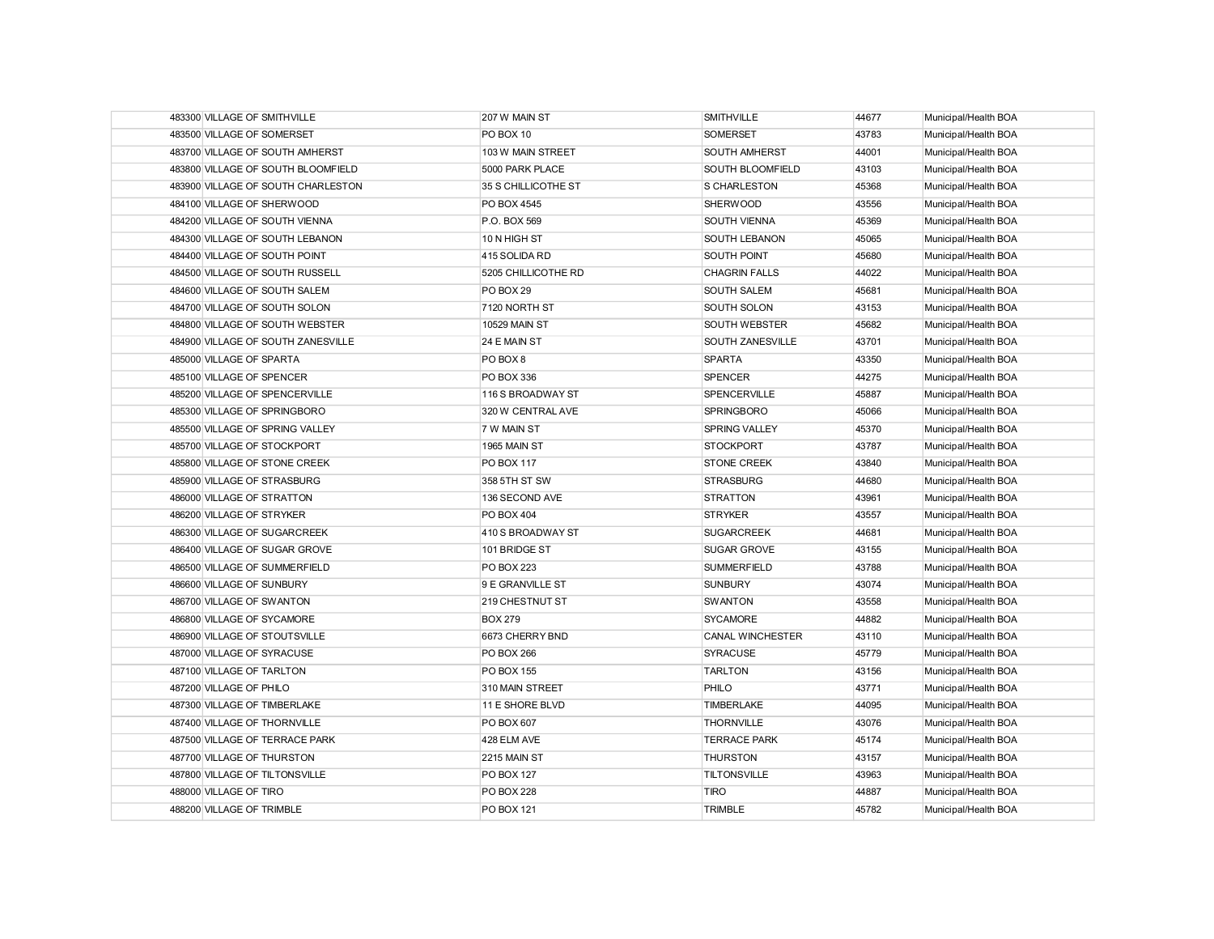| 483300 VILLAGE OF SMITHVILLE       | 207 W MAIN ST        | <b>SMITHVILLE</b>       | 44677 | Municipal/Health BOA |
|------------------------------------|----------------------|-------------------------|-------|----------------------|
| 483500 VILLAGE OF SOMERSET         | PO BOX 10            | SOMERSET                | 43783 | Municipal/Health BOA |
| 483700 VILLAGE OF SOUTH AMHERST    | 103 W MAIN STREET    | <b>SOUTH AMHERST</b>    | 44001 | Municipal/Health BOA |
| 483800 VILLAGE OF SOUTH BLOOMFIELD | 5000 PARK PLACE      | SOUTH BLOOMFIELD        | 43103 | Municipal/Health BOA |
| 483900 VILLAGE OF SOUTH CHARLESTON | 35 S CHILLICOTHE ST  | S CHARLESTON            | 45368 | Municipal/Health BOA |
| 484100 VILLAGE OF SHERWOOD         | PO BOX 4545          | <b>SHERWOOD</b>         | 43556 | Municipal/Health BOA |
| 484200 VILLAGE OF SOUTH VIENNA     | P.O. BOX 569         | SOUTH VIENNA            | 45369 | Municipal/Health BOA |
| 484300 VILLAGE OF SOUTH LEBANON    | 10 N HIGH ST         | SOUTH LEBANON           | 45065 | Municipal/Health BOA |
| 484400 VILLAGE OF SOUTH POINT      | 415 SOLIDA RD        | SOUTH POINT             | 45680 | Municipal/Health BOA |
| 484500 VILLAGE OF SOUTH RUSSELL    | 5205 CHILLICOTHE RD  | <b>CHAGRIN FALLS</b>    | 44022 | Municipal/Health BOA |
| 484600 VILLAGE OF SOUTH SALEM      | PO BOX 29            | SOUTH SALEM             | 45681 | Municipal/Health BOA |
| 484700 VILLAGE OF SOUTH SOLON      | 7120 NORTH ST        | SOUTH SOLON             | 43153 | Municipal/Health BOA |
| 484800 VILLAGE OF SOUTH WEBSTER    | <b>10529 MAIN ST</b> | SOUTH WEBSTER           | 45682 | Municipal/Health BOA |
| 484900 VILLAGE OF SOUTH ZANESVILLE | 24 E MAIN ST         | SOUTH ZANESVILLE        | 43701 | Municipal/Health BOA |
| 485000 VILLAGE OF SPARTA           | PO BOX 8             | <b>SPARTA</b>           | 43350 | Municipal/Health BOA |
| 485100 VILLAGE OF SPENCER          | <b>PO BOX 336</b>    | <b>SPENCER</b>          | 44275 | Municipal/Health BOA |
| 485200 VILLAGE OF SPENCERVILLE     | 116 S BROADWAY ST    | <b>SPENCERVILLE</b>     | 45887 | Municipal/Health BOA |
| 485300 VILLAGE OF SPRINGBORO       | 320 W CENTRAL AVE    | <b>SPRINGBORO</b>       | 45066 | Municipal/Health BOA |
| 485500 VILLAGE OF SPRING VALLEY    | 7 W MAIN ST          | <b>SPRING VALLEY</b>    | 45370 | Municipal/Health BOA |
| 485700 VILLAGE OF STOCKPORT        | 1965 MAIN ST         | <b>STOCKPORT</b>        | 43787 | Municipal/Health BOA |
| 485800 VILLAGE OF STONE CREEK      | <b>PO BOX 117</b>    | <b>STONE CREEK</b>      | 43840 | Municipal/Health BOA |
| 485900 VILLAGE OF STRASBURG        | 358 5TH ST SW        | <b>STRASBURG</b>        | 44680 | Municipal/Health BOA |
| 486000 VILLAGE OF STRATTON         | 136 SECOND AVE       | <b>STRATTON</b>         | 43961 | Municipal/Health BOA |
| 486200 VILLAGE OF STRYKER          | <b>PO BOX 404</b>    | <b>STRYKER</b>          | 43557 | Municipal/Health BOA |
| 486300 VILLAGE OF SUGARCREEK       | 410 S BROADWAY ST    | <b>SUGARCREEK</b>       | 44681 | Municipal/Health BOA |
| 486400 VILLAGE OF SUGAR GROVE      | 101 BRIDGE ST        | <b>SUGAR GROVE</b>      | 43155 | Municipal/Health BOA |
| 486500 VILLAGE OF SUMMERFIELD      | <b>PO BOX 223</b>    | <b>SUMMERFIELD</b>      | 43788 | Municipal/Health BOA |
| 486600 VILLAGE OF SUNBURY          | 9 E GRANVILLE ST     | <b>SUNBURY</b>          | 43074 | Municipal/Health BOA |
| 486700 VILLAGE OF SWANTON          | 219 CHESTNUT ST      | <b>SWANTON</b>          | 43558 | Municipal/Health BOA |
| 486800 VILLAGE OF SYCAMORE         | <b>BOX 279</b>       | <b>SYCAMORE</b>         | 44882 | Municipal/Health BOA |
| 486900 VILLAGE OF STOUTSVILLE      | 6673 CHERRY BND      | <b>CANAL WINCHESTER</b> | 43110 | Municipal/Health BOA |
| 487000 VILLAGE OF SYRACUSE         | <b>PO BOX 266</b>    | <b>SYRACUSE</b>         | 45779 | Municipal/Health BOA |
| 487100 VILLAGE OF TARLTON          | PO BOX 155           | <b>TARLTON</b>          | 43156 | Municipal/Health BOA |
| 487200 VILLAGE OF PHILO            | 310 MAIN STREET      | PHILO                   | 43771 | Municipal/Health BOA |
| 487300 VILLAGE OF TIMBERLAKE       | 11 E SHORE BLVD      | TIMBERLAKE              | 44095 | Municipal/Health BOA |
| 487400 VILLAGE OF THORNVILLE       | PO BOX 607           | <b>THORNVILLE</b>       | 43076 | Municipal/Health BOA |
| 487500 VILLAGE OF TERRACE PARK     | 428 ELM AVE          | <b>TERRACE PARK</b>     | 45174 | Municipal/Health BOA |
| 487700 VILLAGE OF THURSTON         | 2215 MAIN ST         | <b>THURSTON</b>         | 43157 | Municipal/Health BOA |
| 487800 VILLAGE OF TILTONSVILLE     | PO BOX 127           | <b>TILTONSVILLE</b>     | 43963 | Municipal/Health BOA |
| 488000 VILLAGE OF TIRO             | <b>PO BOX 228</b>    | <b>TIRO</b>             | 44887 | Municipal/Health BOA |
| 488200 VILLAGE OF TRIMBLE          | <b>PO BOX 121</b>    | <b>TRIMBLE</b>          | 45782 | Municipal/Health BOA |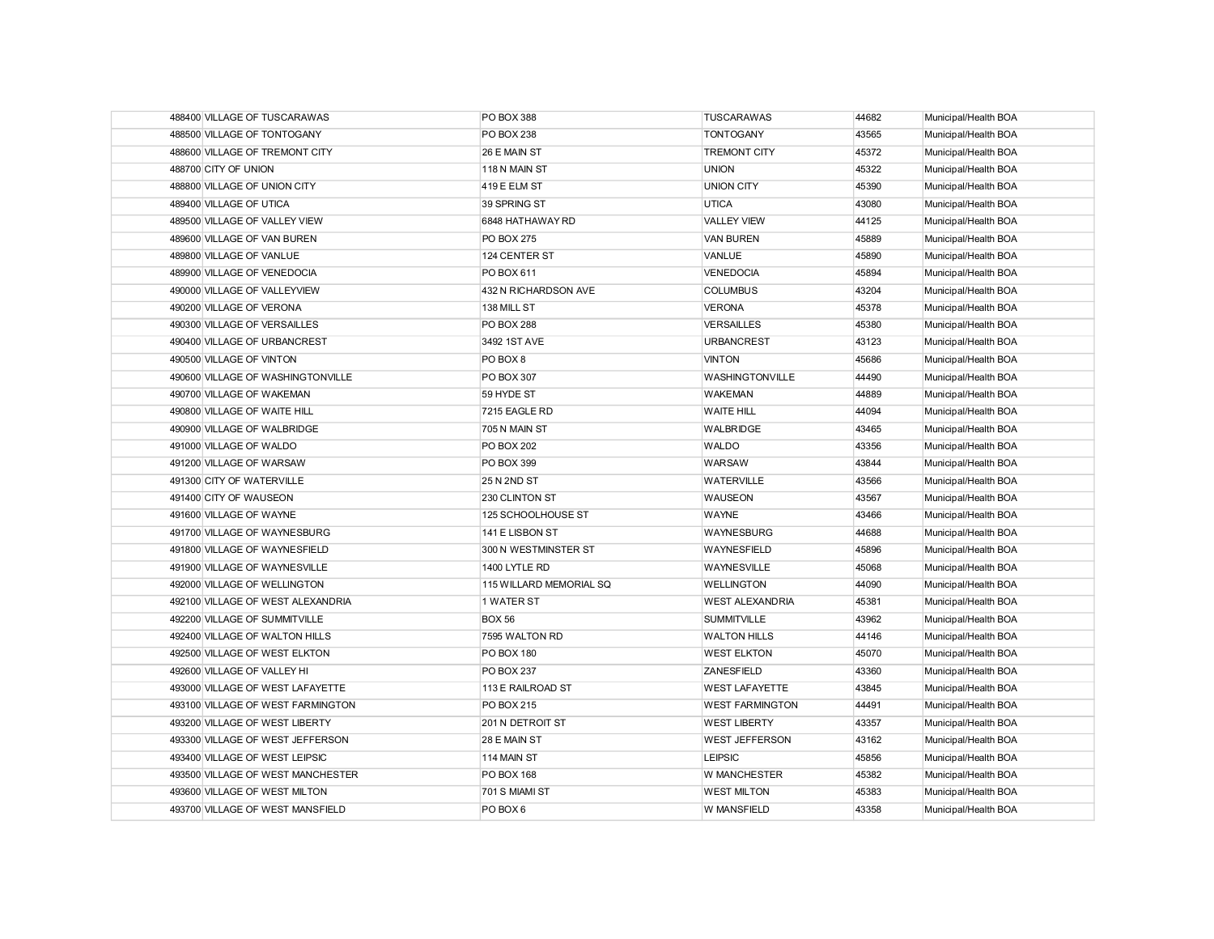| 488400 VILLAGE OF TUSCARAWAS      | PO BOX 388              | <b>TUSCARAWAS</b>      | 44682 | Municipal/Health BOA |
|-----------------------------------|-------------------------|------------------------|-------|----------------------|
| 488500 VILLAGE OF TONTOGANY       | PO BOX 238              | <b>TONTOGANY</b>       | 43565 | Municipal/Health BOA |
| 488600 VILLAGE OF TREMONT CITY    | 26 E MAIN ST            | <b>TREMONT CITY</b>    | 45372 | Municipal/Health BOA |
| 488700 CITY OF UNION              | 118 N MAIN ST           | <b>UNION</b>           | 45322 | Municipal/Health BOA |
| 488800 VILLAGE OF UNION CITY      | 419 E ELM ST            | <b>UNION CITY</b>      | 45390 | Municipal/Health BOA |
| 489400 VILLAGE OF UTICA           | 39 SPRING ST            | <b>UTICA</b>           | 43080 | Municipal/Health BOA |
| 489500 VILLAGE OF VALLEY VIEW     | 6848 HATHAWAY RD        | <b>VALLEY VIEW</b>     | 44125 | Municipal/Health BOA |
| 489600 VILLAGE OF VAN BUREN       | <b>PO BOX 275</b>       | <b>VAN BUREN</b>       | 45889 | Municipal/Health BOA |
| 489800 VILLAGE OF VANLUE          | 124 CENTER ST           | VANLUE                 | 45890 | Municipal/Health BOA |
| 489900 VILLAGE OF VENEDOCIA       | PO BOX 611              | <b>VENEDOCIA</b>       | 45894 | Municipal/Health BOA |
| 490000 VILLAGE OF VALLEYVIEW      | 432 N RICHARDSON AVE    | <b>COLUMBUS</b>        | 43204 | Municipal/Health BOA |
| 490200 VILLAGE OF VERONA          | 138 MILL ST             | <b>VERONA</b>          | 45378 | Municipal/Health BOA |
| 490300 VILLAGE OF VERSAILLES      | <b>PO BOX 288</b>       | <b>VERSAILLES</b>      | 45380 | Municipal/Health BOA |
| 490400 VILLAGE OF URBANCREST      | 3492 1ST AVE            | <b>URBANCREST</b>      | 43123 | Municipal/Health BOA |
| 490500 VILLAGE OF VINTON          | PO BOX 8                | <b>VINTON</b>          | 45686 | Municipal/Health BOA |
| 490600 VILLAGE OF WASHINGTONVILLE | PO BOX 307              | WASHINGTONVILLE        | 44490 | Municipal/Health BOA |
| 490700 VILLAGE OF WAKEMAN         | 59 HYDE ST              | <b>WAKEMAN</b>         | 44889 | Municipal/Health BOA |
| 490800 VILLAGE OF WAITE HILL      | 7215 EAGLE RD           | <b>WAITE HILL</b>      | 44094 | Municipal/Health BOA |
| 490900 VILLAGE OF WALBRIDGE       | 705 N MAIN ST           | WALBRIDGE              | 43465 | Municipal/Health BOA |
| 491000 VILLAGE OF WALDO           | <b>PO BOX 202</b>       | <b>WALDO</b>           | 43356 | Municipal/Health BOA |
| 491200 VILLAGE OF WARSAW          | PO BOX 399              | <b>WARSAW</b>          | 43844 | Municipal/Health BOA |
| 491300 CITY OF WATERVILLE         | 25 N 2ND ST             | <b>WATERVILLE</b>      | 43566 | Municipal/Health BOA |
| 491400 CITY OF WAUSEON            | 230 CLINTON ST          | <b>WAUSEON</b>         | 43567 | Municipal/Health BOA |
| 491600 VILLAGE OF WAYNE           | 125 SCHOOLHOUSE ST      | <b>WAYNE</b>           | 43466 | Municipal/Health BOA |
| 491700 VILLAGE OF WAYNESBURG      | 141 E LISBON ST         | WAYNESBURG             | 44688 | Municipal/Health BOA |
| 491800 VILLAGE OF WAYNESFIELD     | 300 N WESTMINSTER ST    | WAYNESFIELD            | 45896 | Municipal/Health BOA |
| 491900 VILLAGE OF WAYNESVILLE     | 1400 LYTLE RD           | WAYNESVILLE            | 45068 | Municipal/Health BOA |
| 492000 VILLAGE OF WELLINGTON      | 115 WILLARD MEMORIAL SQ | <b>WELLINGTON</b>      | 44090 | Municipal/Health BOA |
| 492100 VILLAGE OF WEST ALEXANDRIA | 1 WATER ST              | <b>WEST ALEXANDRIA</b> | 45381 | Municipal/Health BOA |
| 492200 VILLAGE OF SUMMITVILLE     | <b>BOX 56</b>           | <b>SUMMITVILLE</b>     | 43962 | Municipal/Health BOA |
| 492400 VILLAGE OF WALTON HILLS    | 7595 WALTON RD          | <b>WALTON HILLS</b>    | 44146 | Municipal/Health BOA |
| 492500 VILLAGE OF WEST ELKTON     | <b>PO BOX 180</b>       | <b>WEST ELKTON</b>     | 45070 | Municipal/Health BOA |
| 492600 VILLAGE OF VALLEY HI       | <b>PO BOX 237</b>       | <b>ZANESFIELD</b>      | 43360 | Municipal/Health BOA |
| 493000 VILLAGE OF WEST LAFAYETTE  | 113 E RAILROAD ST       | <b>WEST LAFAYETTE</b>  | 43845 | Municipal/Health BOA |
| 493100 VILLAGE OF WEST FARMINGTON | <b>PO BOX 215</b>       | <b>WEST FARMINGTON</b> | 44491 | Municipal/Health BOA |
| 493200 VILLAGE OF WEST LIBERTY    | 201 N DETROIT ST        | <b>WEST LIBERTY</b>    | 43357 | Municipal/Health BOA |
| 493300 VILLAGE OF WEST JEFFERSON  | 28 E MAIN ST            | <b>WEST JEFFERSON</b>  | 43162 | Municipal/Health BOA |
| 493400 VILLAGE OF WEST LEIPSIC    | 114 MAIN ST             | <b>LEIPSIC</b>         | 45856 | Municipal/Health BOA |
| 493500 VILLAGE OF WEST MANCHESTER | <b>PO BOX 168</b>       | W MANCHESTER           | 45382 | Municipal/Health BOA |
| 493600 VILLAGE OF WEST MILTON     | 701 S MIAMI ST          | <b>WEST MILTON</b>     | 45383 | Municipal/Health BOA |
| 493700 VILLAGE OF WEST MANSFIELD  | PO BOX 6                | W MANSFIELD            | 43358 | Municipal/Health BOA |